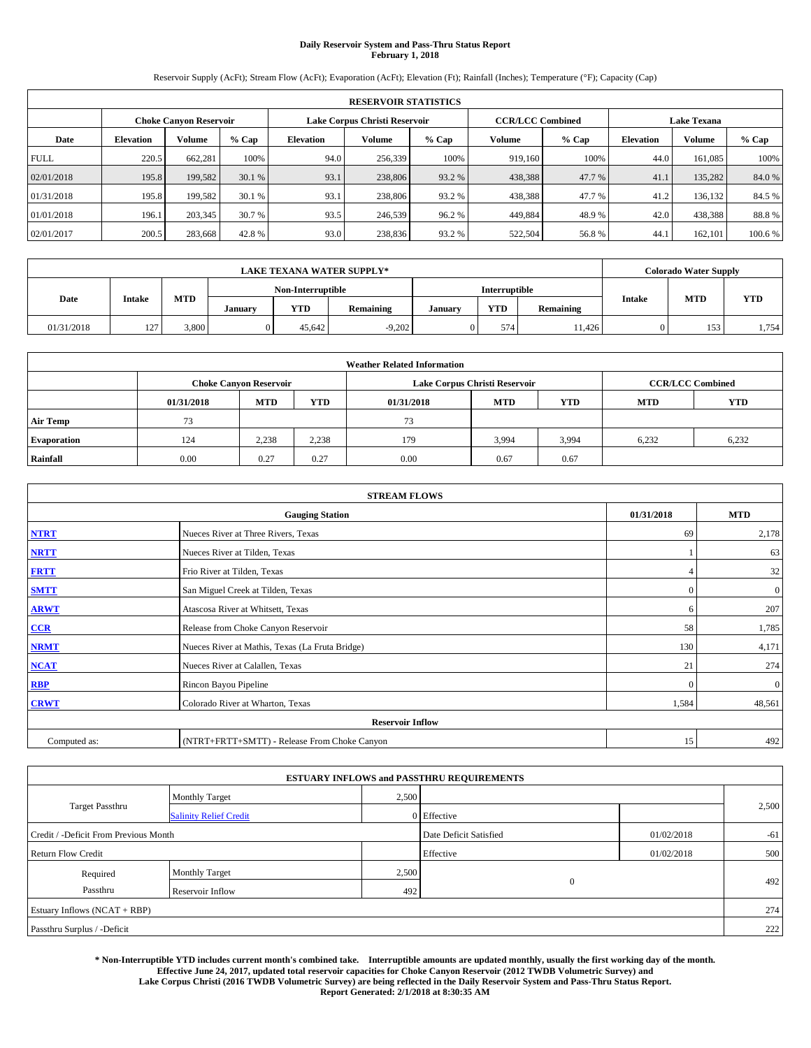# **Daily Reservoir System and Pass-Thru Status Report February 1, 2018**

Reservoir Supply (AcFt); Stream Flow (AcFt); Evaporation (AcFt); Elevation (Ft); Rainfall (Inches); Temperature (°F); Capacity (Cap)

|             | <b>RESERVOIR STATISTICS</b>   |         |         |           |                               |         |                         |                             |                    |               |        |
|-------------|-------------------------------|---------|---------|-----------|-------------------------------|---------|-------------------------|-----------------------------|--------------------|---------------|--------|
|             | <b>Choke Canyon Reservoir</b> |         |         |           | Lake Corpus Christi Reservoir |         | <b>CCR/LCC Combined</b> |                             | <b>Lake Texana</b> |               |        |
| Date        | <b>Elevation</b>              | Volume  | $%$ Cap | Elevation | Volume                        | $%$ Cap | Volume                  | $%$ Cap<br><b>Elevation</b> |                    | <b>Volume</b> | % Cap  |
| <b>FULL</b> | 220.5                         | 662,281 | 100%    | 94.0      | 256,339                       | 100%    | 919.160                 | 100%                        | 44.0               | 161.085       | 100%   |
| 02/01/2018  | 195.8                         | 199,582 | 30.1 %  | 93.1      | 238,806                       | 93.2 %  | 438,388                 | 47.7 %                      | 41.                | 135.282       | 84.0%  |
| 01/31/2018  | 195.8                         | 199,582 | 30.1 %  | 93.1      | 238,806                       | 93.2 %  | 438,388                 | 47.7 %                      | 41.2               | 136.132       | 84.5 % |
| 01/01/2018  | 196.1                         | 203,345 | 30.7 %  | 93.5      | 246,539                       | 96.2 %  | 449,884                 | 48.9%                       | 42.0               | 438,388       | 88.8%  |
| 02/01/2017  | 200.5                         | 283,668 | 42.8%   | 93.0      | 238,836                       | 93.2 %  | 522,504                 | 56.8%                       | 44.                | 162,101       | 100.6% |

|            | <b>LAKE TEXANA WATER SUPPLY*</b> |            |         |                   |                  |         |               |           |               | <b>Colorado Water Supply</b> |            |  |
|------------|----------------------------------|------------|---------|-------------------|------------------|---------|---------------|-----------|---------------|------------------------------|------------|--|
|            |                                  |            |         | Non-Interruptible |                  |         | Interruptible |           |               |                              |            |  |
| Date       | Intake                           | <b>MTD</b> | January | <b>YTD</b>        | <b>Remaining</b> | Januarv | <b>YTD</b>    | Remaining | <b>Intake</b> | <b>MTD</b>                   | <b>YTD</b> |  |
| 01/31/2018 | 127                              | 3,800      |         | 45.642            | $-9.202$         |         | 574           | 11.426    |               | 153                          | 1,754      |  |

| <b>Weather Related Information</b> |            |                               |            |                                                      |                               |       |                         |       |  |  |
|------------------------------------|------------|-------------------------------|------------|------------------------------------------------------|-------------------------------|-------|-------------------------|-------|--|--|
|                                    |            | <b>Choke Canyon Reservoir</b> |            |                                                      | Lake Corpus Christi Reservoir |       | <b>CCR/LCC Combined</b> |       |  |  |
|                                    | 01/31/2018 | <b>MTD</b>                    | <b>YTD</b> | <b>YTD</b><br><b>MTD</b><br><b>MTD</b><br>01/31/2018 |                               |       |                         |       |  |  |
| <b>Air Temp</b>                    | 73         |                               |            | 73                                                   |                               |       |                         |       |  |  |
| <b>Evaporation</b>                 | 124        | 2,238                         | 2,238      | 179                                                  | 3,994                         | 3,994 | 6.232                   | 6,232 |  |  |
| Rainfall                           | 0.00       | 0.27                          | 0.27       | 0.00                                                 | 0.67                          | 0.67  |                         |       |  |  |

| <b>STREAM FLOWS</b> |                                                 |              |              |  |  |  |  |  |  |
|---------------------|-------------------------------------------------|--------------|--------------|--|--|--|--|--|--|
|                     | <b>Gauging Station</b>                          | 01/31/2018   | <b>MTD</b>   |  |  |  |  |  |  |
| <b>NTRT</b>         | Nueces River at Three Rivers, Texas             | 69           | 2,178        |  |  |  |  |  |  |
| <b>NRTT</b>         | Nueces River at Tilden, Texas                   |              | 63           |  |  |  |  |  |  |
| <b>FRTT</b>         | Frio River at Tilden, Texas                     |              | 32           |  |  |  |  |  |  |
| <b>SMTT</b>         | San Miguel Creek at Tilden, Texas               | $\mathbf{0}$ | $\mathbf{0}$ |  |  |  |  |  |  |
| <b>ARWT</b>         | Atascosa River at Whitsett, Texas               | 6            | 207          |  |  |  |  |  |  |
| CCR                 | Release from Choke Canyon Reservoir             | 58           | 1,785        |  |  |  |  |  |  |
| <b>NRMT</b>         | Nueces River at Mathis, Texas (La Fruta Bridge) | 130          | 4,171        |  |  |  |  |  |  |
| <b>NCAT</b>         | Nueces River at Calallen, Texas                 | 21           | 274          |  |  |  |  |  |  |
| <b>RBP</b>          | Rincon Bayou Pipeline                           | $\Omega$     | $\mathbf{0}$ |  |  |  |  |  |  |
| <b>CRWT</b>         | Colorado River at Wharton, Texas                | 1,584        | 48,561       |  |  |  |  |  |  |
|                     | <b>Reservoir Inflow</b>                         |              |              |  |  |  |  |  |  |
| Computed as:        | (NTRT+FRTT+SMTT) - Release From Choke Canyon    | 15           | 492          |  |  |  |  |  |  |

|                                       |                               | <b>ESTUARY INFLOWS and PASSTHRU REQUIREMENTS</b> |                        |            |       |
|---------------------------------------|-------------------------------|--------------------------------------------------|------------------------|------------|-------|
|                                       | <b>Monthly Target</b>         | 2,500                                            |                        |            |       |
| <b>Target Passthru</b>                | <b>Salinity Relief Credit</b> |                                                  | 0 Effective            |            | 2,500 |
| Credit / -Deficit From Previous Month |                               |                                                  | Date Deficit Satisfied | 01/02/2018 | $-61$ |
| <b>Return Flow Credit</b>             |                               |                                                  | Effective              | 01/02/2018 | 500   |
| Required                              | Monthly Target                | 2,500                                            |                        |            |       |
| Passthru                              | Reservoir Inflow              | 492                                              | $\mathbf{0}$           |            | 492   |
| Estuary Inflows (NCAT + RBP)          |                               |                                                  |                        |            | 274   |
| Passthru Surplus / -Deficit           |                               |                                                  |                        |            | 222   |

**\* Non-Interruptible YTD includes current month's combined take. Interruptible amounts are updated monthly, usually the first working day of the month. Effective June 24, 2017, updated total reservoir capacities for Choke Canyon Reservoir (2012 TWDB Volumetric Survey) and Lake Corpus Christi (2016 TWDB Volumetric Survey) are being reflected in the Daily Reservoir System and Pass-Thru Status Report. Report Generated: 2/1/2018 at 8:30:35 AM**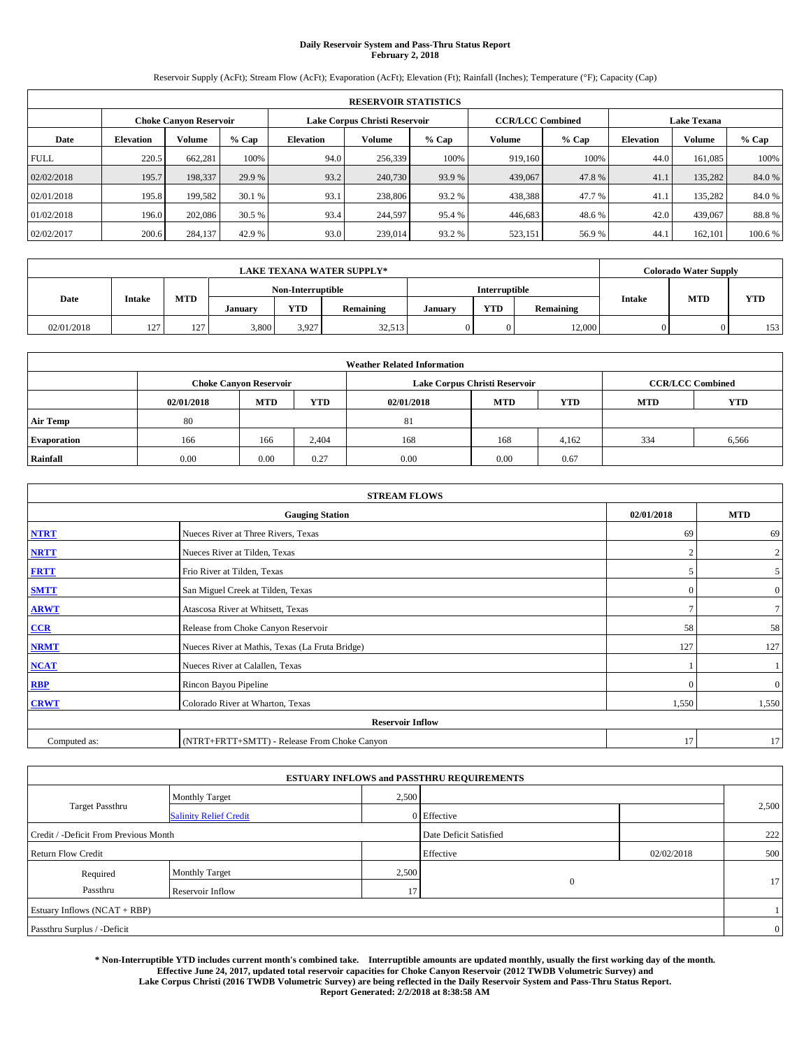# **Daily Reservoir System and Pass-Thru Status Report February 2, 2018**

Reservoir Supply (AcFt); Stream Flow (AcFt); Evaporation (AcFt); Elevation (Ft); Rainfall (Inches); Temperature (°F); Capacity (Cap)

|             | <b>RESERVOIR STATISTICS</b> |                               |         |                  |                               |                              |                         |                  |               |                    |         |  |
|-------------|-----------------------------|-------------------------------|---------|------------------|-------------------------------|------------------------------|-------------------------|------------------|---------------|--------------------|---------|--|
|             |                             | <b>Choke Canyon Reservoir</b> |         |                  | Lake Corpus Christi Reservoir |                              | <b>CCR/LCC Combined</b> |                  |               | <b>Lake Texana</b> |         |  |
| Date        | <b>Elevation</b>            | Volume                        | $%$ Cap | <b>Elevation</b> | Volume                        | Volume<br>$%$ Cap<br>$%$ Cap |                         | <b>Elevation</b> | <b>Volume</b> | % Cap              |         |  |
| <b>FULL</b> | 220.5                       | 662,281                       | 100%    | 94.0             | 256,339                       | 100%                         | 919.160                 | 100%             | 44.0          | 161.085            | 100%    |  |
| 02/02/2018  | 195.7                       | 198,337                       | 29.9 %  | 93.2             | 240,730                       | 93.9 %                       | 439,067                 | 47.8%            | 41.           | 135,282            | 84.0%   |  |
| 02/01/2018  | 195.8                       | 199.582                       | 30.1 %  | 93.1             | 238,806                       | 93.2 %                       | 438,388                 | 47.7%            | 41.           | 135.282            | 84.0%   |  |
| 01/02/2018  | 196.0                       | 202,086                       | 30.5 %  | 93.4             | 244,597                       | 95.4 %                       | 446,683                 | 48.6%            | 42.0          | 439,067            | 88.8%   |  |
| 02/02/2017  | 200.6                       | 284,137                       | 42.9 %  | 93.0             | 239,014                       | 93.2 %                       | 523,151                 | 56.9%            | 44.           | 162.101            | 100.6 % |  |

|            | <b>LAKE TEXANA WATER SUPPLY*</b> |                   |         |                   |           |         |               |           |               | Colorado Water Supply |            |
|------------|----------------------------------|-------------------|---------|-------------------|-----------|---------|---------------|-----------|---------------|-----------------------|------------|
|            |                                  |                   |         | Non-Interruptible |           |         | Interruptible |           |               | <b>MTD</b>            |            |
| Date       | <b>Intake</b>                    | <b>MTD</b>        | January | <b>YTD</b>        | Remaining | January | <b>YTD</b>    | Remaining | <b>Intake</b> |                       | <b>YTD</b> |
| 02/01/2018 | 127                              | 127<br>$1 \leq l$ | 3,800   | 3.927             | 32,513    |         | 0             | 12,000    |               |                       | 153        |

| <b>Weather Related Information</b> |                                                                         |                                                      |       |      |                               |       |                         |            |  |  |  |
|------------------------------------|-------------------------------------------------------------------------|------------------------------------------------------|-------|------|-------------------------------|-------|-------------------------|------------|--|--|--|
|                                    | <b>Choke Canyon Reservoir</b><br><b>MTD</b><br><b>YTD</b><br>02/01/2018 |                                                      |       |      | Lake Corpus Christi Reservoir |       | <b>CCR/LCC Combined</b> |            |  |  |  |
|                                    |                                                                         | <b>YTD</b><br><b>MTD</b><br><b>MTD</b><br>02/01/2018 |       |      |                               |       |                         | <b>YTD</b> |  |  |  |
| <b>Air Temp</b>                    | 80                                                                      |                                                      |       | 81   |                               |       |                         |            |  |  |  |
| <b>Evaporation</b>                 | 166                                                                     | 166                                                  | 2,404 | 168  | 168                           | 4,162 | 334                     | 6,566      |  |  |  |
| Rainfall                           | 0.00                                                                    | 0.00                                                 | 0.27  | 0.00 | 0.00                          | 0.67  |                         |            |  |  |  |

|              | <b>STREAM FLOWS</b>                             |            |                |  |  |  |  |  |  |  |
|--------------|-------------------------------------------------|------------|----------------|--|--|--|--|--|--|--|
|              | <b>Gauging Station</b>                          | 02/01/2018 | <b>MTD</b>     |  |  |  |  |  |  |  |
| <b>NTRT</b>  | Nueces River at Three Rivers, Texas             | 69         | 69             |  |  |  |  |  |  |  |
| <b>NRTT</b>  | Nueces River at Tilden, Texas                   | 2          | $\overline{2}$ |  |  |  |  |  |  |  |
| <b>FRTT</b>  | Frio River at Tilden, Texas                     |            | 5 <sup>5</sup> |  |  |  |  |  |  |  |
| <b>SMTT</b>  | San Miguel Creek at Tilden, Texas               | C          | $\overline{0}$ |  |  |  |  |  |  |  |
| <b>ARWT</b>  | Atascosa River at Whitsett, Texas               |            | 7 <sup>1</sup> |  |  |  |  |  |  |  |
| CCR          | Release from Choke Canyon Reservoir             | 58         | 58             |  |  |  |  |  |  |  |
| <b>NRMT</b>  | Nueces River at Mathis, Texas (La Fruta Bridge) | 127        | 127            |  |  |  |  |  |  |  |
| NCAT         | Nueces River at Calallen, Texas                 |            |                |  |  |  |  |  |  |  |
| <b>RBP</b>   | Rincon Bayou Pipeline                           | £          | $\overline{0}$ |  |  |  |  |  |  |  |
| <b>CRWT</b>  | Colorado River at Wharton, Texas                | 1,550      | 1,550          |  |  |  |  |  |  |  |
|              | <b>Reservoir Inflow</b>                         |            |                |  |  |  |  |  |  |  |
| Computed as: | (NTRT+FRTT+SMTT) - Release From Choke Canyon    | 17         | 17             |  |  |  |  |  |  |  |

| <b>ESTUARY INFLOWS and PASSTHRU REQUIREMENTS</b> |                               |                        |              |            |       |  |  |  |  |  |
|--------------------------------------------------|-------------------------------|------------------------|--------------|------------|-------|--|--|--|--|--|
|                                                  | Monthly Target                | 2,500                  |              |            |       |  |  |  |  |  |
| <b>Target Passthru</b>                           | <b>Salinity Relief Credit</b> |                        | 0 Effective  |            | 2,500 |  |  |  |  |  |
| Credit / -Deficit From Previous Month            |                               | Date Deficit Satisfied |              | 222        |       |  |  |  |  |  |
| <b>Return Flow Credit</b>                        |                               |                        | Effective    | 02/02/2018 | 500   |  |  |  |  |  |
| Required                                         | Monthly Target                | 2,500                  |              |            |       |  |  |  |  |  |
| Passthru                                         | Reservoir Inflow              | 17                     | $\mathbf{0}$ |            | 17    |  |  |  |  |  |
| Estuary Inflows (NCAT + RBP)                     |                               |                        |              |            |       |  |  |  |  |  |
| Passthru Surplus / -Deficit                      |                               |                        |              |            |       |  |  |  |  |  |

**\* Non-Interruptible YTD includes current month's combined take. Interruptible amounts are updated monthly, usually the first working day of the month. Effective June 24, 2017, updated total reservoir capacities for Choke Canyon Reservoir (2012 TWDB Volumetric Survey) and Lake Corpus Christi (2016 TWDB Volumetric Survey) are being reflected in the Daily Reservoir System and Pass-Thru Status Report. Report Generated: 2/2/2018 at 8:38:58 AM**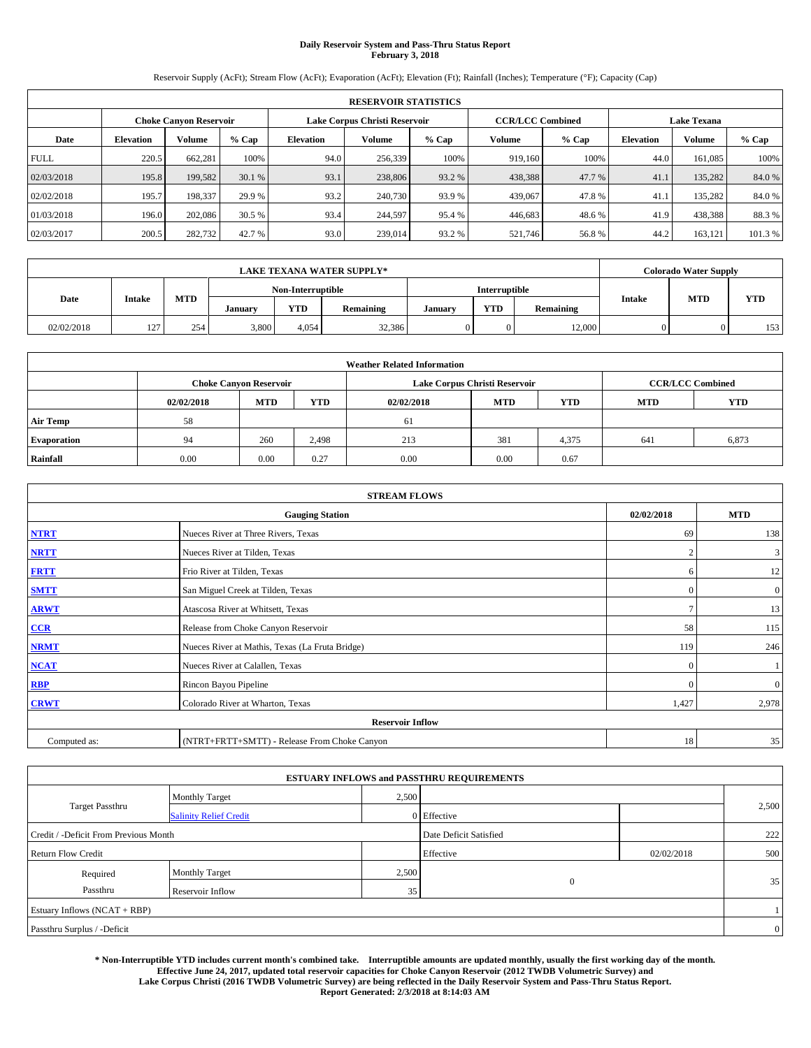# **Daily Reservoir System and Pass-Thru Status Report February 3, 2018**

Reservoir Supply (AcFt); Stream Flow (AcFt); Evaporation (AcFt); Elevation (Ft); Rainfall (Inches); Temperature (°F); Capacity (Cap)

|             | <b>RESERVOIR STATISTICS</b> |                               |         |                  |                               |                              |                         |                  |                    |         |         |  |
|-------------|-----------------------------|-------------------------------|---------|------------------|-------------------------------|------------------------------|-------------------------|------------------|--------------------|---------|---------|--|
|             |                             | <b>Choke Canyon Reservoir</b> |         |                  | Lake Corpus Christi Reservoir |                              | <b>CCR/LCC Combined</b> |                  | <b>Lake Texana</b> |         |         |  |
| Date        | <b>Elevation</b>            | Volume                        | $%$ Cap | <b>Elevation</b> | Volume                        | Volume<br>$%$ Cap<br>$%$ Cap |                         | <b>Elevation</b> | <b>Volume</b>      | % Cap   |         |  |
| <b>FULL</b> | 220.5                       | 662,281                       | 100%    | 94.0             | 256,339                       | 100%                         | 919.160                 | 100%             | 44.0               | 161.085 | 100%    |  |
| 02/03/2018  | 195.8                       | 199,582                       | 30.1 %  | 93.1             | 238,806                       | 93.2 %                       | 438,388                 | 47.7 %           | 41.                | 135,282 | 84.0%   |  |
| 02/02/2018  | 195.7                       | 198,337                       | 29.9 %  | 93.2             | 240,730                       | 93.9 %                       | 439,067                 | 47.8%            | 41.                | 135.282 | 84.0%   |  |
| 01/03/2018  | 196.0                       | 202,086                       | 30.5 %  | 93.4             | 244,597                       | 95.4 %                       | 446,683                 | 48.6%            | 41.9               | 438,388 | 88.3%   |  |
| 02/03/2017  | 200.5                       | 282,732                       | 42.7 %  | 93.0             | 239,014                       | 93.2 %                       | 521,746                 | 56.8%            | 44.2               | 163.121 | 101.3 % |  |

|            | <b>LAKE TEXANA WATER SUPPLY*</b> |            |         |                   |           |         |               |           |               | <b>Colorado Water Supply</b> |                  |
|------------|----------------------------------|------------|---------|-------------------|-----------|---------|---------------|-----------|---------------|------------------------------|------------------|
|            |                                  |            |         | Non-Interruptible |           |         | Interruptible |           |               | <b>MTD</b>                   |                  |
| Date       | <b>Intake</b>                    | <b>MTD</b> | January | <b>YTD</b>        | Remaining | January | <b>YTD</b>    | Remaining | <b>Intake</b> |                              | <b>YTD</b>       |
| 02/02/2018 | 127                              | 254        | 3,800   | 4.054             | 32,386    |         |               | 12,000    |               |                              | 153 <sub>1</sub> |

| <b>Weather Related Information</b> |                                                                                                              |                               |       |      |                               |                         |     |       |  |
|------------------------------------|--------------------------------------------------------------------------------------------------------------|-------------------------------|-------|------|-------------------------------|-------------------------|-----|-------|--|
|                                    |                                                                                                              | <b>Choke Canyon Reservoir</b> |       |      | Lake Corpus Christi Reservoir | <b>CCR/LCC Combined</b> |     |       |  |
|                                    | <b>MTD</b><br><b>YTD</b><br><b>YTD</b><br><b>YTD</b><br><b>MTD</b><br><b>MTD</b><br>02/02/2018<br>02/02/2018 |                               |       |      |                               |                         |     |       |  |
| <b>Air Temp</b>                    | 58                                                                                                           |                               |       | 61   |                               |                         |     |       |  |
| <b>Evaporation</b>                 | 94                                                                                                           | 260                           | 2,498 | 213  | 381                           | 4,375                   | 641 | 6,873 |  |
| Rainfall                           | 0.00                                                                                                         | 0.00                          | 0.27  | 0.00 | 0.00                          | 0.67                    |     |       |  |

| <b>STREAM FLOWS</b> |                                                 |                |                  |  |  |  |  |  |  |
|---------------------|-------------------------------------------------|----------------|------------------|--|--|--|--|--|--|
|                     | 02/02/2018                                      | <b>MTD</b>     |                  |  |  |  |  |  |  |
| <b>NTRT</b>         | Nueces River at Three Rivers, Texas             | 69             | 138              |  |  |  |  |  |  |
| <b>NRTT</b>         | Nueces River at Tilden, Texas                   | $\overline{2}$ | 3                |  |  |  |  |  |  |
| <b>FRTT</b>         | Frio River at Tilden, Texas                     | 6              | 12               |  |  |  |  |  |  |
| <b>SMTT</b>         | San Miguel Creek at Tilden, Texas               | $\mathbf{0}$   | $\boldsymbol{0}$ |  |  |  |  |  |  |
| <b>ARWT</b>         | Atascosa River at Whitsett, Texas               | $\mathcal{I}$  | 13               |  |  |  |  |  |  |
| $CCR$               | Release from Choke Canyon Reservoir             | 58             | 115              |  |  |  |  |  |  |
| <b>NRMT</b>         | Nueces River at Mathis, Texas (La Fruta Bridge) | 119            | 246              |  |  |  |  |  |  |
| <b>NCAT</b>         | Nueces River at Calallen, Texas                 | $\Omega$       |                  |  |  |  |  |  |  |
| RBP                 | Rincon Bayou Pipeline                           | $\Omega$       | $\boldsymbol{0}$ |  |  |  |  |  |  |
| <b>CRWT</b>         | Colorado River at Wharton, Texas                | 1,427          | 2,978            |  |  |  |  |  |  |
|                     | <b>Reservoir Inflow</b>                         |                |                  |  |  |  |  |  |  |
| Computed as:        | (NTRT+FRTT+SMTT) - Release From Choke Canyon    | 18             | 35               |  |  |  |  |  |  |

|                                       |                               |       | <b>ESTUARY INFLOWS and PASSTHRU REQUIREMENTS</b> |            |                |
|---------------------------------------|-------------------------------|-------|--------------------------------------------------|------------|----------------|
|                                       | <b>Monthly Target</b>         | 2,500 |                                                  |            |                |
| <b>Target Passthru</b>                | <b>Salinity Relief Credit</b> |       | 0 Effective                                      |            | 2,500          |
| Credit / -Deficit From Previous Month |                               |       | Date Deficit Satisfied                           |            | 222            |
| <b>Return Flow Credit</b>             |                               |       | Effective                                        | 02/02/2018 | 500            |
| Required                              | Monthly Target                | 2,500 |                                                  |            |                |
| Passthru                              | Reservoir Inflow              | 35    | $\mathbf{0}$                                     |            | 35             |
| Estuary Inflows (NCAT + RBP)          |                               |       |                                                  |            |                |
| Passthru Surplus / -Deficit           |                               |       |                                                  |            | $\overline{0}$ |

**\* Non-Interruptible YTD includes current month's combined take. Interruptible amounts are updated monthly, usually the first working day of the month. Effective June 24, 2017, updated total reservoir capacities for Choke Canyon Reservoir (2012 TWDB Volumetric Survey) and Lake Corpus Christi (2016 TWDB Volumetric Survey) are being reflected in the Daily Reservoir System and Pass-Thru Status Report. Report Generated: 2/3/2018 at 8:14:03 AM**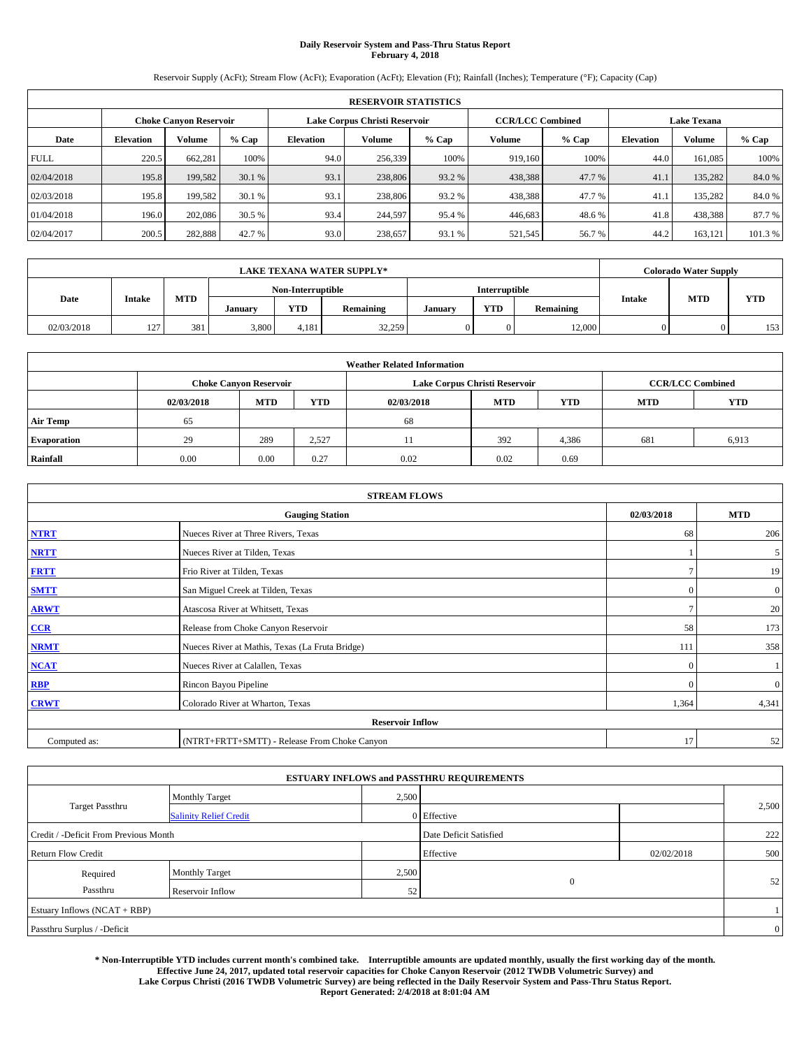# **Daily Reservoir System and Pass-Thru Status Report February 4, 2018**

Reservoir Supply (AcFt); Stream Flow (AcFt); Evaporation (AcFt); Elevation (Ft); Rainfall (Inches); Temperature (°F); Capacity (Cap)

|             | <b>RESERVOIR STATISTICS</b> |                               |         |                  |                               |         |                         |         |                  |                    |         |
|-------------|-----------------------------|-------------------------------|---------|------------------|-------------------------------|---------|-------------------------|---------|------------------|--------------------|---------|
|             |                             | <b>Choke Canyon Reservoir</b> |         |                  | Lake Corpus Christi Reservoir |         | <b>CCR/LCC Combined</b> |         |                  | <b>Lake Texana</b> |         |
| Date        | <b>Elevation</b>            | Volume                        | $%$ Cap | <b>Elevation</b> | Volume                        | $%$ Cap | Volume                  | $%$ Cap | <b>Elevation</b> | <b>Volume</b>      | $%$ Cap |
| <b>FULL</b> | 220.5                       | 662,281                       | 100%    | 94.0             | 256,339                       | 100%    | 919.160                 | 100%    | 44.0             | 161.085            | 100%    |
| 02/04/2018  | 195.8                       | 199,582                       | 30.1 %  | 93.1             | 238,806                       | 93.2 %  | 438,388                 | 47.7 %  | 41.              | 135,282            | 84.0%   |
| 02/03/2018  | 195.8                       | 199.582                       | 30.1 %  | 93.1             | 238,806                       | 93.2 %  | 438,388                 | 47.7%   | 41.              | 135.282            | 84.0%   |
| 01/04/2018  | 196.0                       | 202,086                       | 30.5 %  | 93.4             | 244,597                       | 95.4 %  | 446,683                 | 48.6%   | 41.8             | 438,388            | 87.7 %  |
| 02/04/2017  | 200.5                       | 282,888                       | 42.7 %  | 93.0             | 238,657                       | 93.1 %  | 521,545                 | 56.7%   | 44.2             | 163.121            | 101.3 % |

| <b>LAKE TEXANA WATER SUPPLY*</b> |               |            |         |                   |           |         |               |           | <b>Colorado Water Supply</b> |            |                  |
|----------------------------------|---------------|------------|---------|-------------------|-----------|---------|---------------|-----------|------------------------------|------------|------------------|
|                                  |               |            |         | Non-Interruptible |           |         | Interruptible |           |                              |            |                  |
| Date                             | <b>Intake</b> | <b>MTD</b> | January | <b>YTD</b>        | Remaining | January | <b>YTD</b>    | Remaining | <b>Intake</b>                | <b>MTD</b> | <b>YTD</b>       |
| 02/03/2018                       | 127           | 381        | 3,800   | 4.181             | 32,259    |         |               | 12,000    |                              |            | 153 <sub>1</sub> |

| <b>Weather Related Information</b> |            |                               |                                                                                  |      |                               |                         |     |       |  |  |
|------------------------------------|------------|-------------------------------|----------------------------------------------------------------------------------|------|-------------------------------|-------------------------|-----|-------|--|--|
|                                    |            | <b>Choke Canyon Reservoir</b> |                                                                                  |      | Lake Corpus Christi Reservoir | <b>CCR/LCC Combined</b> |     |       |  |  |
|                                    | 02/03/2018 | <b>MTD</b>                    | <b>YTD</b><br><b>YTD</b><br><b>YTD</b><br><b>MTD</b><br><b>MTD</b><br>02/03/2018 |      |                               |                         |     |       |  |  |
| <b>Air Temp</b>                    | 65         |                               |                                                                                  | 68   |                               |                         |     |       |  |  |
| <b>Evaporation</b>                 | 29         | 289                           | 2,527                                                                            |      | 392                           | 4,386                   | 681 | 6,913 |  |  |
| Rainfall                           | 0.00       | 0.00                          | 0.27                                                                             | 0.02 | 0.02                          | 0.69                    |     |       |  |  |

| <b>STREAM FLOWS</b> |                                                 |            |                |  |  |  |  |  |
|---------------------|-------------------------------------------------|------------|----------------|--|--|--|--|--|
|                     | <b>Gauging Station</b>                          | 02/03/2018 | <b>MTD</b>     |  |  |  |  |  |
| <b>NTRT</b>         | Nueces River at Three Rivers, Texas             | 68         | 206            |  |  |  |  |  |
| <b>NRTT</b>         | Nueces River at Tilden, Texas                   |            | 5 <sub>5</sub> |  |  |  |  |  |
| <b>FRTT</b>         | Frio River at Tilden, Texas                     |            | 19             |  |  |  |  |  |
| <b>SMTT</b>         | San Miguel Creek at Tilden, Texas               | $\bf{0}$   | $\overline{0}$ |  |  |  |  |  |
| <b>ARWT</b>         | Atascosa River at Whitsett, Texas               |            | 20             |  |  |  |  |  |
| CCR                 | Release from Choke Canyon Reservoir             | 58         | 173            |  |  |  |  |  |
| <b>NRMT</b>         | Nueces River at Mathis, Texas (La Fruta Bridge) | 111        | 358            |  |  |  |  |  |
| <b>NCAT</b>         | Nueces River at Calallen, Texas                 | $\Omega$   |                |  |  |  |  |  |
| RBP                 | Rincon Bayou Pipeline                           | $\Omega$   | $\overline{0}$ |  |  |  |  |  |
| <b>CRWT</b>         | Colorado River at Wharton, Texas                | 1,364      | 4,341          |  |  |  |  |  |
|                     | <b>Reservoir Inflow</b>                         |            |                |  |  |  |  |  |
| Computed as:        | (NTRT+FRTT+SMTT) - Release From Choke Canyon    | 17         | 52             |  |  |  |  |  |

|                                       |                               |       | <b>ESTUARY INFLOWS and PASSTHRU REQUIREMENTS</b> |            |                |
|---------------------------------------|-------------------------------|-------|--------------------------------------------------|------------|----------------|
|                                       | Monthly Target                | 2,500 |                                                  |            |                |
| <b>Target Passthru</b>                | <b>Salinity Relief Credit</b> |       | 0 Effective                                      |            | 2,500          |
| Credit / -Deficit From Previous Month |                               |       | Date Deficit Satisfied                           |            | 222            |
| <b>Return Flow Credit</b>             |                               |       | Effective                                        | 02/02/2018 | 500            |
| Required                              | Monthly Target                | 2,500 |                                                  |            |                |
| Passthru                              | Reservoir Inflow              | 52    | $\mathbf{0}$                                     |            | 52             |
| Estuary Inflows (NCAT + RBP)          |                               |       |                                                  |            |                |
| Passthru Surplus / -Deficit           |                               |       |                                                  |            | $\overline{0}$ |

**\* Non-Interruptible YTD includes current month's combined take. Interruptible amounts are updated monthly, usually the first working day of the month. Effective June 24, 2017, updated total reservoir capacities for Choke Canyon Reservoir (2012 TWDB Volumetric Survey) and Lake Corpus Christi (2016 TWDB Volumetric Survey) are being reflected in the Daily Reservoir System and Pass-Thru Status Report. Report Generated: 2/4/2018 at 8:01:04 AM**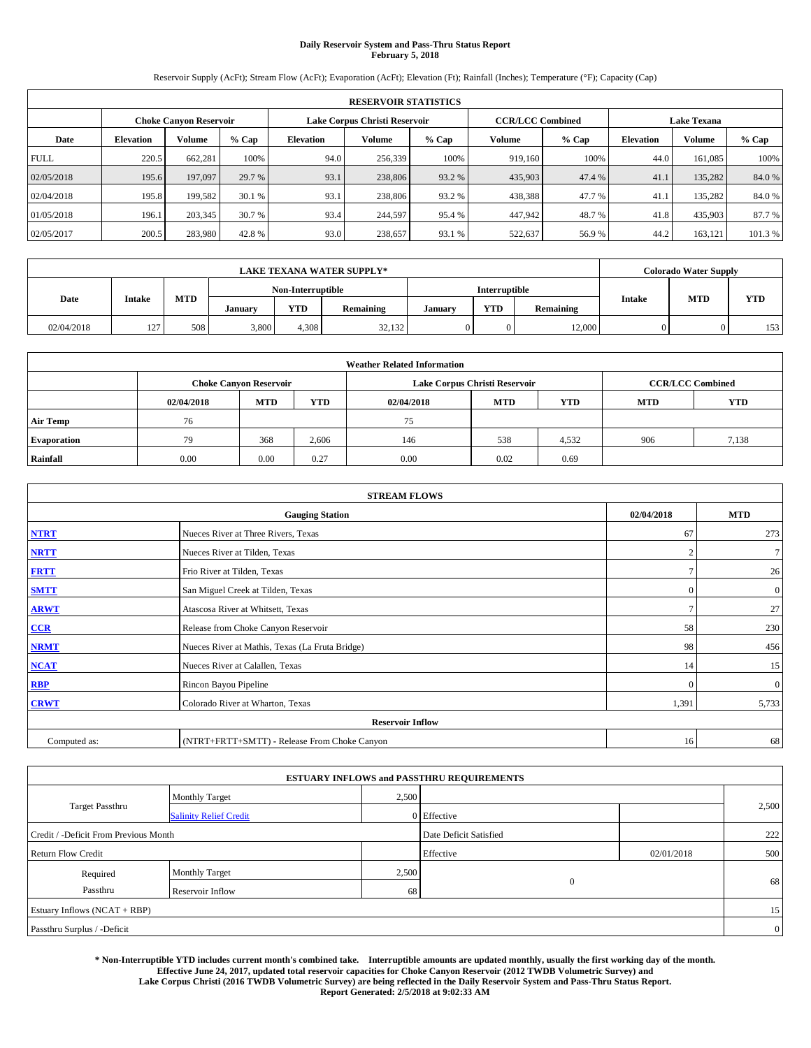# **Daily Reservoir System and Pass-Thru Status Report February 5, 2018**

Reservoir Supply (AcFt); Stream Flow (AcFt); Evaporation (AcFt); Elevation (Ft); Rainfall (Inches); Temperature (°F); Capacity (Cap)

|             | <b>RESERVOIR STATISTICS</b> |                               |         |                  |                               |         |                         |         |                  |                    |         |
|-------------|-----------------------------|-------------------------------|---------|------------------|-------------------------------|---------|-------------------------|---------|------------------|--------------------|---------|
|             |                             | <b>Choke Canyon Reservoir</b> |         |                  | Lake Corpus Christi Reservoir |         | <b>CCR/LCC Combined</b> |         |                  | <b>Lake Texana</b> |         |
| Date        | <b>Elevation</b>            | Volume                        | $%$ Cap | <b>Elevation</b> | Volume                        | $%$ Cap | Volume                  | $%$ Cap | <b>Elevation</b> | <b>Volume</b>      | % Cap   |
| <b>FULL</b> | 220.5                       | 662.281                       | 100%    | 94.0             | 256,339                       | 100%    | 919.160                 | 100%    | 44.0             | 161.085            | 100%    |
| 02/05/2018  | 195.6                       | 197,097                       | 29.7 %  | 93.1             | 238,806                       | 93.2 %  | 435,903                 | 47.4 %  | 41.              | 135.282            | 84.0%   |
| 02/04/2018  | 195.8                       | 199.582                       | 30.1 %  | 93.1             | 238,806                       | 93.2 %  | 438,388                 | 47.7 %  | 41.              | 135.282            | 84.0%   |
| 01/05/2018  | 196.1                       | 203,345                       | 30.7 %  | 93.4             | 244,597                       | 95.4 %  | 447.942                 | 48.7 %  | 41.8             | 435,903            | 87.7 %  |
| 02/05/2017  | 200.5                       | 283,980                       | 42.8%   | 93.0             | 238,657                       | 93.1 %  | 522,637                 | 56.9%   | 44.2             | 163.121            | 101.3 % |

| <b>LAKE TEXANA WATER SUPPLY*</b> |               |            |         |                   |           |         |               |           | <b>Colorado Water Supply</b> |            |                  |
|----------------------------------|---------------|------------|---------|-------------------|-----------|---------|---------------|-----------|------------------------------|------------|------------------|
|                                  |               |            |         | Non-Interruptible |           |         | Interruptible |           |                              |            |                  |
| Date                             | <b>Intake</b> | <b>MTD</b> | January | <b>YTD</b>        | Remaining | January | <b>YTD</b>    | Remaining | <b>Intake</b>                | <b>MTD</b> | <b>YTD</b>       |
| 02/04/2018                       | 127           | 508        | 3,800   | 4.308             | 32.132    |         |               | 12,000    |                              |            | 153 <sub>1</sub> |

| <b>Weather Related Information</b> |            |                               |            |            |                               |                         |            |            |  |
|------------------------------------|------------|-------------------------------|------------|------------|-------------------------------|-------------------------|------------|------------|--|
|                                    |            | <b>Choke Canyon Reservoir</b> |            |            | Lake Corpus Christi Reservoir | <b>CCR/LCC Combined</b> |            |            |  |
|                                    | 02/04/2018 | <b>MTD</b>                    | <b>YTD</b> | 02/04/2018 | <b>MTD</b>                    | <b>YTD</b>              | <b>MTD</b> | <b>YTD</b> |  |
| <b>Air Temp</b>                    | 76         |                               |            | 75         |                               |                         |            |            |  |
| <b>Evaporation</b>                 | 79         | 368                           | 2,606      | 146        | 538                           | 4,532                   | 906        | 7,138      |  |
| Rainfall                           | 0.00       | 0.00                          | 0.27       | 0.00       | 0.02                          | 0.69                    |            |            |  |

| <b>STREAM FLOWS</b> |                                                 |            |                |  |  |  |  |  |
|---------------------|-------------------------------------------------|------------|----------------|--|--|--|--|--|
|                     | <b>Gauging Station</b>                          | 02/04/2018 | <b>MTD</b>     |  |  |  |  |  |
| <b>NTRT</b>         | Nueces River at Three Rivers, Texas             | 67         | 273            |  |  |  |  |  |
| <b>NRTT</b>         | Nueces River at Tilden, Texas                   | n          | 7 <sup>1</sup> |  |  |  |  |  |
| <b>FRTT</b>         | Frio River at Tilden, Texas                     |            | 26             |  |  |  |  |  |
| <b>SMTT</b>         | San Miguel Creek at Tilden, Texas               | $\bf{0}$   | $\overline{0}$ |  |  |  |  |  |
| <b>ARWT</b>         | Atascosa River at Whitsett, Texas               |            | 27             |  |  |  |  |  |
| CCR                 | Release from Choke Canyon Reservoir             | 58         | 230            |  |  |  |  |  |
| <b>NRMT</b>         | Nueces River at Mathis, Texas (La Fruta Bridge) | 98         | 456            |  |  |  |  |  |
| <b>NCAT</b>         | Nueces River at Calallen, Texas                 | 14         | 15             |  |  |  |  |  |
| RBP                 | Rincon Bayou Pipeline                           | $\Omega$   | $\overline{0}$ |  |  |  |  |  |
| <b>CRWT</b>         | Colorado River at Wharton, Texas                | 1,391      | 5,733          |  |  |  |  |  |
|                     |                                                 |            |                |  |  |  |  |  |
| Computed as:        | (NTRT+FRTT+SMTT) - Release From Choke Canyon    | 16         | 68             |  |  |  |  |  |

| <b>ESTUARY INFLOWS and PASSTHRU REQUIREMENTS</b> |                               |       |                        |            |       |  |  |  |  |  |
|--------------------------------------------------|-------------------------------|-------|------------------------|------------|-------|--|--|--|--|--|
|                                                  | Monthly Target                | 2,500 |                        |            |       |  |  |  |  |  |
| <b>Target Passthru</b>                           | <b>Salinity Relief Credit</b> |       | 0 Effective            |            | 2,500 |  |  |  |  |  |
| Credit / -Deficit From Previous Month            |                               |       | Date Deficit Satisfied |            | 222   |  |  |  |  |  |
| <b>Return Flow Credit</b>                        |                               |       | Effective              | 02/01/2018 | 500   |  |  |  |  |  |
| Required                                         | Monthly Target                | 2,500 |                        |            |       |  |  |  |  |  |
| Passthru                                         | Reservoir Inflow              | 68    | $\mathbf{0}$           |            | 68    |  |  |  |  |  |
| Estuary Inflows (NCAT + RBP)                     |                               |       |                        |            |       |  |  |  |  |  |
| Passthru Surplus / -Deficit                      |                               |       |                        |            |       |  |  |  |  |  |

**\* Non-Interruptible YTD includes current month's combined take. Interruptible amounts are updated monthly, usually the first working day of the month. Effective June 24, 2017, updated total reservoir capacities for Choke Canyon Reservoir (2012 TWDB Volumetric Survey) and Lake Corpus Christi (2016 TWDB Volumetric Survey) are being reflected in the Daily Reservoir System and Pass-Thru Status Report. Report Generated: 2/5/2018 at 9:02:33 AM**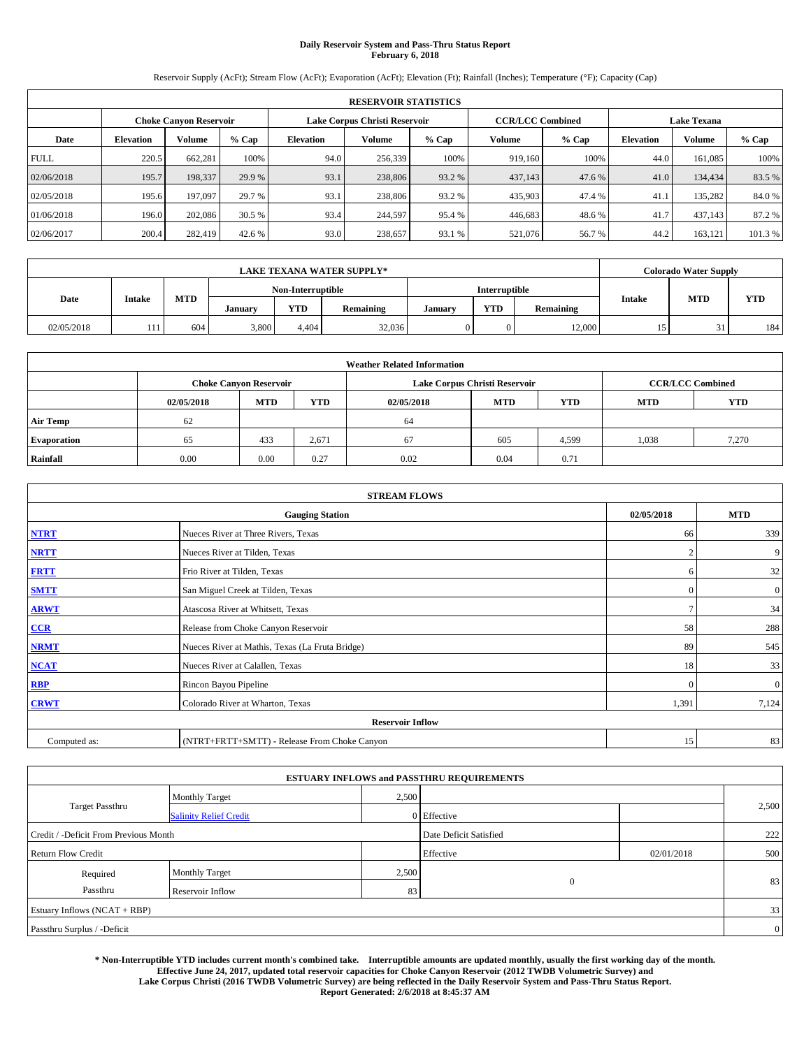# **Daily Reservoir System and Pass-Thru Status Report February 6, 2018**

Reservoir Supply (AcFt); Stream Flow (AcFt); Evaporation (AcFt); Elevation (Ft); Rainfall (Inches); Temperature (°F); Capacity (Cap)

|                        | <b>RESERVOIR STATISTICS</b> |         |         |                  |                               |         |                                               |         |                  |               |         |
|------------------------|-----------------------------|---------|---------|------------------|-------------------------------|---------|-----------------------------------------------|---------|------------------|---------------|---------|
| Choke Canvon Reservoir |                             |         |         |                  | Lake Corpus Christi Reservoir |         | <b>CCR/LCC Combined</b><br><b>Lake Texana</b> |         |                  |               |         |
| Date                   | <b>Elevation</b>            | Volume  | $%$ Cap | <b>Elevation</b> | Volume                        | $%$ Cap | Volume                                        | $%$ Cap | <b>Elevation</b> | <b>Volume</b> | % Cap   |
| <b>FULL</b>            | 220.5                       | 662,281 | 100%    | 94.0             | 256,339                       | 100%    | 919.160                                       | 100%    | 44.0             | 161.085       | 100%    |
| 02/06/2018             | 195.7                       | 198,337 | 29.9 %  | 93.1             | 238,806                       | 93.2 %  | 437,143                                       | 47.6 %  | 41.0             | 134,434       | 83.5 %  |
| 02/05/2018             | 195.6                       | 197,097 | 29.7 %  | 93.1             | 238,806                       | 93.2 %  | 435,903                                       | 47.4 %  | 41.              | 135,282       | 84.0%   |
| 01/06/2018             | 196.0                       | 202,086 | 30.5 %  | 93.4             | 244,597                       | 95.4 %  | 446.683                                       | 48.6%   | 41.7             | 437.143       | 87.2 %  |
| 02/06/2017             | 200.4                       | 282,419 | 42.6 %  | 93.0             | 238,657                       | 93.1 %  | 521,076                                       | 56.7%   | 44.2             | 163,121       | 101.3 % |

|            |        |            |                   |            | <b>LAKE TEXANA WATER SUPPLY*</b> |               |            |           |               | <b>Colorado Water Supply</b> |            |
|------------|--------|------------|-------------------|------------|----------------------------------|---------------|------------|-----------|---------------|------------------------------|------------|
|            |        |            | Non-Interruptible |            |                                  | Interruptible |            |           |               |                              |            |
| Date       | Intake | <b>MTD</b> | January           | <b>YTD</b> | Remaining                        | January       | <b>YTD</b> | Remaining | <b>Intake</b> | <b>MTD</b>                   | <b>YTD</b> |
| 02/05/2018 | 111    | 604        | 3,800             | 4.404      | 32,036                           |               |            | 12,000    | 15            | ັ                            | 184        |

| <b>Weather Related Information</b> |            |                                                                                  |       |      |                                                          |       |       |            |  |  |
|------------------------------------|------------|----------------------------------------------------------------------------------|-------|------|----------------------------------------------------------|-------|-------|------------|--|--|
|                                    |            | <b>Choke Canyon Reservoir</b>                                                    |       |      | <b>CCR/LCC Combined</b><br>Lake Corpus Christi Reservoir |       |       |            |  |  |
|                                    | 02/05/2018 | <b>MTD</b><br><b>YTD</b><br><b>YTD</b><br><b>MTD</b><br><b>MTD</b><br>02/05/2018 |       |      |                                                          |       |       | <b>YTD</b> |  |  |
| <b>Air Temp</b>                    | 62         |                                                                                  |       | 64   |                                                          |       |       |            |  |  |
| <b>Evaporation</b>                 | 65         | 433                                                                              | 2,671 | 67   | 605                                                      | 4,599 | 1,038 | 7,270      |  |  |
| Rainfall                           | 0.00       | 0.00                                                                             | 0.27  | 0.02 | 0.04                                                     | 0.71  |       |            |  |  |

|              | <b>STREAM FLOWS</b>                             |                |                  |
|--------------|-------------------------------------------------|----------------|------------------|
|              | <b>Gauging Station</b>                          | 02/05/2018     | <b>MTD</b>       |
| <b>NTRT</b>  | Nueces River at Three Rivers, Texas             | 66             | 339              |
| <b>NRTT</b>  | Nueces River at Tilden, Texas                   | $\overline{2}$ | 9                |
| <b>FRTT</b>  | Frio River at Tilden, Texas                     | 6              | 32               |
| <b>SMTT</b>  | San Miguel Creek at Tilden, Texas               | $\mathbf{0}$   | $\boldsymbol{0}$ |
| <b>ARWT</b>  | Atascosa River at Whitsett, Texas               | $\mathcal{I}$  | 34               |
| $CCR$        | Release from Choke Canyon Reservoir             | 58             | 288              |
| <b>NRMT</b>  | Nueces River at Mathis, Texas (La Fruta Bridge) | 89             | 545              |
| <b>NCAT</b>  | Nueces River at Calallen, Texas                 | 18             | 33               |
| RBP          | Rincon Bayou Pipeline                           | $\Omega$       | $\mathbf{0}$     |
| <b>CRWT</b>  | Colorado River at Wharton, Texas                | 1,391          | 7,124            |
|              | <b>Reservoir Inflow</b>                         |                |                  |
| Computed as: | (NTRT+FRTT+SMTT) - Release From Choke Canyon    | 15             | 83               |

| <b>ESTUARY INFLOWS and PASSTHRU REQUIREMENTS</b> |                               |           |                        |     |       |  |  |  |  |  |
|--------------------------------------------------|-------------------------------|-----------|------------------------|-----|-------|--|--|--|--|--|
|                                                  | <b>Monthly Target</b>         | 2,500     |                        |     |       |  |  |  |  |  |
| <b>Target Passthru</b>                           | <b>Salinity Relief Credit</b> |           | 0 Effective            |     | 2,500 |  |  |  |  |  |
| Credit / -Deficit From Previous Month            |                               |           | Date Deficit Satisfied |     | 222   |  |  |  |  |  |
| <b>Return Flow Credit</b>                        |                               | Effective | 02/01/2018             | 500 |       |  |  |  |  |  |
| Required                                         | Monthly Target                | 2,500     |                        |     |       |  |  |  |  |  |
| Passthru                                         | Reservoir Inflow              | 83        | $\mathbf{0}$           |     | 83    |  |  |  |  |  |
| Estuary Inflows (NCAT + RBP)                     |                               |           |                        |     |       |  |  |  |  |  |
| Passthru Surplus / -Deficit                      |                               |           |                        |     |       |  |  |  |  |  |

**\* Non-Interruptible YTD includes current month's combined take. Interruptible amounts are updated monthly, usually the first working day of the month. Effective June 24, 2017, updated total reservoir capacities for Choke Canyon Reservoir (2012 TWDB Volumetric Survey) and Lake Corpus Christi (2016 TWDB Volumetric Survey) are being reflected in the Daily Reservoir System and Pass-Thru Status Report. Report Generated: 2/6/2018 at 8:45:37 AM**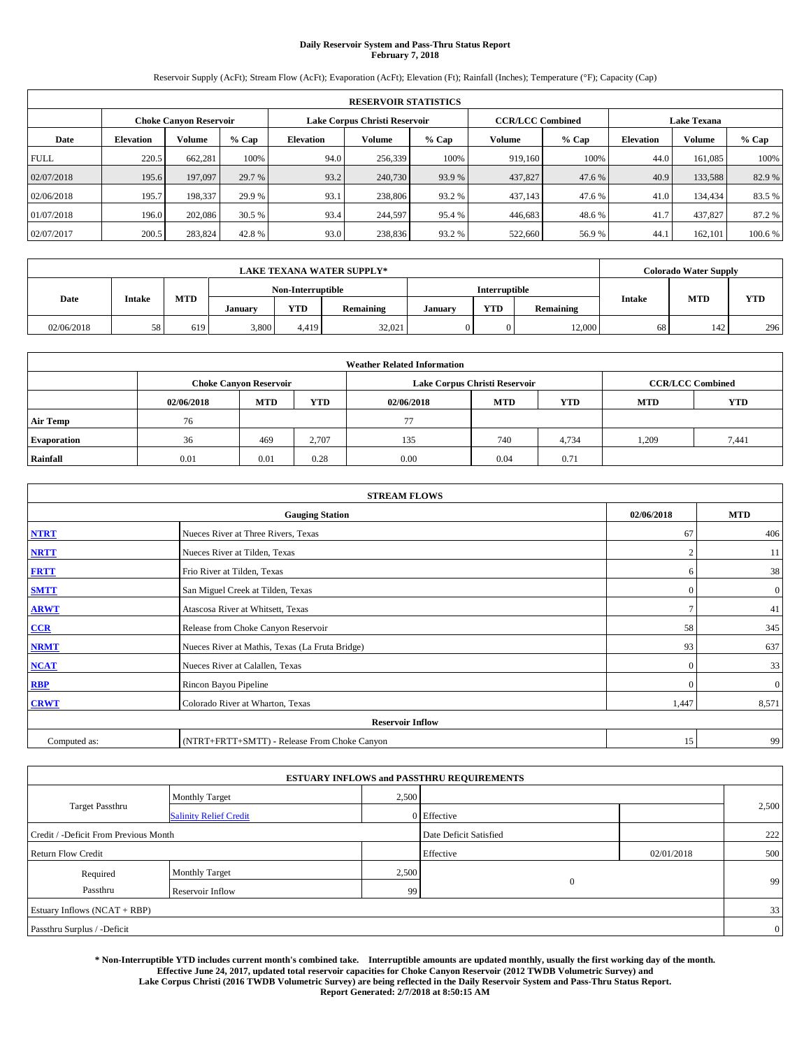# **Daily Reservoir System and Pass-Thru Status Report February 7, 2018**

Reservoir Supply (AcFt); Stream Flow (AcFt); Evaporation (AcFt); Elevation (Ft); Rainfall (Inches); Temperature (°F); Capacity (Cap)

|                                                         | <b>RESERVOIR STATISTICS</b> |         |         |                  |         |         |                         |         |                  |                    |         |
|---------------------------------------------------------|-----------------------------|---------|---------|------------------|---------|---------|-------------------------|---------|------------------|--------------------|---------|
| Lake Corpus Christi Reservoir<br>Choke Canvon Reservoir |                             |         |         |                  |         |         | <b>CCR/LCC Combined</b> |         |                  | <b>Lake Texana</b> |         |
| Date                                                    | <b>Elevation</b>            | Volume  | $%$ Cap | <b>Elevation</b> | Volume  | $%$ Cap | Volume                  | $%$ Cap | <b>Elevation</b> | <b>Volume</b>      | % Cap   |
| <b>FULL</b>                                             | 220.5                       | 662,281 | 100%    | 94.0             | 256,339 | 100%    | 919.160                 | 100%    | 44.0             | 161.085            | 100%    |
| 02/07/2018                                              | 195.6                       | 197,097 | 29.7 %  | 93.2             | 240,730 | 93.9%   | 437,827                 | 47.6 %  | 40.9             | 133,588            | 82.9%   |
| 02/06/2018                                              | 195.7                       | 198,337 | 29.9 %  | 93.1             | 238,806 | 93.2 %  | 437,143                 | 47.6 %  | 41.0             | 134,434            | 83.5 %  |
| 01/07/2018                                              | 196.0                       | 202,086 | 30.5 %  | 93.4             | 244,597 | 95.4 %  | 446.683                 | 48.6%   | 41.7             | 437,827            | 87.2 %  |
| 02/07/2017                                              | 200.5                       | 283,824 | 42.8%   | 93.0             | 238,836 | 93.2 %  | 522,660                 | 56.9%   | 44.              | 162,101            | 100.6 % |

|            |        |            |         |                   | <b>LAKE TEXANA WATER SUPPLY*</b> |         |               |           |               | <b>Colorado Water Supply</b> |            |
|------------|--------|------------|---------|-------------------|----------------------------------|---------|---------------|-----------|---------------|------------------------------|------------|
|            |        |            |         | Non-Interruptible |                                  |         | Interruptible |           |               |                              |            |
| Date       | Intake | <b>MTD</b> | January | <b>YTD</b>        | Remaining                        | January | <b>YTD</b>    | Remaining | <b>Intake</b> | <b>MTD</b>                   | <b>YTD</b> |
| 02/06/2018 | 58     | 619        | 3,800   | 4.419             | 32.021                           |         |               | 12,000    | 68            | 142                          | 296        |

| <b>Weather Related Information</b> |            |                               |                                                                    |      |                               |       |                         |            |  |  |
|------------------------------------|------------|-------------------------------|--------------------------------------------------------------------|------|-------------------------------|-------|-------------------------|------------|--|--|
|                                    |            | <b>Choke Canvon Reservoir</b> |                                                                    |      | Lake Corpus Christi Reservoir |       | <b>CCR/LCC Combined</b> |            |  |  |
|                                    | 02/06/2018 | <b>MTD</b>                    | <b>YTD</b><br><b>YTD</b><br><b>MTD</b><br><b>MTD</b><br>02/06/2018 |      |                               |       |                         | <b>YTD</b> |  |  |
| <b>Air Temp</b>                    | 76         |                               |                                                                    | 77   |                               |       |                         |            |  |  |
| <b>Evaporation</b>                 | 36         | 469                           | 2.707                                                              | 135  | 740                           | 4,734 | 1.209                   | 7,441      |  |  |
| Rainfall                           | 0.01       | 0.01                          | 0.28                                                               | 0.00 | 0.04                          | 0.71  |                         |            |  |  |

|              | <b>STREAM FLOWS</b>                             |                |                  |
|--------------|-------------------------------------------------|----------------|------------------|
|              | <b>Gauging Station</b>                          | 02/06/2018     | <b>MTD</b>       |
| <b>NTRT</b>  | Nueces River at Three Rivers, Texas             | 67             | 406              |
| <b>NRTT</b>  | Nueces River at Tilden, Texas                   | $\overline{2}$ | 11               |
| <b>FRTT</b>  | Frio River at Tilden, Texas                     | 6              | 38               |
| <b>SMTT</b>  | San Miguel Creek at Tilden, Texas               | $\mathbf{0}$   | $\boldsymbol{0}$ |
| <b>ARWT</b>  | Atascosa River at Whitsett, Texas               | $\mathcal{I}$  | 41               |
| $CCR$        | Release from Choke Canyon Reservoir             | 58             | 345              |
| <b>NRMT</b>  | Nueces River at Mathis, Texas (La Fruta Bridge) | 93             | 637              |
| <b>NCAT</b>  | Nueces River at Calallen, Texas                 | $\Omega$       | 33               |
| RBP          | Rincon Bayou Pipeline                           | $\Omega$       | $\mathbf{0}$     |
| <b>CRWT</b>  | Colorado River at Wharton, Texas                | 1,447          | 8,571            |
|              | <b>Reservoir Inflow</b>                         |                |                  |
| Computed as: | (NTRT+FRTT+SMTT) - Release From Choke Canyon    | 15             | 99               |

| <b>ESTUARY INFLOWS and PASSTHRU REQUIREMENTS</b> |                               |       |                        |            |       |  |  |  |  |  |
|--------------------------------------------------|-------------------------------|-------|------------------------|------------|-------|--|--|--|--|--|
|                                                  | <b>Monthly Target</b>         | 2,500 |                        |            |       |  |  |  |  |  |
| <b>Target Passthru</b>                           | <b>Salinity Relief Credit</b> |       | 0 Effective            |            | 2,500 |  |  |  |  |  |
| Credit / -Deficit From Previous Month            |                               |       | Date Deficit Satisfied |            | 222   |  |  |  |  |  |
| <b>Return Flow Credit</b>                        |                               |       | Effective              | 02/01/2018 | 500   |  |  |  |  |  |
| Required                                         | <b>Monthly Target</b>         | 2,500 |                        |            |       |  |  |  |  |  |
| Passthru                                         | Reservoir Inflow              | 99    | $\mathbf{0}$           |            | 99    |  |  |  |  |  |
| Estuary Inflows (NCAT + RBP)                     |                               |       |                        |            |       |  |  |  |  |  |
| Passthru Surplus / -Deficit                      |                               |       |                        |            |       |  |  |  |  |  |

**\* Non-Interruptible YTD includes current month's combined take. Interruptible amounts are updated monthly, usually the first working day of the month. Effective June 24, 2017, updated total reservoir capacities for Choke Canyon Reservoir (2012 TWDB Volumetric Survey) and Lake Corpus Christi (2016 TWDB Volumetric Survey) are being reflected in the Daily Reservoir System and Pass-Thru Status Report. Report Generated: 2/7/2018 at 8:50:15 AM**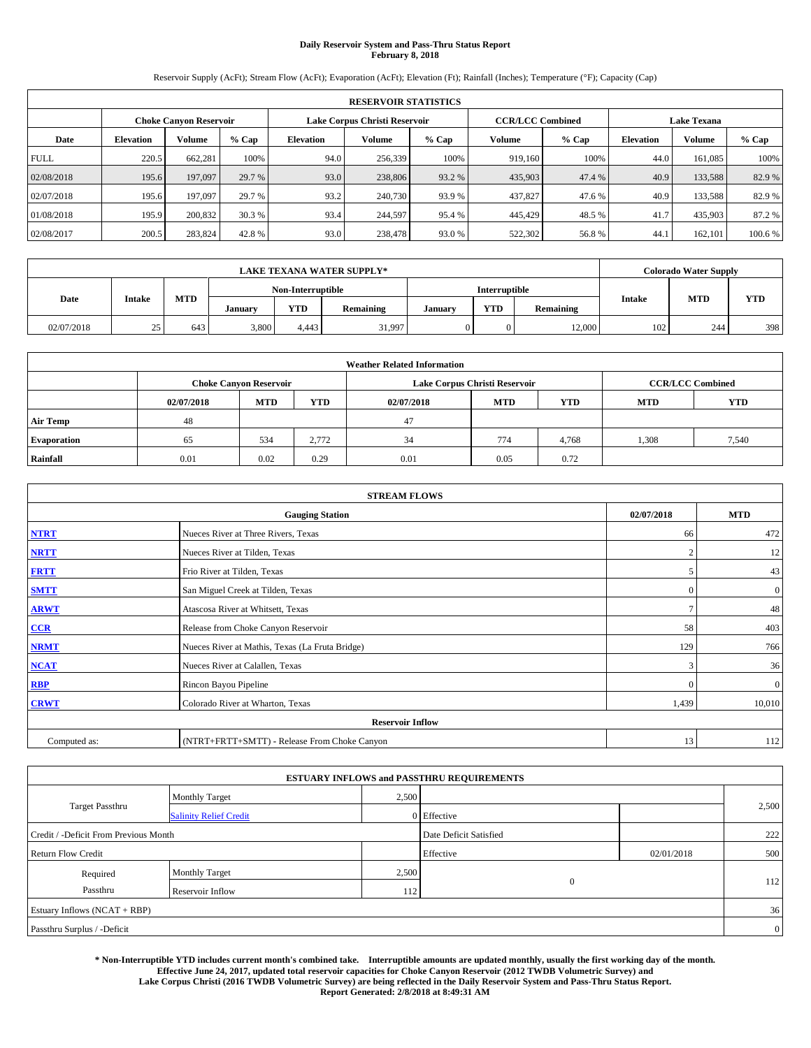# **Daily Reservoir System and Pass-Thru Status Report February 8, 2018**

Reservoir Supply (AcFt); Stream Flow (AcFt); Evaporation (AcFt); Elevation (Ft); Rainfall (Inches); Temperature (°F); Capacity (Cap)

|             | <b>RESERVOIR STATISTICS</b> |                               |         |                  |                               |         |                         |         |                    |               |         |
|-------------|-----------------------------|-------------------------------|---------|------------------|-------------------------------|---------|-------------------------|---------|--------------------|---------------|---------|
|             |                             | <b>Choke Canyon Reservoir</b> |         |                  | Lake Corpus Christi Reservoir |         | <b>CCR/LCC Combined</b> |         | <b>Lake Texana</b> |               |         |
| Date        | <b>Elevation</b>            | Volume                        | $%$ Cap | <b>Elevation</b> | Volume                        | $%$ Cap | Volume                  | $%$ Cap | <b>Elevation</b>   | <b>Volume</b> | % Cap   |
| <b>FULL</b> | 220.5                       | 662,281                       | 100%    | 94.0             | 256,339                       | 100%    | 919.160                 | 100%    | 44.0               | 161.085       | 100%    |
| 02/08/2018  | 195.6                       | 197,097                       | 29.7 %  | 93.0             | 238,806                       | 93.2 %  | 435,903                 | 47.4 %  | 40.9               | 133,588       | 82.9%   |
| 02/07/2018  | 195.6                       | 197,097                       | 29.7 %  | 93.2             | 240,730                       | 93.9 %  | 437,827                 | 47.6%   | 40.9               | 133.588       | 82.9%   |
| 01/08/2018  | 195.9                       | 200,832                       | 30.3 %  | 93.4             | 244,597                       | 95.4 %  | 445,429                 | 48.5 %  | 41.7               | 435,903       | 87.2 %  |
| 02/08/2017  | 200.5                       | 283,824                       | 42.8%   | 93.0             | 238,478                       | 93.0%   | 522,302                 | 56.8%   | 44.                | 162.101       | 100.6 % |

|            |               |            |         |                   | <b>LAKE TEXANA WATER SUPPLY*</b> |         |               |           |               | <b>Colorado Water Supply</b> |            |
|------------|---------------|------------|---------|-------------------|----------------------------------|---------|---------------|-----------|---------------|------------------------------|------------|
|            |               |            |         | Non-Interruptible |                                  |         | Interruptible |           |               | <b>MTD</b>                   |            |
| Date       | <b>Intake</b> | <b>MTD</b> | January | <b>YTD</b>        | Remaining                        | January | <b>YTD</b>    | Remaining | <b>Intake</b> |                              | <b>YTD</b> |
| 02/07/2018 | 25<br>رے      | 643        | 3,800   | 4.443             | 31,997                           |         | 0             | 12,000    | 102           | 244                          | 398        |

|                    | <b>Weather Related Information</b>                                                             |                               |       |      |                               |                         |       |            |  |  |  |  |
|--------------------|------------------------------------------------------------------------------------------------|-------------------------------|-------|------|-------------------------------|-------------------------|-------|------------|--|--|--|--|
|                    |                                                                                                | <b>Choke Canyon Reservoir</b> |       |      | Lake Corpus Christi Reservoir | <b>CCR/LCC Combined</b> |       |            |  |  |  |  |
|                    | <b>MTD</b><br><b>YTD</b><br><b>YTD</b><br><b>MTD</b><br><b>MTD</b><br>02/07/2018<br>02/07/2018 |                               |       |      |                               |                         |       | <b>YTD</b> |  |  |  |  |
| <b>Air Temp</b>    | 48                                                                                             |                               |       | 47   |                               |                         |       |            |  |  |  |  |
| <b>Evaporation</b> | 65                                                                                             | 534                           | 2.772 | 34   | 774                           | 4,768                   | 1,308 | 7,540      |  |  |  |  |
| Rainfall           | 0.01                                                                                           | 0.02                          | 0.29  | 0.01 | 0.05                          | 0.72                    |       |            |  |  |  |  |

| <b>STREAM FLOWS</b> |                                                 |                |                  |  |  |  |  |  |
|---------------------|-------------------------------------------------|----------------|------------------|--|--|--|--|--|
|                     | <b>Gauging Station</b>                          | 02/07/2018     | <b>MTD</b>       |  |  |  |  |  |
| <b>NTRT</b>         | Nueces River at Three Rivers, Texas             | 66             | 472              |  |  |  |  |  |
| <b>NRTT</b>         | Nueces River at Tilden, Texas                   | $\mathfrak{D}$ | 12               |  |  |  |  |  |
| <b>FRTT</b>         | Frio River at Tilden, Texas                     |                | 43               |  |  |  |  |  |
| <b>SMTT</b>         | San Miguel Creek at Tilden, Texas               | $\mathbf{0}$   | $\boldsymbol{0}$ |  |  |  |  |  |
| <b>ARWT</b>         | Atascosa River at Whitsett, Texas               | $\mathcal{I}$  | 48               |  |  |  |  |  |
| CCR                 | Release from Choke Canyon Reservoir             | 58             | 403              |  |  |  |  |  |
| <b>NRMT</b>         | Nueces River at Mathis, Texas (La Fruta Bridge) | 129            | 766              |  |  |  |  |  |
| <b>NCAT</b>         | Nueces River at Calallen, Texas                 | $\mathcal{R}$  | 36               |  |  |  |  |  |
| <b>RBP</b>          | Rincon Bayou Pipeline                           | $\Omega$       | $\mathbf{0}$     |  |  |  |  |  |
| <b>CRWT</b>         | Colorado River at Wharton, Texas                | 1,439          | 10,010           |  |  |  |  |  |
|                     | <b>Reservoir Inflow</b>                         |                |                  |  |  |  |  |  |
| Computed as:        | (NTRT+FRTT+SMTT) - Release From Choke Canyon    | 13             | 112              |  |  |  |  |  |

|                                       |                               |       | <b>ESTUARY INFLOWS and PASSTHRU REQUIREMENTS</b> |            |                |
|---------------------------------------|-------------------------------|-------|--------------------------------------------------|------------|----------------|
|                                       | Monthly Target                | 2,500 |                                                  |            |                |
| <b>Target Passthru</b>                | <b>Salinity Relief Credit</b> |       | 0 Effective                                      |            | 2,500          |
| Credit / -Deficit From Previous Month |                               |       | Date Deficit Satisfied                           |            | 222            |
| <b>Return Flow Credit</b>             |                               |       | Effective                                        | 02/01/2018 | 500            |
| Required                              | Monthly Target                | 2,500 |                                                  |            |                |
| Passthru                              | Reservoir Inflow              | 112   | $\mathbf{0}$                                     |            | 112            |
| Estuary Inflows (NCAT + RBP)          |                               |       |                                                  |            | 36             |
| Passthru Surplus / -Deficit           |                               |       |                                                  |            | $\overline{0}$ |

**\* Non-Interruptible YTD includes current month's combined take. Interruptible amounts are updated monthly, usually the first working day of the month. Effective June 24, 2017, updated total reservoir capacities for Choke Canyon Reservoir (2012 TWDB Volumetric Survey) and Lake Corpus Christi (2016 TWDB Volumetric Survey) are being reflected in the Daily Reservoir System and Pass-Thru Status Report. Report Generated: 2/8/2018 at 8:49:31 AM**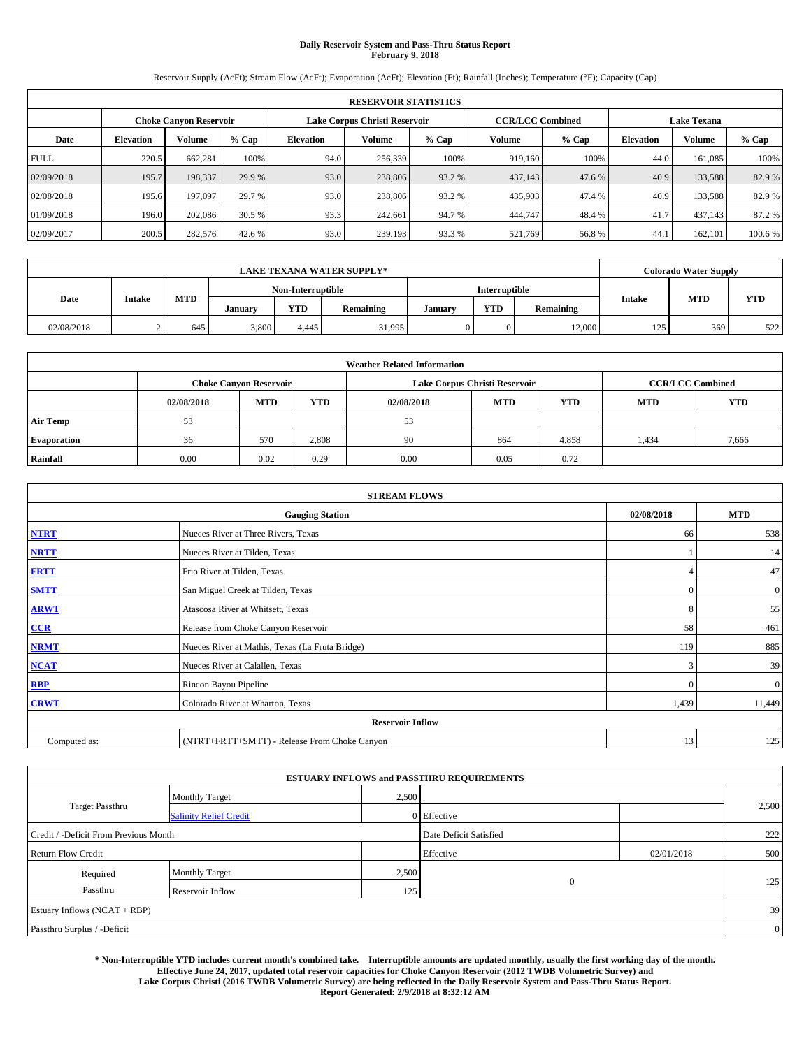# **Daily Reservoir System and Pass-Thru Status Report February 9, 2018**

Reservoir Supply (AcFt); Stream Flow (AcFt); Evaporation (AcFt); Elevation (Ft); Rainfall (Inches); Temperature (°F); Capacity (Cap)

|             | <b>RESERVOIR STATISTICS</b> |                               |         |                               |         |         |                         |         |                    |               |         |  |  |  |
|-------------|-----------------------------|-------------------------------|---------|-------------------------------|---------|---------|-------------------------|---------|--------------------|---------------|---------|--|--|--|
|             |                             | <b>Choke Canyon Reservoir</b> |         | Lake Corpus Christi Reservoir |         |         | <b>CCR/LCC Combined</b> |         | <b>Lake Texana</b> |               |         |  |  |  |
| Date        | <b>Elevation</b>            | Volume                        | $%$ Cap | <b>Elevation</b>              | Volume  | $%$ Cap | Volume                  | $%$ Cap | <b>Elevation</b>   | <b>Volume</b> | $%$ Cap |  |  |  |
| <b>FULL</b> | 220.5                       | 662,281                       | 100%    | 94.0                          | 256,339 | 100%    | 919.160                 | 100%    | 44.0               | 161.085       | 100%    |  |  |  |
| 02/09/2018  | 195.7                       | 198,337                       | 29.9 %  | 93.0                          | 238,806 | 93.2 %  | 437,143                 | 47.6 %  | 40.9               | 133,588       | 82.9%   |  |  |  |
| 02/08/2018  | 195.6                       | 197,097                       | 29.7 %  | 93.0                          | 238,806 | 93.2 %  | 435,903                 | 47.4 %  | 40.9               | 133.588       | 82.9%   |  |  |  |
| 01/09/2018  | 196.0                       | 202,086                       | 30.5 %  | 93.3                          | 242,661 | 94.7%   | 444,747                 | 48.4%   | 41.7               | 437,143       | 87.2 %  |  |  |  |
| 02/09/2017  | 200.5                       | 282,576                       | 42.6 %  | 93.0                          | 239,193 | 93.3 %  | 521,769                 | 56.8%   | 44.                | 162.101       | 100.6 % |  |  |  |

|            |               |            |         |                   | <b>LAKE TEXANA WATER SUPPLY*</b> |         |               |           |               | <b>Colorado Water Supply</b> |            |
|------------|---------------|------------|---------|-------------------|----------------------------------|---------|---------------|-----------|---------------|------------------------------|------------|
|            |               |            |         | Non-Interruptible |                                  |         | Interruptible |           |               | <b>MTD</b>                   |            |
| Date       | <b>Intake</b> | <b>MTD</b> | January | <b>YTD</b>        | Remaining                        | January | <b>YTD</b>    | Remaining | <b>Intake</b> |                              | <b>YTD</b> |
| 02/08/2018 |               | 645        | 3,800   | 4.445             | 31,995                           |         | 0             | 12,000    | 125           | 369                          | 522        |

|                    | <b>Weather Related Information</b>                                                             |                               |       |      |                               |                         |       |            |  |  |  |  |
|--------------------|------------------------------------------------------------------------------------------------|-------------------------------|-------|------|-------------------------------|-------------------------|-------|------------|--|--|--|--|
|                    |                                                                                                | <b>Choke Canyon Reservoir</b> |       |      | Lake Corpus Christi Reservoir | <b>CCR/LCC Combined</b> |       |            |  |  |  |  |
|                    | <b>MTD</b><br><b>YTD</b><br><b>YTD</b><br><b>MTD</b><br><b>MTD</b><br>02/08/2018<br>02/08/2018 |                               |       |      |                               |                         |       | <b>YTD</b> |  |  |  |  |
| <b>Air Temp</b>    | 53                                                                                             |                               |       | 53   |                               |                         |       |            |  |  |  |  |
| <b>Evaporation</b> | 36                                                                                             | 570                           | 2,808 | 90   | 864                           | 4,858                   | 1,434 | 7,666      |  |  |  |  |
| Rainfall           | 0.00                                                                                           | 0.02                          | 0.29  | 0.00 | 0.05                          | 0.72                    |       |            |  |  |  |  |

| <b>STREAM FLOWS</b> |                                                 |              |              |  |  |  |  |  |  |
|---------------------|-------------------------------------------------|--------------|--------------|--|--|--|--|--|--|
|                     | <b>Gauging Station</b>                          | 02/08/2018   | <b>MTD</b>   |  |  |  |  |  |  |
| <b>NTRT</b>         | Nueces River at Three Rivers, Texas             | 66           | 538          |  |  |  |  |  |  |
| <b>NRTT</b>         | Nueces River at Tilden, Texas                   |              | 14           |  |  |  |  |  |  |
| <b>FRTT</b>         | Frio River at Tilden, Texas                     |              | 47           |  |  |  |  |  |  |
| <b>SMTT</b>         | San Miguel Creek at Tilden, Texas               | $\mathbf{0}$ | $\mathbf{0}$ |  |  |  |  |  |  |
| <b>ARWT</b>         | Atascosa River at Whitsett, Texas               | 8            | 55           |  |  |  |  |  |  |
| CCR                 | Release from Choke Canyon Reservoir             | 58           | 461          |  |  |  |  |  |  |
| <b>NRMT</b>         | Nueces River at Mathis, Texas (La Fruta Bridge) | 119          | 885          |  |  |  |  |  |  |
| <b>NCAT</b>         | Nueces River at Calallen, Texas                 | 3            | 39           |  |  |  |  |  |  |
| <b>RBP</b>          | Rincon Bayou Pipeline                           | $\Omega$     | $\mathbf{0}$ |  |  |  |  |  |  |
| <b>CRWT</b>         | Colorado River at Wharton, Texas                | 1,439        | 11,449       |  |  |  |  |  |  |
|                     | <b>Reservoir Inflow</b>                         |              |              |  |  |  |  |  |  |
| Computed as:        | (NTRT+FRTT+SMTT) - Release From Choke Canyon    | 13           | 125          |  |  |  |  |  |  |

|                                       |                               |       | <b>ESTUARY INFLOWS and PASSTHRU REQUIREMENTS</b> |            |                |
|---------------------------------------|-------------------------------|-------|--------------------------------------------------|------------|----------------|
|                                       | <b>Monthly Target</b>         | 2,500 |                                                  |            |                |
| Target Passthru                       | <b>Salinity Relief Credit</b> |       | 0 Effective                                      |            | 2,500          |
| Credit / -Deficit From Previous Month |                               |       | Date Deficit Satisfied                           |            | 222            |
| <b>Return Flow Credit</b>             |                               |       | Effective                                        | 02/01/2018 | 500            |
| Required                              | <b>Monthly Target</b>         | 2,500 |                                                  |            |                |
| Passthru                              | Reservoir Inflow              | 125   | $\theta$                                         |            | 125            |
| Estuary Inflows (NCAT + RBP)          |                               |       |                                                  |            | 39             |
| Passthru Surplus / -Deficit           |                               |       |                                                  |            | $\overline{0}$ |

**\* Non-Interruptible YTD includes current month's combined take. Interruptible amounts are updated monthly, usually the first working day of the month. Effective June 24, 2017, updated total reservoir capacities for Choke Canyon Reservoir (2012 TWDB Volumetric Survey) and Lake Corpus Christi (2016 TWDB Volumetric Survey) are being reflected in the Daily Reservoir System and Pass-Thru Status Report. Report Generated: 2/9/2018 at 8:32:12 AM**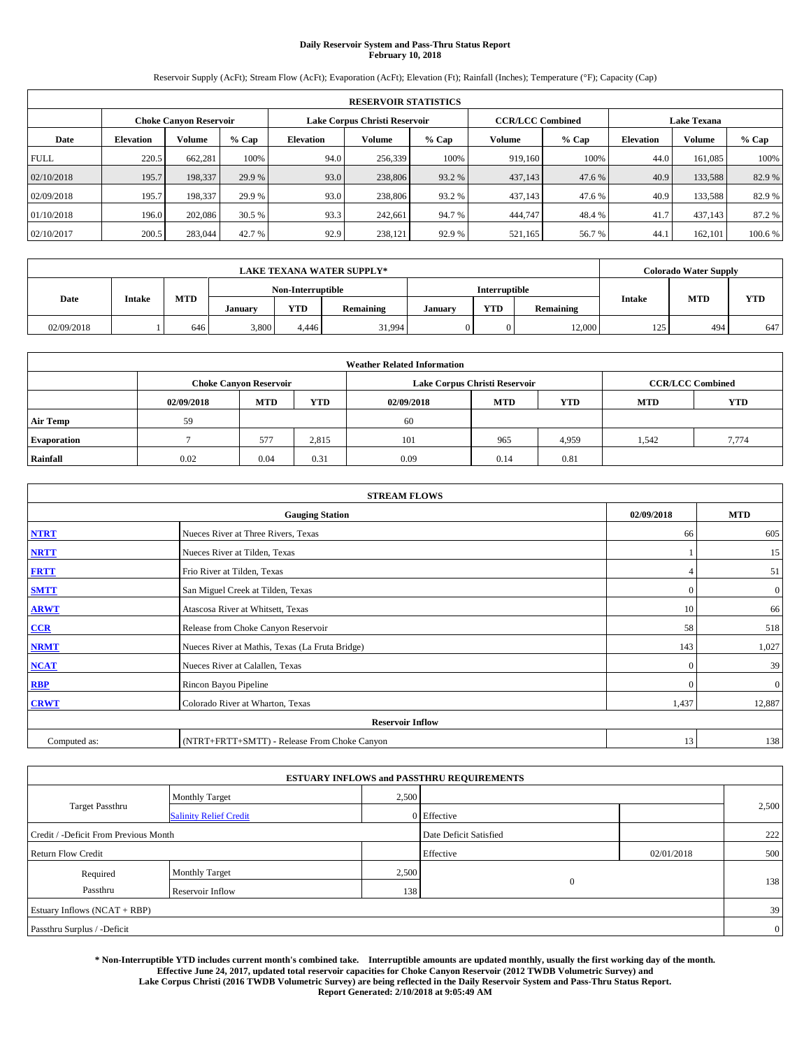## **Daily Reservoir System and Pass-Thru Status Report February 10, 2018**

Reservoir Supply (AcFt); Stream Flow (AcFt); Evaporation (AcFt); Elevation (Ft); Rainfall (Inches); Temperature (°F); Capacity (Cap)

|             | <b>RESERVOIR STATISTICS</b>                             |         |         |                  |         |         |         |                         |                    |               |         |  |  |
|-------------|---------------------------------------------------------|---------|---------|------------------|---------|---------|---------|-------------------------|--------------------|---------------|---------|--|--|
|             | Lake Corpus Christi Reservoir<br>Choke Canvon Reservoir |         |         |                  |         |         |         | <b>CCR/LCC Combined</b> | <b>Lake Texana</b> |               |         |  |  |
| Date        | <b>Elevation</b>                                        | Volume  | $%$ Cap | <b>Elevation</b> | Volume  | $%$ Cap | Volume  | $%$ Cap                 | <b>Elevation</b>   | <b>Volume</b> | % Cap   |  |  |
| <b>FULL</b> | 220.5                                                   | 662,281 | 100%    | 94.0             | 256,339 | 100%    | 919.160 | 100%                    | 44.0               | 161.085       | 100%    |  |  |
| 02/10/2018  | 195.7                                                   | 198,337 | 29.9 %  | 93.0             | 238,806 | 93.2 %  | 437,143 | 47.6 %                  | 40.9               | 133,588       | 82.9%   |  |  |
| 02/09/2018  | 195.7                                                   | 198,337 | 29.9 %  | 93.0             | 238,806 | 93.2 %  | 437,143 | 47.6 %                  | 40.9               | 133,588       | 82.9 %  |  |  |
| 01/10/2018  | 196.0                                                   | 202,086 | 30.5 %  | 93.3             | 242,661 | 94.7 %  | 444,747 | 48.4 %                  | 41.7               | 437.143       | 87.2 %  |  |  |
| 02/10/2017  | 200.5                                                   | 283,044 | 42.7 %  | 92.9             | 238,121 | 92.9 %  | 521,165 | 56.7%                   | 44.                | 162,101       | 100.6 % |  |  |

|            |        |            |         |                   | <b>LAKE TEXANA WATER SUPPLY*</b> |               |                      |           |               | <b>Colorado Water Supply</b> |            |
|------------|--------|------------|---------|-------------------|----------------------------------|---------------|----------------------|-----------|---------------|------------------------------|------------|
|            |        |            |         | Non-Interruptible |                                  |               | <b>Interruptible</b> |           |               |                              |            |
| Date       | Intake | <b>MTD</b> | Januarv | <b>YTD</b>        | Remaining                        | <b>Januar</b> | <b>YTD</b>           | Remaining | <b>Intake</b> | <b>MTD</b>                   | <b>YTD</b> |
| 02/09/2018 |        | 646        | 3,800   | 4.446             | 31,994                           |               |                      | 12,000    | 125           | 494                          | 647        |

|                    | <b>Weather Related Information</b>                                                             |                               |       |      |                               |                         |       |            |  |  |  |  |
|--------------------|------------------------------------------------------------------------------------------------|-------------------------------|-------|------|-------------------------------|-------------------------|-------|------------|--|--|--|--|
|                    |                                                                                                | <b>Choke Canvon Reservoir</b> |       |      | Lake Corpus Christi Reservoir | <b>CCR/LCC Combined</b> |       |            |  |  |  |  |
|                    | <b>YTD</b><br><b>YTD</b><br><b>MTD</b><br><b>MTD</b><br><b>MTD</b><br>02/09/2018<br>02/09/2018 |                               |       |      |                               |                         |       | <b>YTD</b> |  |  |  |  |
| <b>Air Temp</b>    | 59                                                                                             |                               |       | 60   |                               |                         |       |            |  |  |  |  |
| <b>Evaporation</b> |                                                                                                | 577                           | 2,815 | 101  | 965                           | 4,959                   | 1,542 | 7,774      |  |  |  |  |
| Rainfall           | 0.02                                                                                           | 0.04                          | 0.31  | 0.09 | 0.14                          | 0.81                    |       |            |  |  |  |  |

| <b>STREAM FLOWS</b> |                                                 |              |                  |  |  |  |  |  |  |
|---------------------|-------------------------------------------------|--------------|------------------|--|--|--|--|--|--|
|                     | <b>Gauging Station</b>                          |              |                  |  |  |  |  |  |  |
| <b>NTRT</b>         | Nueces River at Three Rivers, Texas             |              |                  |  |  |  |  |  |  |
| <b>NRTT</b>         | Nueces River at Tilden, Texas                   |              | 15               |  |  |  |  |  |  |
| <b>FRTT</b>         | Frio River at Tilden, Texas                     |              | 51               |  |  |  |  |  |  |
| <b>SMTT</b>         | San Miguel Creek at Tilden, Texas               | $\mathbf{0}$ | $\boldsymbol{0}$ |  |  |  |  |  |  |
| <b>ARWT</b>         | Atascosa River at Whitsett, Texas               | 10           | 66               |  |  |  |  |  |  |
| $CCR$               | Release from Choke Canyon Reservoir             | 58           | 518              |  |  |  |  |  |  |
| <b>NRMT</b>         | Nueces River at Mathis, Texas (La Fruta Bridge) | 143          | 1,027            |  |  |  |  |  |  |
| <b>NCAT</b>         | Nueces River at Calallen, Texas                 | $\Omega$     | 39               |  |  |  |  |  |  |
| RBP                 | Rincon Bayou Pipeline                           | $\Omega$     | $\mathbf{0}$     |  |  |  |  |  |  |
| <b>CRWT</b>         | Colorado River at Wharton, Texas                | 1,437        | 12,887           |  |  |  |  |  |  |
|                     |                                                 |              |                  |  |  |  |  |  |  |
| Computed as:        | (NTRT+FRTT+SMTT) - Release From Choke Canyon    | 13           | 138              |  |  |  |  |  |  |

| <b>ESTUARY INFLOWS and PASSTHRU REQUIREMENTS</b> |                               |                        |                |            |                |  |  |  |  |  |
|--------------------------------------------------|-------------------------------|------------------------|----------------|------------|----------------|--|--|--|--|--|
|                                                  | <b>Monthly Target</b>         | 2,500                  |                |            |                |  |  |  |  |  |
| <b>Target Passthru</b>                           | <b>Salinity Relief Credit</b> |                        | 0 Effective    |            | 2,500          |  |  |  |  |  |
| Credit / -Deficit From Previous Month            |                               | Date Deficit Satisfied |                | 222        |                |  |  |  |  |  |
| <b>Return Flow Credit</b>                        |                               |                        | Effective      | 02/01/2018 | 500            |  |  |  |  |  |
| Required                                         | Monthly Target                | 2,500                  |                |            |                |  |  |  |  |  |
| Passthru                                         | Reservoir Inflow              | 138                    | $\overline{0}$ |            | 138            |  |  |  |  |  |
| Estuary Inflows (NCAT + RBP)                     |                               |                        |                |            |                |  |  |  |  |  |
| Passthru Surplus / -Deficit                      |                               |                        |                |            | $\overline{0}$ |  |  |  |  |  |

**\* Non-Interruptible YTD includes current month's combined take. Interruptible amounts are updated monthly, usually the first working day of the month. Effective June 24, 2017, updated total reservoir capacities for Choke Canyon Reservoir (2012 TWDB Volumetric Survey) and Lake Corpus Christi (2016 TWDB Volumetric Survey) are being reflected in the Daily Reservoir System and Pass-Thru Status Report. Report Generated: 2/10/2018 at 9:05:49 AM**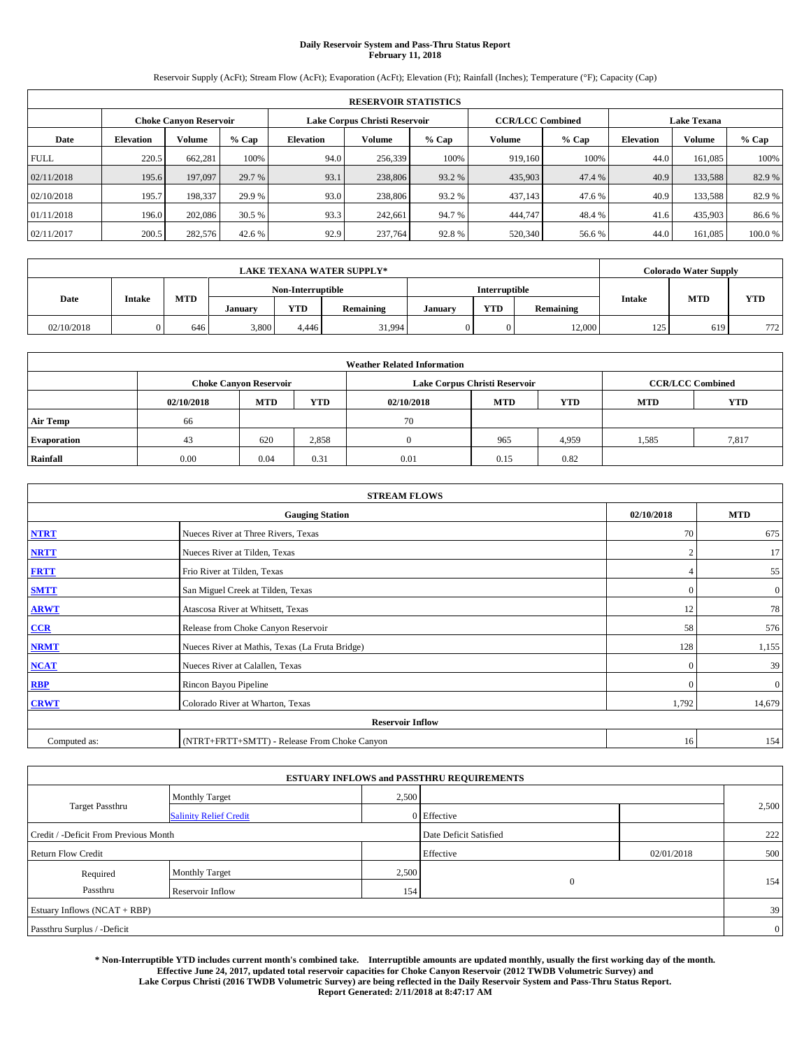## **Daily Reservoir System and Pass-Thru Status Report February 11, 2018**

Reservoir Supply (AcFt); Stream Flow (AcFt); Evaporation (AcFt); Elevation (Ft); Rainfall (Inches); Temperature (°F); Capacity (Cap)

|             | <b>RESERVOIR STATISTICS</b> |                        |         |                  |                               |         |                         |         |                  |                    |        |  |
|-------------|-----------------------------|------------------------|---------|------------------|-------------------------------|---------|-------------------------|---------|------------------|--------------------|--------|--|
|             |                             | Choke Canvon Reservoir |         |                  | Lake Corpus Christi Reservoir |         | <b>CCR/LCC Combined</b> |         |                  | <b>Lake Texana</b> |        |  |
| Date        | <b>Elevation</b>            | Volume                 | $%$ Cap | <b>Elevation</b> | Volume                        | $%$ Cap | Volume                  | $%$ Cap | <b>Elevation</b> | <b>Volume</b>      | % Cap  |  |
| <b>FULL</b> | 220.5                       | 662,281                | 100%    | 94.0             | 256,339                       | 100%    | 919.160                 | 100%    | 44.0             | 161.085            | 100%   |  |
| 02/11/2018  | 195.6                       | 197,097                | 29.7 %  | 93.1             | 238,806                       | 93.2 %  | 435,903                 | 47.4 %  | 40.9             | 133,588            | 82.9%  |  |
| 02/10/2018  | 195.7                       | 198,337                | 29.9 %  | 93.0             | 238,806                       | 93.2 %  | 437,143                 | 47.6 %  | 40.9             | 133,588            | 82.9 % |  |
| 01/11/2018  | 196.0                       | 202,086                | 30.5 %  | 93.3             | 242,661                       | 94.7 %  | 444,747                 | 48.4 %  | 41.6             | 435,903            | 86.6 % |  |
| 02/11/2017  | 200.5                       | 282,576                | 42.6 %  | 92.9             | 237,764                       | 92.8%   | 520,340                 | 56.6%   | 44.0             | 161.085            | 100.0% |  |

| <b>LAKE TEXANA WATER SUPPLY*</b> |               |            |                   |            |               |         | Colorado Water Supply |           |               |            |            |
|----------------------------------|---------------|------------|-------------------|------------|---------------|---------|-----------------------|-----------|---------------|------------|------------|
|                                  |               |            | Non-Interruptible |            | Interruptible |         |                       |           |               |            |            |
| Date                             | <b>Intake</b> | <b>MTD</b> | January           | <b>YTD</b> | Remaining     | January | <b>YTD</b>            | Remaining | <b>Intake</b> | <b>MTD</b> | <b>YTD</b> |
| 02/10/2018                       |               | 646        | 3,800             | 4.446      | 31,994        |         | 0                     | 12,000    | 125           | 619        | 772        |

| <b>Weather Related Information</b> |            |                               |            |            |                               |                         |            |            |  |  |  |
|------------------------------------|------------|-------------------------------|------------|------------|-------------------------------|-------------------------|------------|------------|--|--|--|
|                                    |            | <b>Choke Canyon Reservoir</b> |            |            | Lake Corpus Christi Reservoir | <b>CCR/LCC Combined</b> |            |            |  |  |  |
|                                    | 02/10/2018 | <b>MTD</b>                    | <b>YTD</b> | 02/10/2018 | <b>MTD</b>                    | <b>YTD</b>              | <b>MTD</b> | <b>YTD</b> |  |  |  |
| <b>Air Temp</b>                    | 66         |                               |            | 70         |                               |                         |            |            |  |  |  |
| <b>Evaporation</b>                 | 43         | 620                           | 2,858      |            | 965                           | 4,959                   | 1,585      | 7,817      |  |  |  |
| Rainfall                           | 0.00       | 0.04                          | 0.31       | 0.01       | 0.15                          | 0.82                    |            |            |  |  |  |

| <b>STREAM FLOWS</b> |                                                 |                |              |  |  |  |  |  |  |
|---------------------|-------------------------------------------------|----------------|--------------|--|--|--|--|--|--|
|                     | <b>Gauging Station</b>                          |                |              |  |  |  |  |  |  |
| <b>NTRT</b>         | Nueces River at Three Rivers, Texas             | 70             | 675          |  |  |  |  |  |  |
| <b>NRTT</b>         | Nueces River at Tilden, Texas                   | $\overline{2}$ | 17           |  |  |  |  |  |  |
| <b>FRTT</b>         | Frio River at Tilden, Texas                     |                | 55           |  |  |  |  |  |  |
| <b>SMTT</b>         | San Miguel Creek at Tilden, Texas               | $\mathbf{0}$   | $\mathbf{0}$ |  |  |  |  |  |  |
| <b>ARWT</b>         | Atascosa River at Whitsett, Texas               | 12             | 78           |  |  |  |  |  |  |
| CCR                 | Release from Choke Canyon Reservoir             | 58             | 576          |  |  |  |  |  |  |
| <b>NRMT</b>         | Nueces River at Mathis, Texas (La Fruta Bridge) | 128            | 1,155        |  |  |  |  |  |  |
| <b>NCAT</b>         | Nueces River at Calallen, Texas                 | $\Omega$       | 39           |  |  |  |  |  |  |
| <b>RBP</b>          | Rincon Bayou Pipeline                           | $\Omega$       | $\mathbf{0}$ |  |  |  |  |  |  |
| <b>CRWT</b>         | Colorado River at Wharton, Texas                | 1,792          | 14,679       |  |  |  |  |  |  |
|                     | <b>Reservoir Inflow</b>                         |                |              |  |  |  |  |  |  |
| Computed as:        | (NTRT+FRTT+SMTT) - Release From Choke Canyon    | 16             | 154          |  |  |  |  |  |  |

| <b>ESTUARY INFLOWS and PASSTHRU REQUIREMENTS</b> |                               |       |                        |            |                |  |  |  |  |  |
|--------------------------------------------------|-------------------------------|-------|------------------------|------------|----------------|--|--|--|--|--|
|                                                  | <b>Monthly Target</b>         | 2,500 |                        |            |                |  |  |  |  |  |
| <b>Target Passthru</b>                           | <b>Salinity Relief Credit</b> |       | 0 Effective            |            | 2,500          |  |  |  |  |  |
| Credit / -Deficit From Previous Month            |                               |       | Date Deficit Satisfied |            | 222            |  |  |  |  |  |
| <b>Return Flow Credit</b>                        |                               |       | Effective              | 02/01/2018 | 500            |  |  |  |  |  |
| Required                                         | <b>Monthly Target</b>         | 2,500 |                        |            |                |  |  |  |  |  |
| Passthru                                         | Reservoir Inflow              | 1541  | $\mathbf{0}$           |            | 154            |  |  |  |  |  |
| Estuary Inflows (NCAT + RBP)                     |                               |       |                        |            |                |  |  |  |  |  |
| Passthru Surplus / -Deficit                      |                               |       |                        |            | $\overline{0}$ |  |  |  |  |  |

**\* Non-Interruptible YTD includes current month's combined take. Interruptible amounts are updated monthly, usually the first working day of the month. Effective June 24, 2017, updated total reservoir capacities for Choke Canyon Reservoir (2012 TWDB Volumetric Survey) and Lake Corpus Christi (2016 TWDB Volumetric Survey) are being reflected in the Daily Reservoir System and Pass-Thru Status Report. Report Generated: 2/11/2018 at 8:47:17 AM**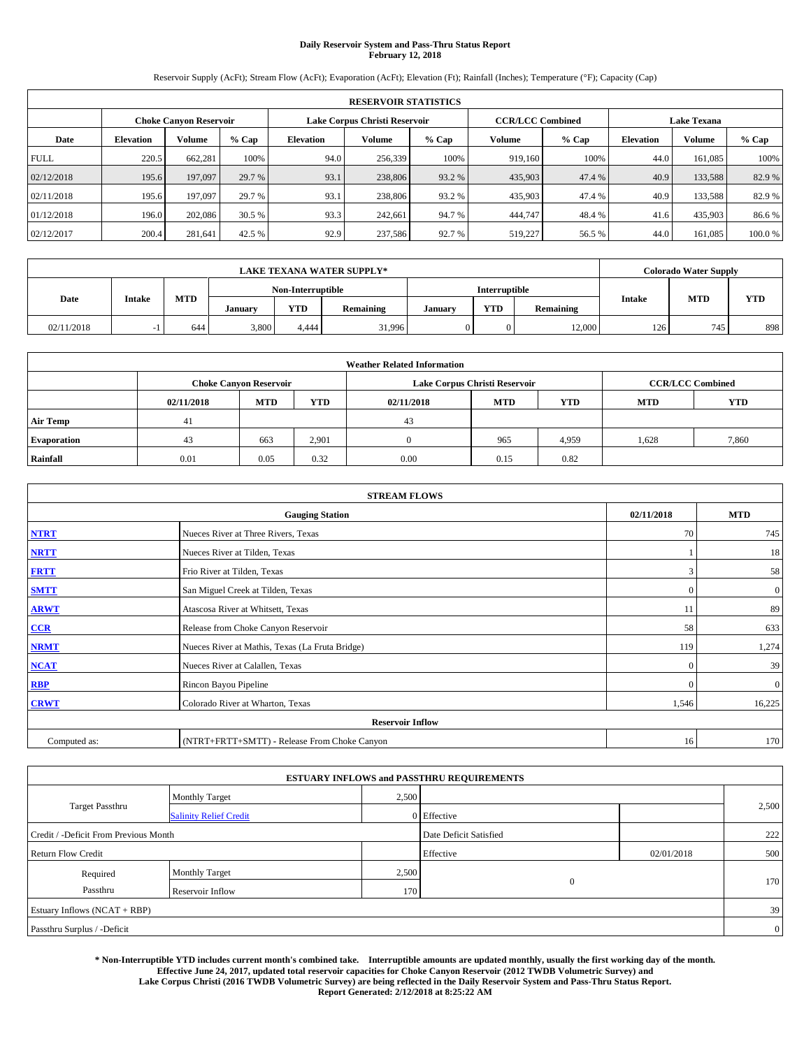## **Daily Reservoir System and Pass-Thru Status Report February 12, 2018**

Reservoir Supply (AcFt); Stream Flow (AcFt); Evaporation (AcFt); Elevation (Ft); Rainfall (Inches); Temperature (°F); Capacity (Cap)

|             | <b>RESERVOIR STATISTICS</b> |                        |         |                  |                               |         |                         |         |                  |                    |        |  |
|-------------|-----------------------------|------------------------|---------|------------------|-------------------------------|---------|-------------------------|---------|------------------|--------------------|--------|--|
|             |                             | Choke Canvon Reservoir |         |                  | Lake Corpus Christi Reservoir |         | <b>CCR/LCC Combined</b> |         |                  | <b>Lake Texana</b> |        |  |
| Date        | <b>Elevation</b>            | Volume                 | $%$ Cap | <b>Elevation</b> | Volume                        | $%$ Cap | Volume                  | $%$ Cap | <b>Elevation</b> | <b>Volume</b>      | % Cap  |  |
| <b>FULL</b> | 220.5                       | 662,281                | 100%    | 94.0             | 256,339                       | 100%    | 919.160                 | 100%    | 44.0             | 161.085            | 100%   |  |
| 02/12/2018  | 195.6                       | 197,097                | 29.7 %  | 93.1             | 238,806                       | 93.2 %  | 435,903                 | 47.4 %  | 40.9             | 133,588            | 82.9%  |  |
| 02/11/2018  | 195.6                       | 197,097                | 29.7 %  | 93.1             | 238,806                       | 93.2 %  | 435,903                 | 47.4 %  | 40.9             | 133,588            | 82.9 % |  |
| 01/12/2018  | 196.0                       | 202,086                | 30.5 %  | 93.3             | 242,661                       | 94.7 %  | 444,747                 | 48.4 %  | 41.6             | 435,903            | 86.6 % |  |
| 02/12/2017  | 200.4                       | 281,641                | 42.5 %  | 92.9             | 237,586                       | 92.7 %  | 519,227                 | 56.5 %  | 44.0             | 161.085            | 100.0% |  |

| <b>LAKE TEXANA WATER SUPPLY*</b> |               |            |                   |            |           |               | <b>Colorado Water Supply</b> |           |               |            |            |
|----------------------------------|---------------|------------|-------------------|------------|-----------|---------------|------------------------------|-----------|---------------|------------|------------|
|                                  |               |            | Non-Interruptible |            |           | Interruptible |                              |           |               |            |            |
| Date                             | <b>Intake</b> | <b>MTD</b> | January           | <b>YTD</b> | Remaining | January       | <b>YTD</b>                   | Remaining | <b>Intake</b> | <b>MTD</b> | <b>YTD</b> |
| 02/11/2018                       | $\sim$ 1      | 644        | 3,800             | 4.444      | 31.996    |               | $\Omega$                     | 12,000    | 126           | 745        | 898        |

| <b>Weather Related Information</b> |            |                               |            |            |                               |                         |            |            |  |  |  |
|------------------------------------|------------|-------------------------------|------------|------------|-------------------------------|-------------------------|------------|------------|--|--|--|
|                                    |            | <b>Choke Canyon Reservoir</b> |            |            | Lake Corpus Christi Reservoir | <b>CCR/LCC Combined</b> |            |            |  |  |  |
|                                    | 02/11/2018 | <b>MTD</b>                    | <b>YTD</b> | 02/11/2018 | <b>MTD</b>                    | <b>YTD</b>              | <b>MTD</b> | <b>YTD</b> |  |  |  |
| <b>Air Temp</b>                    | 41         |                               |            | 43         |                               |                         |            |            |  |  |  |
| <b>Evaporation</b>                 | 43         | 663                           | 2,901      |            | 965                           | 4,959                   | 1,628      | 7,860      |  |  |  |
| Rainfall                           | 0.01       | 0.05                          | 0.32       | 0.00       | 0.15                          | 0.82                    |            |            |  |  |  |

| <b>STREAM FLOWS</b> |                                                 |              |                  |  |  |  |  |  |  |  |
|---------------------|-------------------------------------------------|--------------|------------------|--|--|--|--|--|--|--|
|                     | <b>Gauging Station</b>                          |              |                  |  |  |  |  |  |  |  |
| <b>NTRT</b>         | Nueces River at Three Rivers, Texas             |              |                  |  |  |  |  |  |  |  |
| <b>NRTT</b>         | Nueces River at Tilden, Texas                   |              | 18               |  |  |  |  |  |  |  |
| <b>FRTT</b>         | Frio River at Tilden, Texas                     | 3            | 58               |  |  |  |  |  |  |  |
| <b>SMTT</b>         | San Miguel Creek at Tilden, Texas               | $\mathbf{0}$ | $\boldsymbol{0}$ |  |  |  |  |  |  |  |
| <b>ARWT</b>         | Atascosa River at Whitsett, Texas               | 11           | 89               |  |  |  |  |  |  |  |
| $CCR$               | Release from Choke Canyon Reservoir             | 58           | 633              |  |  |  |  |  |  |  |
| <b>NRMT</b>         | Nueces River at Mathis, Texas (La Fruta Bridge) | 119          | 1,274            |  |  |  |  |  |  |  |
| <b>NCAT</b>         | Nueces River at Calallen, Texas                 | $\Omega$     | 39               |  |  |  |  |  |  |  |
| RBP                 | Rincon Bayou Pipeline                           | $\Omega$     | $\mathbf{0}$     |  |  |  |  |  |  |  |
| <b>CRWT</b>         | Colorado River at Wharton, Texas                | 1,546        | 16,225           |  |  |  |  |  |  |  |
|                     |                                                 |              |                  |  |  |  |  |  |  |  |
| Computed as:        | (NTRT+FRTT+SMTT) - Release From Choke Canyon    | 16           | 170              |  |  |  |  |  |  |  |

| <b>ESTUARY INFLOWS and PASSTHRU REQUIREMENTS</b> |                               |                        |                |     |                |  |  |  |  |  |
|--------------------------------------------------|-------------------------------|------------------------|----------------|-----|----------------|--|--|--|--|--|
|                                                  | <b>Monthly Target</b>         | 2,500                  |                |     |                |  |  |  |  |  |
| <b>Target Passthru</b>                           | <b>Salinity Relief Credit</b> |                        | 0 Effective    |     | 2,500          |  |  |  |  |  |
| Credit / -Deficit From Previous Month            |                               | Date Deficit Satisfied |                | 222 |                |  |  |  |  |  |
| <b>Return Flow Credit</b>                        |                               | Effective              | 02/01/2018     | 500 |                |  |  |  |  |  |
| Required                                         | Monthly Target                | 2,500                  |                |     |                |  |  |  |  |  |
| Passthru                                         | Reservoir Inflow              | 170                    | $\overline{0}$ |     | 170            |  |  |  |  |  |
| Estuary Inflows (NCAT + RBP)                     |                               |                        |                |     |                |  |  |  |  |  |
| Passthru Surplus / -Deficit                      |                               |                        |                |     | $\overline{0}$ |  |  |  |  |  |

**\* Non-Interruptible YTD includes current month's combined take. Interruptible amounts are updated monthly, usually the first working day of the month. Effective June 24, 2017, updated total reservoir capacities for Choke Canyon Reservoir (2012 TWDB Volumetric Survey) and Lake Corpus Christi (2016 TWDB Volumetric Survey) are being reflected in the Daily Reservoir System and Pass-Thru Status Report. Report Generated: 2/12/2018 at 8:25:22 AM**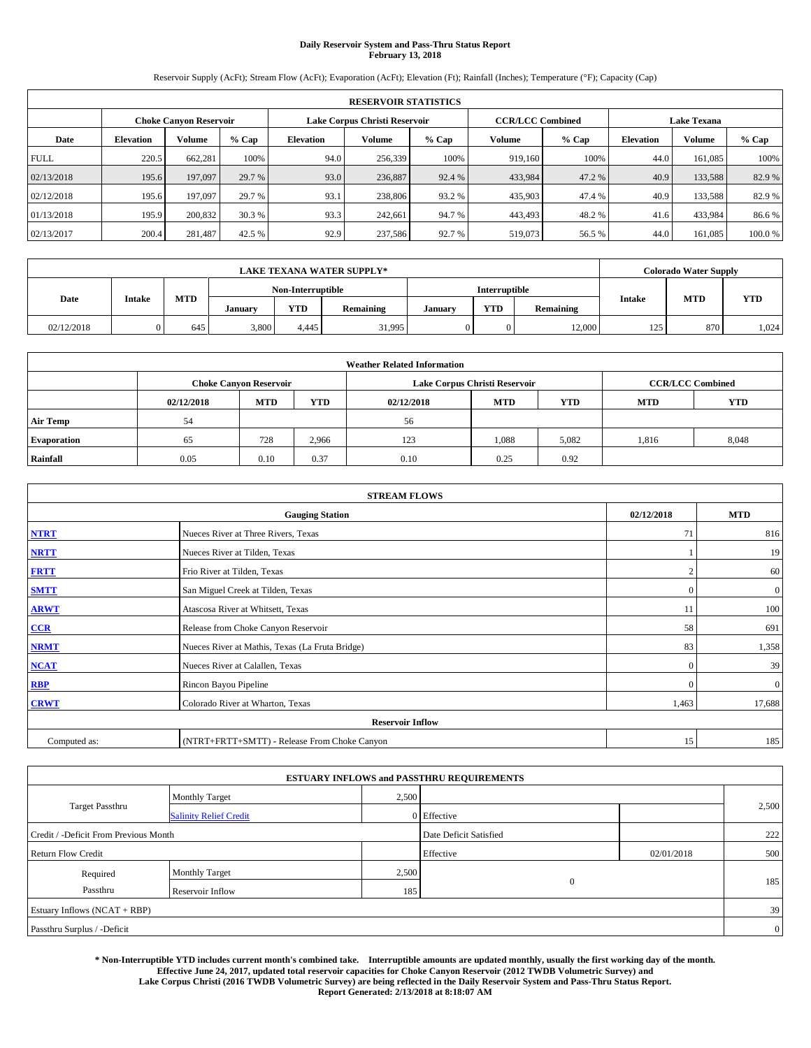## **Daily Reservoir System and Pass-Thru Status Report February 13, 2018**

Reservoir Supply (AcFt); Stream Flow (AcFt); Evaporation (AcFt); Elevation (Ft); Rainfall (Inches); Temperature (°F); Capacity (Cap)

|             | <b>RESERVOIR STATISTICS</b> |         |         |                  |                               |                         |         |         |                  |                    |        |  |
|-------------|-----------------------------|---------|---------|------------------|-------------------------------|-------------------------|---------|---------|------------------|--------------------|--------|--|
|             | Choke Canvon Reservoir      |         |         |                  | Lake Corpus Christi Reservoir | <b>CCR/LCC Combined</b> |         |         |                  | <b>Lake Texana</b> |        |  |
| Date        | <b>Elevation</b>            | Volume  | $%$ Cap | <b>Elevation</b> | Volume                        | $%$ Cap                 | Volume  | $%$ Cap | <b>Elevation</b> | <b>Volume</b>      | % Cap  |  |
| <b>FULL</b> | 220.5                       | 662,281 | 100%    | 94.0             | 256,339                       | 100%                    | 919.160 | 100%    | 44.0             | 161.085            | 100%   |  |
| 02/13/2018  | 195.6                       | 197,097 | 29.7 %  | 93.0             | 236,887                       | 92.4 %                  | 433,984 | 47.2 %  | 40.9             | 133,588            | 82.9%  |  |
| 02/12/2018  | 195.6                       | 197,097 | 29.7 %  | 93.1             | 238,806                       | 93.2 %                  | 435,903 | 47.4 %  | 40.9             | 133,588            | 82.9 % |  |
| 01/13/2018  | 195.9                       | 200,832 | 30.3 %  | 93.3             | 242,661                       | 94.7 %                  | 443,493 | 48.2 %  | 41.6             | 433,984            | 86.6%  |  |
| 02/13/2017  | 200.4                       | 281,487 | 42.5 %  | 92.9             | 237,586                       | 92.7 %                  | 519,073 | 56.5 %  | 44.0             | 161.085            | 100.0% |  |

|            | <b>LAKE TEXANA WATER SUPPLY*</b> |            |         |                   |           |               |            |           |        | <b>Colorado Water Supply</b> |            |  |
|------------|----------------------------------|------------|---------|-------------------|-----------|---------------|------------|-----------|--------|------------------------------|------------|--|
|            |                                  |            |         | Non-Interruptible |           | Interruptible |            |           |        |                              |            |  |
| Date       | <b>Intake</b>                    | <b>MTD</b> | January | <b>YTD</b>        | Remaining | January       | <b>YTD</b> | Remaining | Intake | <b>MTD</b>                   | <b>YTD</b> |  |
| 02/12/2018 |                                  | 645        | 3,800   | 4.445             | 31,995    |               | 0          | 12,000    | 125    | 870                          | 1.024      |  |

| <b>Weather Related Information</b> |            |                               |            |            |                                                      |                         |       |       |  |  |
|------------------------------------|------------|-------------------------------|------------|------------|------------------------------------------------------|-------------------------|-------|-------|--|--|
|                                    |            | <b>Choke Canyon Reservoir</b> |            |            | Lake Corpus Christi Reservoir                        | <b>CCR/LCC Combined</b> |       |       |  |  |
|                                    | 02/12/2018 | <b>MTD</b>                    | <b>YTD</b> | 02/12/2018 | <b>YTD</b><br><b>YTD</b><br><b>MTD</b><br><b>MTD</b> |                         |       |       |  |  |
| <b>Air Temp</b>                    | 54         |                               |            | 56         |                                                      |                         |       |       |  |  |
| <b>Evaporation</b>                 | 65         | 728                           | 2,966      | 123        | 1,088                                                | 5,082                   | 1,816 | 8,048 |  |  |
| Rainfall                           | 0.05       | 0.10                          | 0.37       | 0.10       | 0.25                                                 | 0.92                    |       |       |  |  |

| <b>STREAM FLOWS</b> |                                                 |              |              |  |  |  |  |  |  |
|---------------------|-------------------------------------------------|--------------|--------------|--|--|--|--|--|--|
|                     | <b>Gauging Station</b>                          | 02/12/2018   | <b>MTD</b>   |  |  |  |  |  |  |
| <b>NTRT</b>         | Nueces River at Three Rivers, Texas             | 71           | 816          |  |  |  |  |  |  |
| <b>NRTT</b>         | Nueces River at Tilden, Texas                   |              | 19           |  |  |  |  |  |  |
| <b>FRTT</b>         | Frio River at Tilden, Texas                     |              | 60           |  |  |  |  |  |  |
| <b>SMTT</b>         | San Miguel Creek at Tilden, Texas               | $\mathbf{0}$ | $\mathbf{0}$ |  |  |  |  |  |  |
| <b>ARWT</b>         | Atascosa River at Whitsett, Texas               | 11           | 100          |  |  |  |  |  |  |
| CCR                 | Release from Choke Canyon Reservoir             | 58           | 691          |  |  |  |  |  |  |
| <b>NRMT</b>         | Nueces River at Mathis, Texas (La Fruta Bridge) | 83           | 1,358        |  |  |  |  |  |  |
| <b>NCAT</b>         | Nueces River at Calallen, Texas                 | $\Omega$     | 39           |  |  |  |  |  |  |
| <b>RBP</b>          | Rincon Bayou Pipeline                           | $\Omega$     | $\mathbf{0}$ |  |  |  |  |  |  |
| <b>CRWT</b>         | Colorado River at Wharton, Texas                | 1,463        | 17,688       |  |  |  |  |  |  |
|                     | <b>Reservoir Inflow</b>                         |              |              |  |  |  |  |  |  |
| Computed as:        | (NTRT+FRTT+SMTT) - Release From Choke Canyon    | 15           | 185          |  |  |  |  |  |  |

|                                       |                               |       | <b>ESTUARY INFLOWS and PASSTHRU REQUIREMENTS</b> |            |                |
|---------------------------------------|-------------------------------|-------|--------------------------------------------------|------------|----------------|
|                                       | <b>Monthly Target</b>         | 2,500 |                                                  |            |                |
| Target Passthru                       | <b>Salinity Relief Credit</b> |       | 0 Effective                                      |            | 2,500          |
| Credit / -Deficit From Previous Month |                               |       | Date Deficit Satisfied                           |            | 222            |
| <b>Return Flow Credit</b>             |                               |       | Effective                                        | 02/01/2018 | 500            |
| Required                              | <b>Monthly Target</b>         | 2,500 |                                                  |            |                |
| Passthru                              | Reservoir Inflow              | 185   | $\theta$                                         |            | 185            |
| Estuary Inflows (NCAT + RBP)          |                               |       |                                                  |            | 39             |
| Passthru Surplus / -Deficit           |                               |       |                                                  |            | $\overline{0}$ |

**\* Non-Interruptible YTD includes current month's combined take. Interruptible amounts are updated monthly, usually the first working day of the month. Effective June 24, 2017, updated total reservoir capacities for Choke Canyon Reservoir (2012 TWDB Volumetric Survey) and Lake Corpus Christi (2016 TWDB Volumetric Survey) are being reflected in the Daily Reservoir System and Pass-Thru Status Report. Report Generated: 2/13/2018 at 8:18:07 AM**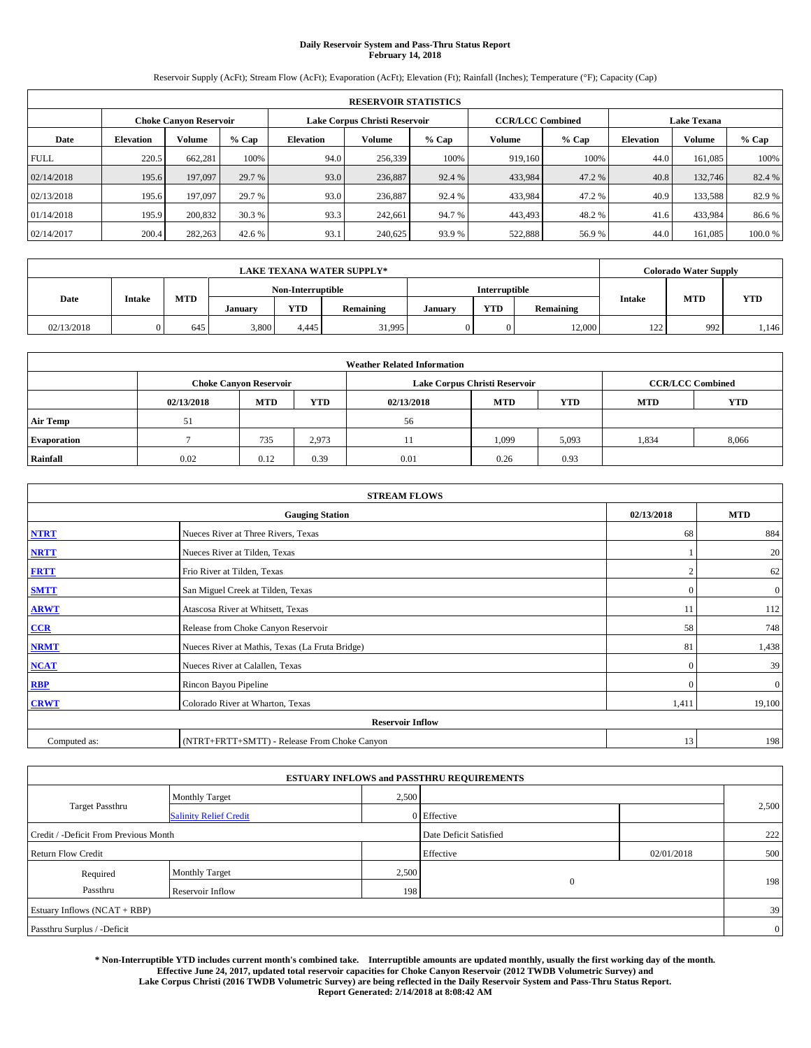## **Daily Reservoir System and Pass-Thru Status Report February 14, 2018**

Reservoir Supply (AcFt); Stream Flow (AcFt); Evaporation (AcFt); Elevation (Ft); Rainfall (Inches); Temperature (°F); Capacity (Cap)

|             | <b>RESERVOIR STATISTICS</b> |         |         |                  |                               |         |                         |         |                    |               |        |
|-------------|-----------------------------|---------|---------|------------------|-------------------------------|---------|-------------------------|---------|--------------------|---------------|--------|
|             | Choke Canvon Reservoir      |         |         |                  | Lake Corpus Christi Reservoir |         | <b>CCR/LCC Combined</b> |         | <b>Lake Texana</b> |               |        |
| Date        | <b>Elevation</b>            | Volume  | $%$ Cap | <b>Elevation</b> | Volume                        | $%$ Cap | Volume                  | $%$ Cap | <b>Elevation</b>   | <b>Volume</b> | % Cap  |
| <b>FULL</b> | 220.5                       | 662,281 | 100%    | 94.0             | 256,339                       | 100%    | 919.160                 | 100%    | 44.0               | 161.085       | 100%   |
| 02/14/2018  | 195.6                       | 197,097 | 29.7 %  | 93.0             | 236,887                       | 92.4 %  | 433,984                 | 47.2 %  | 40.8               | 132,746       | 82.4 % |
| 02/13/2018  | 195.6                       | 197,097 | 29.7 %  | 93.0             | 236,887                       | 92.4 %  | 433,984                 | 47.2 %  | 40.9               | 133,588       | 82.9 % |
| 01/14/2018  | 195.9                       | 200,832 | 30.3 %  | 93.3             | 242,661                       | 94.7 %  | 443,493                 | 48.2 %  | 41.6               | 433,984       | 86.6%  |
| 02/14/2017  | 200.4                       | 282,263 | 42.6 %  | 93.1             | 240,625                       | 93.9%   | 522,888                 | 56.9%   | 44.0               | 161.085       | 100.0% |

|            | <b>LAKE TEXANA WATER SUPPLY*</b> |            |         |                   |           |         |                      |           |               | <b>Colorado Water Supply</b> |            |  |
|------------|----------------------------------|------------|---------|-------------------|-----------|---------|----------------------|-----------|---------------|------------------------------|------------|--|
|            |                                  |            |         | Non-Interruptible |           |         | <b>Interruptible</b> |           |               |                              |            |  |
| Date       | Intake                           | <b>MTD</b> | January | <b>YTD</b>        | Remaining | January | <b>YTD</b>           | Remaining | <b>Intake</b> | <b>MTD</b>                   | <b>YTD</b> |  |
| 02/13/2018 |                                  | 645        | 3,800   | 4.445             | 31,995    |         |                      | 12,000    | 122           | 992                          | 1,146      |  |

| <b>Weather Related Information</b> |            |                               |            |            |                                                      |                         |       |       |  |  |
|------------------------------------|------------|-------------------------------|------------|------------|------------------------------------------------------|-------------------------|-------|-------|--|--|
|                                    |            | <b>Choke Canyon Reservoir</b> |            |            | Lake Corpus Christi Reservoir                        | <b>CCR/LCC Combined</b> |       |       |  |  |
|                                    | 02/13/2018 | <b>MTD</b>                    | <b>YTD</b> | 02/13/2018 | <b>YTD</b><br><b>YTD</b><br><b>MTD</b><br><b>MTD</b> |                         |       |       |  |  |
| <b>Air Temp</b>                    | 51         |                               |            | 56         |                                                      |                         |       |       |  |  |
| <b>Evaporation</b>                 |            | 735                           | 2,973      |            | 1,099                                                | 5,093                   | 1,834 | 8,066 |  |  |
| Rainfall                           | 0.02       | 0.12                          | 0.39       | 0.01       | 0.26                                                 | 0.93                    |       |       |  |  |

| <b>STREAM FLOWS</b> |                                                 |              |              |  |  |  |  |  |  |
|---------------------|-------------------------------------------------|--------------|--------------|--|--|--|--|--|--|
|                     | <b>Gauging Station</b>                          | 02/13/2018   | <b>MTD</b>   |  |  |  |  |  |  |
| <b>NTRT</b>         | Nueces River at Three Rivers, Texas             | 68           | 884          |  |  |  |  |  |  |
| <b>NRTT</b>         | Nueces River at Tilden, Texas                   |              | 20           |  |  |  |  |  |  |
| <b>FRTT</b>         | Frio River at Tilden, Texas                     |              | 62           |  |  |  |  |  |  |
| <b>SMTT</b>         | San Miguel Creek at Tilden, Texas               | $\mathbf{0}$ | $\mathbf{0}$ |  |  |  |  |  |  |
| <b>ARWT</b>         | Atascosa River at Whitsett, Texas               | 11           | 112          |  |  |  |  |  |  |
| CCR                 | Release from Choke Canyon Reservoir             | 58           | 748          |  |  |  |  |  |  |
| <b>NRMT</b>         | Nueces River at Mathis, Texas (La Fruta Bridge) | 81           | 1,438        |  |  |  |  |  |  |
| <b>NCAT</b>         | Nueces River at Calallen, Texas                 | $\Omega$     | 39           |  |  |  |  |  |  |
| <b>RBP</b>          | Rincon Bayou Pipeline                           | $\Omega$     | $\mathbf{0}$ |  |  |  |  |  |  |
| <b>CRWT</b>         | Colorado River at Wharton, Texas                | 1,411        | 19,100       |  |  |  |  |  |  |
|                     | <b>Reservoir Inflow</b>                         |              |              |  |  |  |  |  |  |
| Computed as:        | (NTRT+FRTT+SMTT) - Release From Choke Canyon    | 13           | 198          |  |  |  |  |  |  |

|                                       |                               |       | <b>ESTUARY INFLOWS and PASSTHRU REQUIREMENTS</b> |            |                |
|---------------------------------------|-------------------------------|-------|--------------------------------------------------|------------|----------------|
|                                       | <b>Monthly Target</b>         | 2,500 |                                                  |            |                |
| Target Passthru                       | <b>Salinity Relief Credit</b> |       | 0 Effective                                      |            | 2,500          |
| Credit / -Deficit From Previous Month |                               |       | Date Deficit Satisfied                           |            | 222            |
| <b>Return Flow Credit</b>             |                               |       | Effective                                        | 02/01/2018 | 500            |
| Required                              | <b>Monthly Target</b>         | 2,500 |                                                  |            |                |
| Passthru                              | Reservoir Inflow              | 198   | $\theta$                                         |            | 198            |
| Estuary Inflows (NCAT + RBP)          |                               |       |                                                  |            | 39             |
| Passthru Surplus / -Deficit           |                               |       |                                                  |            | $\overline{0}$ |

**\* Non-Interruptible YTD includes current month's combined take. Interruptible amounts are updated monthly, usually the first working day of the month. Effective June 24, 2017, updated total reservoir capacities for Choke Canyon Reservoir (2012 TWDB Volumetric Survey) and Lake Corpus Christi (2016 TWDB Volumetric Survey) are being reflected in the Daily Reservoir System and Pass-Thru Status Report. Report Generated: 2/14/2018 at 8:08:42 AM**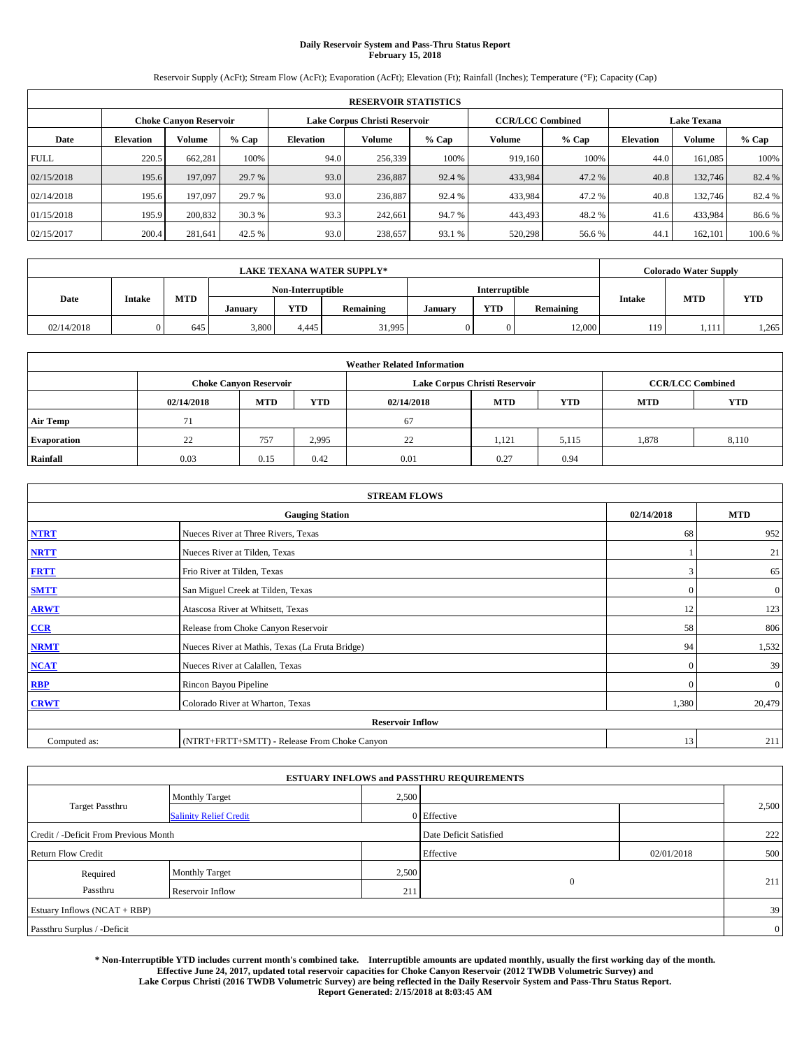## **Daily Reservoir System and Pass-Thru Status Report February 15, 2018**

Reservoir Supply (AcFt); Stream Flow (AcFt); Evaporation (AcFt); Elevation (Ft); Rainfall (Inches); Temperature (°F); Capacity (Cap)

|             | <b>RESERVOIR STATISTICS</b> |                        |         |                  |                               |         |                         |         |                  |                    |         |  |
|-------------|-----------------------------|------------------------|---------|------------------|-------------------------------|---------|-------------------------|---------|------------------|--------------------|---------|--|
|             |                             | Choke Canvon Reservoir |         |                  | Lake Corpus Christi Reservoir |         | <b>CCR/LCC Combined</b> |         |                  | <b>Lake Texana</b> |         |  |
| Date        | <b>Elevation</b>            | Volume                 | $%$ Cap | <b>Elevation</b> | Volume                        | $%$ Cap | Volume                  | $%$ Cap | <b>Elevation</b> | <b>Volume</b>      | % Cap   |  |
| <b>FULL</b> | 220.5                       | 662,281                | 100%    | 94.0             | 256,339                       | 100%    | 919.160                 | 100%    | 44.0             | 161.085            | 100%    |  |
| 02/15/2018  | 195.6                       | 197,097                | 29.7 %  | 93.0             | 236,887                       | 92.4 %  | 433,984                 | 47.2 %  | 40.8             | 132,746            | 82.4 %  |  |
| 02/14/2018  | 195.6                       | 197,097                | 29.7 %  | 93.0             | 236,887                       | 92.4 %  | 433,984                 | 47.2 %  | 40.8             | 132,746            | 82.4 %  |  |
| 01/15/2018  | 195.9                       | 200,832                | 30.3 %  | 93.3             | 242,661                       | 94.7 %  | 443,493                 | 48.2 %  | 41.6             | 433,984            | 86.6%   |  |
| 02/15/2017  | 200.4                       | 281,641                | 42.5 %  | 93.0             | 238,657                       | 93.1 %  | 520,298                 | 56.6 %  | 44.              | 162,101            | 100.6 % |  |

|            | <b>LAKE TEXANA WATER SUPPLY*</b> |            |         |                   |           |         |               |           |               | Colorado Water Supply |            |
|------------|----------------------------------|------------|---------|-------------------|-----------|---------|---------------|-----------|---------------|-----------------------|------------|
|            |                                  |            |         | Non-Interruptible |           |         | Interruptible |           |               |                       |            |
| Date       | <b>Intake</b>                    | <b>MTD</b> | January | <b>YTD</b>        | Remaining | January | <b>YTD</b>    | Remaining | <b>Intake</b> | <b>MTD</b>            | <b>YTD</b> |
| 02/14/2018 |                                  | 645        | 3,800   | 4.445             | 31,995    |         | 0             | 12,000    | 119           | 1,111                 | 1,265      |

| <b>Weather Related Information</b> |            |                               |            |            |                               |                         |       |       |  |
|------------------------------------|------------|-------------------------------|------------|------------|-------------------------------|-------------------------|-------|-------|--|
|                                    |            | <b>Choke Canyon Reservoir</b> |            |            | Lake Corpus Christi Reservoir | <b>CCR/LCC Combined</b> |       |       |  |
|                                    | 02/14/2018 | <b>MTD</b>                    | <b>YTD</b> | 02/14/2018 | <b>MTD</b>                    | <b>YTD</b>              |       |       |  |
| <b>Air Temp</b>                    | 71         |                               |            | 67         |                               |                         |       |       |  |
| <b>Evaporation</b>                 | 22         | 757                           | 2,995      | 22         | 1,121                         | 5,115                   | 1,878 | 8,110 |  |
| Rainfall                           | 0.03       | 0.15                          | 0.42       | 0.01       | 0.27                          | 0.94                    |       |       |  |

| <b>STREAM FLOWS</b> |                                                 |              |              |  |  |  |  |  |
|---------------------|-------------------------------------------------|--------------|--------------|--|--|--|--|--|
|                     | 02/14/2018                                      | <b>MTD</b>   |              |  |  |  |  |  |
| <b>NTRT</b>         | Nueces River at Three Rivers, Texas             | 68           | 952          |  |  |  |  |  |
| <b>NRTT</b>         | Nueces River at Tilden, Texas                   |              | 21           |  |  |  |  |  |
| <b>FRTT</b>         | Frio River at Tilden, Texas                     | 3            | 65           |  |  |  |  |  |
| <b>SMTT</b>         | San Miguel Creek at Tilden, Texas               | $\mathbf{0}$ | $\mathbf{0}$ |  |  |  |  |  |
| <b>ARWT</b>         | Atascosa River at Whitsett, Texas               | 12           | 123          |  |  |  |  |  |
| CCR                 | Release from Choke Canyon Reservoir             | 58           | 806          |  |  |  |  |  |
| <b>NRMT</b>         | Nueces River at Mathis, Texas (La Fruta Bridge) | 94           | 1,532        |  |  |  |  |  |
| <b>NCAT</b>         | Nueces River at Calallen, Texas                 | $\Omega$     | 39           |  |  |  |  |  |
| RBP                 | Rincon Bayou Pipeline                           | $\Omega$     | $\mathbf{0}$ |  |  |  |  |  |
| <b>CRWT</b>         | Colorado River at Wharton, Texas                | 1,380        | 20,479       |  |  |  |  |  |
|                     |                                                 |              |              |  |  |  |  |  |
| Computed as:        | (NTRT+FRTT+SMTT) - Release From Choke Canyon    | 13           | 211          |  |  |  |  |  |

|                                       |                               |       | <b>ESTUARY INFLOWS and PASSTHRU REQUIREMENTS</b> |            |                |  |  |
|---------------------------------------|-------------------------------|-------|--------------------------------------------------|------------|----------------|--|--|
|                                       | <b>Monthly Target</b>         | 2,500 |                                                  |            |                |  |  |
| <b>Target Passthru</b>                | <b>Salinity Relief Credit</b> |       | 0 Effective                                      |            | 2,500          |  |  |
| Credit / -Deficit From Previous Month |                               |       | Date Deficit Satisfied                           |            | 222            |  |  |
| <b>Return Flow Credit</b>             |                               |       | Effective                                        | 02/01/2018 | 500            |  |  |
| Required                              | Monthly Target                | 2,500 |                                                  |            |                |  |  |
| Passthru                              | Reservoir Inflow              | 211   | $\overline{0}$                                   |            | 211            |  |  |
| Estuary Inflows (NCAT + RBP)          |                               |       |                                                  |            |                |  |  |
| Passthru Surplus / -Deficit           |                               |       |                                                  |            | $\overline{0}$ |  |  |

**\* Non-Interruptible YTD includes current month's combined take. Interruptible amounts are updated monthly, usually the first working day of the month. Effective June 24, 2017, updated total reservoir capacities for Choke Canyon Reservoir (2012 TWDB Volumetric Survey) and Lake Corpus Christi (2016 TWDB Volumetric Survey) are being reflected in the Daily Reservoir System and Pass-Thru Status Report. Report Generated: 2/15/2018 at 8:03:45 AM**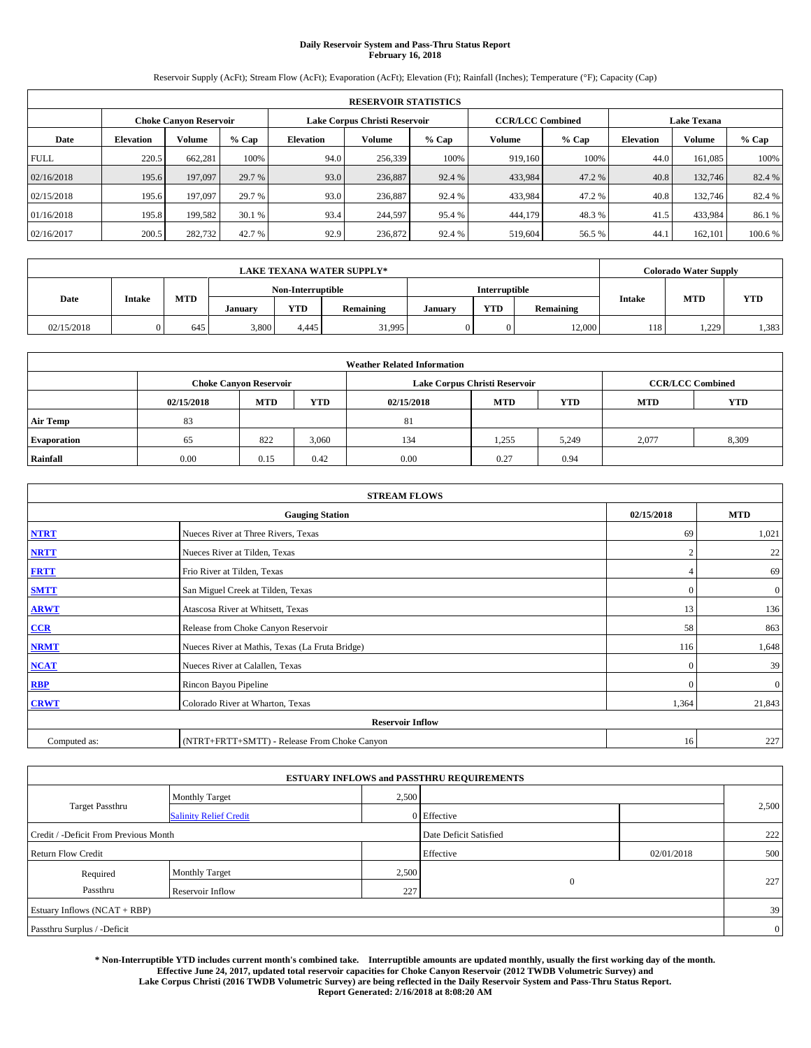## **Daily Reservoir System and Pass-Thru Status Report February 16, 2018**

Reservoir Supply (AcFt); Stream Flow (AcFt); Evaporation (AcFt); Elevation (Ft); Rainfall (Inches); Temperature (°F); Capacity (Cap)

|             | <b>RESERVOIR STATISTICS</b> |                               |         |                  |                               |         |                         |         |                  |                    |         |
|-------------|-----------------------------|-------------------------------|---------|------------------|-------------------------------|---------|-------------------------|---------|------------------|--------------------|---------|
|             |                             | <b>Choke Canyon Reservoir</b> |         |                  | Lake Corpus Christi Reservoir |         | <b>CCR/LCC Combined</b> |         |                  | <b>Lake Texana</b> |         |
| Date        | <b>Elevation</b>            | Volume                        | $%$ Cap | <b>Elevation</b> | Volume                        | $%$ Cap | Volume                  | $%$ Cap | <b>Elevation</b> | <b>Volume</b>      | % Cap   |
| <b>FULL</b> | 220.5                       | 662.281                       | 100%    | 94.0             | 256,339                       | 100%    | 919.160                 | 100%    | 44.0             | 161.085            | 100%    |
| 02/16/2018  | 195.6                       | 197,097                       | 29.7 %  | 93.0             | 236,887                       | 92.4 %  | 433,984                 | 47.2 %  | 40.8             | 132,746            | 82.4 %  |
| 02/15/2018  | 195.6                       | 197,097                       | 29.7 %  | 93.0             | 236,887                       | 92.4 %  | 433,984                 | 47.2%   | 40.8             | 132.746            | 82.4 %  |
| 01/16/2018  | 195.8                       | 199.582                       | 30.1 %  | 93.4             | 244,597                       | 95.4 %  | 444,179                 | 48.3 %  | 41.5             | 433.984            | 86.1 %  |
| 02/16/2017  | 200.5                       | 282,732                       | 42.7 %  | 92.9             | 236,872                       | 92.4 %  | 519,604                 | 56.5 %  | 44.              | 162,101            | 100.6 % |

| <b>LAKE TEXANA WATER SUPPLY*</b> |               |            |         |                   |           |         |               |           |                             | Colorado Water Supply |            |
|----------------------------------|---------------|------------|---------|-------------------|-----------|---------|---------------|-----------|-----------------------------|-----------------------|------------|
|                                  |               |            |         | Non-Interruptible |           |         | Interruptible |           |                             |                       |            |
| Date                             | <b>Intake</b> | <b>MTD</b> | January | <b>YTD</b>        | Remaining | January | <b>YTD</b>    | Remaining | <b>MTD</b><br><b>Intake</b> |                       | <b>YTD</b> |
| 02/15/2018                       |               | 645        | 3,800   | 4.445             | 31,995    |         | 0             | 12,000    | 118                         | .229                  | 1,383      |

| <b>Weather Related Information</b> |            |                               |            |            |                               |                         |       |       |  |  |
|------------------------------------|------------|-------------------------------|------------|------------|-------------------------------|-------------------------|-------|-------|--|--|
|                                    |            | <b>Choke Canyon Reservoir</b> |            |            | Lake Corpus Christi Reservoir | <b>CCR/LCC Combined</b> |       |       |  |  |
|                                    | 02/15/2018 | <b>MTD</b>                    | <b>YTD</b> | 02/15/2018 | <b>YTD</b>                    |                         |       |       |  |  |
| <b>Air Temp</b>                    | 83         |                               |            | 81         |                               |                         |       |       |  |  |
| <b>Evaporation</b>                 | 65         | 822                           | 3,060      | 134        | 1,255                         | 5,249                   | 2.077 | 8,309 |  |  |
| Rainfall                           | 0.00       | 0.15                          | 0.42       | 0.00       | 0.27                          | 0.94                    |       |       |  |  |

| <b>STREAM FLOWS</b> |                                                 |                |                  |  |  |  |  |  |
|---------------------|-------------------------------------------------|----------------|------------------|--|--|--|--|--|
|                     | 02/15/2018                                      | <b>MTD</b>     |                  |  |  |  |  |  |
| <b>NTRT</b>         | Nueces River at Three Rivers, Texas             | 69             | 1,021            |  |  |  |  |  |
| <b>NRTT</b>         | Nueces River at Tilden, Texas                   | $\overline{2}$ | 22               |  |  |  |  |  |
| <b>FRTT</b>         | Frio River at Tilden, Texas                     |                | 69               |  |  |  |  |  |
| <b>SMTT</b>         | San Miguel Creek at Tilden, Texas               | $\mathbf{0}$   | $\boldsymbol{0}$ |  |  |  |  |  |
| <b>ARWT</b>         | Atascosa River at Whitsett, Texas               | 13             | 136              |  |  |  |  |  |
| $CCR$               | Release from Choke Canyon Reservoir             | 58             | 863              |  |  |  |  |  |
| <b>NRMT</b>         | Nueces River at Mathis, Texas (La Fruta Bridge) | 116            | 1,648            |  |  |  |  |  |
| <b>NCAT</b>         | Nueces River at Calallen, Texas                 | $\Omega$       | 39               |  |  |  |  |  |
| RBP                 | Rincon Bayou Pipeline                           | $\Omega$       | $\mathbf{0}$     |  |  |  |  |  |
| <b>CRWT</b>         | Colorado River at Wharton, Texas                | 1,364          | 21,843           |  |  |  |  |  |
|                     |                                                 |                |                  |  |  |  |  |  |
| Computed as:        | (NTRT+FRTT+SMTT) - Release From Choke Canyon    | 16             | 227              |  |  |  |  |  |

|                                       |                               |       | <b>ESTUARY INFLOWS and PASSTHRU REQUIREMENTS</b> |            |                |
|---------------------------------------|-------------------------------|-------|--------------------------------------------------|------------|----------------|
|                                       | <b>Monthly Target</b>         | 2,500 |                                                  |            |                |
| Target Passthru                       | <b>Salinity Relief Credit</b> |       | 0 Effective                                      |            | 2,500          |
| Credit / -Deficit From Previous Month |                               |       | Date Deficit Satisfied                           |            | 222            |
| <b>Return Flow Credit</b>             |                               |       | Effective                                        | 02/01/2018 | 500            |
| Required                              | <b>Monthly Target</b>         | 2,500 |                                                  |            |                |
| Passthru                              | Reservoir Inflow              | 227   | $\mathbf{0}$                                     |            | 227            |
| Estuary Inflows (NCAT + RBP)          |                               |       |                                                  |            | 39             |
| Passthru Surplus / -Deficit           |                               |       |                                                  |            | $\overline{0}$ |

**\* Non-Interruptible YTD includes current month's combined take. Interruptible amounts are updated monthly, usually the first working day of the month. Effective June 24, 2017, updated total reservoir capacities for Choke Canyon Reservoir (2012 TWDB Volumetric Survey) and Lake Corpus Christi (2016 TWDB Volumetric Survey) are being reflected in the Daily Reservoir System and Pass-Thru Status Report. Report Generated: 2/16/2018 at 8:08:20 AM**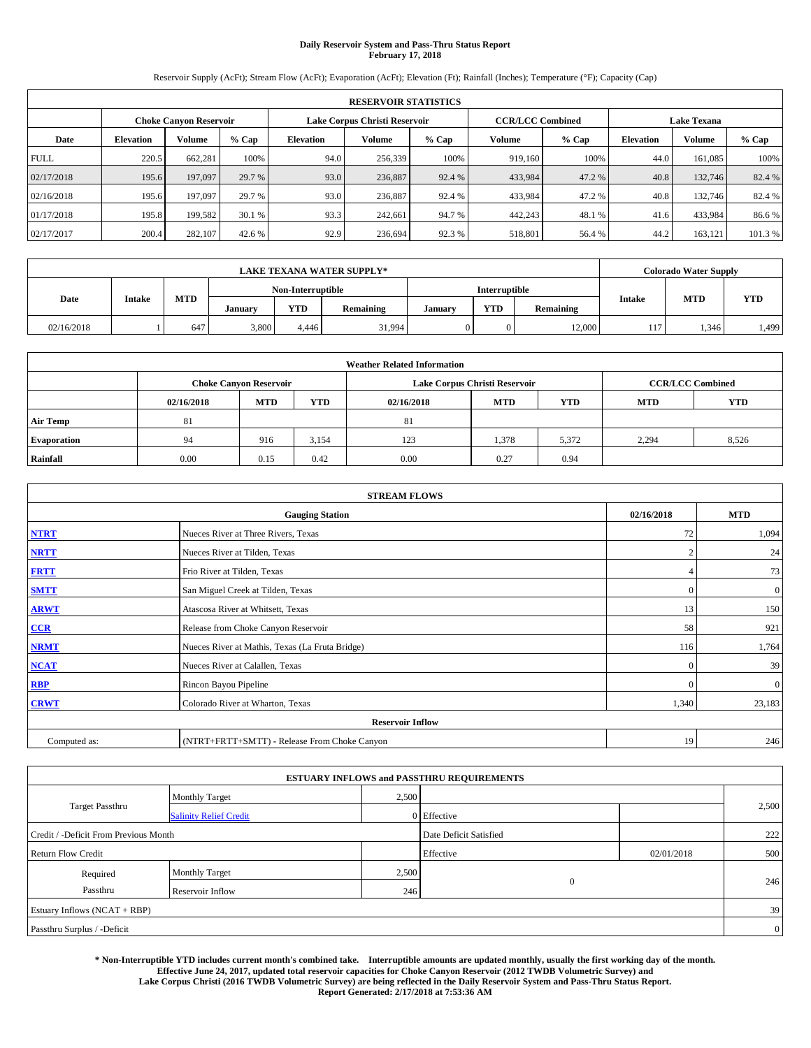## **Daily Reservoir System and Pass-Thru Status Report February 17, 2018**

Reservoir Supply (AcFt); Stream Flow (AcFt); Evaporation (AcFt); Elevation (Ft); Rainfall (Inches); Temperature (°F); Capacity (Cap)

| <b>RESERVOIR STATISTICS</b> |                  |                        |         |                  |                               |         |                         |         |                  |                    |         |
|-----------------------------|------------------|------------------------|---------|------------------|-------------------------------|---------|-------------------------|---------|------------------|--------------------|---------|
|                             |                  | Choke Canvon Reservoir |         |                  | Lake Corpus Christi Reservoir |         | <b>CCR/LCC Combined</b> |         |                  | <b>Lake Texana</b> |         |
| Date                        | <b>Elevation</b> | Volume                 | $%$ Cap | <b>Elevation</b> | Volume                        | $%$ Cap | Volume                  | $%$ Cap | <b>Elevation</b> | <b>Volume</b>      | % Cap   |
| <b>FULL</b>                 | 220.5            | 662,281                | 100%    | 94.0             | 256,339                       | 100%    | 919.160                 | 100%    | 44.0             | 161.085            | 100%    |
| 02/17/2018                  | 195.6            | 197,097                | 29.7 %  | 93.0             | 236,887                       | 92.4 %  | 433,984                 | 47.2 %  | 40.8             | 132,746            | 82.4 %  |
| 02/16/2018                  | 195.6            | 197,097                | 29.7 %  | 93.0             | 236,887                       | 92.4 %  | 433,984                 | 47.2%   | 40.8             | 132,746            | 82.4 %  |
| 01/17/2018                  | 195.8            | 199.582                | 30.1 %  | 93.3             | 242,661                       | 94.7 %  | 442,243                 | 48.1 %  | 41.6             | 433,984            | 86.6%   |
| 02/17/2017                  | 200.4            | 282,107                | 42.6 %  | 92.9             | 236,694                       | 92.3 %  | 518,801                 | 56.4 %  | 44.2             | 163,121            | 101.3 % |

| <b>LAKE TEXANA WATER SUPPLY*</b> |               |            |         |                   |           |         |               |                            |     | Colorado Water Supply |            |
|----------------------------------|---------------|------------|---------|-------------------|-----------|---------|---------------|----------------------------|-----|-----------------------|------------|
|                                  |               |            |         | Non-Interruptible |           |         | Interruptible |                            |     |                       |            |
| Date                             | <b>Intake</b> | <b>MTD</b> | January | <b>YTD</b>        | Remaining | January | <b>YTD</b>    | <b>Intake</b><br>Remaining |     | <b>MTD</b>            | <b>YTD</b> |
| 02/16/2018                       |               | 647        | 3,800   | 4.446             | 31,994    |         | 0             | 12,000                     | 117 | .346                  | 1,499      |

| <b>Weather Related Information</b> |            |                               |            |            |                               |                         |       |       |  |
|------------------------------------|------------|-------------------------------|------------|------------|-------------------------------|-------------------------|-------|-------|--|
|                                    |            | <b>Choke Canyon Reservoir</b> |            |            | Lake Corpus Christi Reservoir | <b>CCR/LCC Combined</b> |       |       |  |
|                                    | 02/16/2018 | <b>MTD</b>                    | <b>YTD</b> | 02/16/2018 | <b>YTD</b>                    |                         |       |       |  |
| <b>Air Temp</b>                    | 81         |                               |            | 81         |                               |                         |       |       |  |
| <b>Evaporation</b>                 | 94         | 916                           | 3,154      | 123        | 1,378                         | 5,372                   | 2.294 | 8,526 |  |
| Rainfall                           | 0.00       | 0.15                          | 0.42       | 0.00       | 0.27                          | 0.94                    |       |       |  |

| <b>STREAM FLOWS</b> |                                                 |                |              |  |  |  |  |  |
|---------------------|-------------------------------------------------|----------------|--------------|--|--|--|--|--|
|                     | 02/16/2018                                      | <b>MTD</b>     |              |  |  |  |  |  |
| <b>NTRT</b>         | Nueces River at Three Rivers, Texas             | 72             | 1,094        |  |  |  |  |  |
| <b>NRTT</b>         | Nueces River at Tilden, Texas                   | $\overline{2}$ | 24           |  |  |  |  |  |
| <b>FRTT</b>         | Frio River at Tilden, Texas                     |                | 73           |  |  |  |  |  |
| <b>SMTT</b>         | San Miguel Creek at Tilden, Texas               | $\mathbf{0}$   | $\mathbf{0}$ |  |  |  |  |  |
| <b>ARWT</b>         | Atascosa River at Whitsett, Texas               | 13             | 150          |  |  |  |  |  |
| CCR                 | Release from Choke Canyon Reservoir             | 58             | 921          |  |  |  |  |  |
| <b>NRMT</b>         | Nueces River at Mathis, Texas (La Fruta Bridge) | 116            | 1,764        |  |  |  |  |  |
| <b>NCAT</b>         | Nueces River at Calallen, Texas                 | $\Omega$       | 39           |  |  |  |  |  |
| <b>RBP</b>          | Rincon Bayou Pipeline                           | $\Omega$       | $\mathbf{0}$ |  |  |  |  |  |
| <b>CRWT</b>         | Colorado River at Wharton, Texas                | 1,340          | 23,183       |  |  |  |  |  |
|                     |                                                 |                |              |  |  |  |  |  |
| Computed as:        | (NTRT+FRTT+SMTT) - Release From Choke Canyon    | 19             | 246          |  |  |  |  |  |

| <b>ESTUARY INFLOWS and PASSTHRU REQUIREMENTS</b> |                               |       |                        |            |       |  |  |  |  |  |
|--------------------------------------------------|-------------------------------|-------|------------------------|------------|-------|--|--|--|--|--|
|                                                  | <b>Monthly Target</b>         | 2,500 |                        |            |       |  |  |  |  |  |
| <b>Target Passthru</b>                           | <b>Salinity Relief Credit</b> |       | 0 Effective            |            | 2,500 |  |  |  |  |  |
| Credit / -Deficit From Previous Month            |                               |       | Date Deficit Satisfied |            | 222   |  |  |  |  |  |
| <b>Return Flow Credit</b>                        |                               |       | Effective              | 02/01/2018 | 500   |  |  |  |  |  |
| Required                                         | <b>Monthly Target</b>         | 2,500 |                        |            |       |  |  |  |  |  |
| Passthru                                         | Reservoir Inflow              | 246   | $\mathbf{0}$           |            | 246   |  |  |  |  |  |
| Estuary Inflows (NCAT + RBP)                     |                               |       |                        |            |       |  |  |  |  |  |
| Passthru Surplus / -Deficit                      |                               |       |                        |            |       |  |  |  |  |  |

**\* Non-Interruptible YTD includes current month's combined take. Interruptible amounts are updated monthly, usually the first working day of the month. Effective June 24, 2017, updated total reservoir capacities for Choke Canyon Reservoir (2012 TWDB Volumetric Survey) and Lake Corpus Christi (2016 TWDB Volumetric Survey) are being reflected in the Daily Reservoir System and Pass-Thru Status Report. Report Generated: 2/17/2018 at 7:53:36 AM**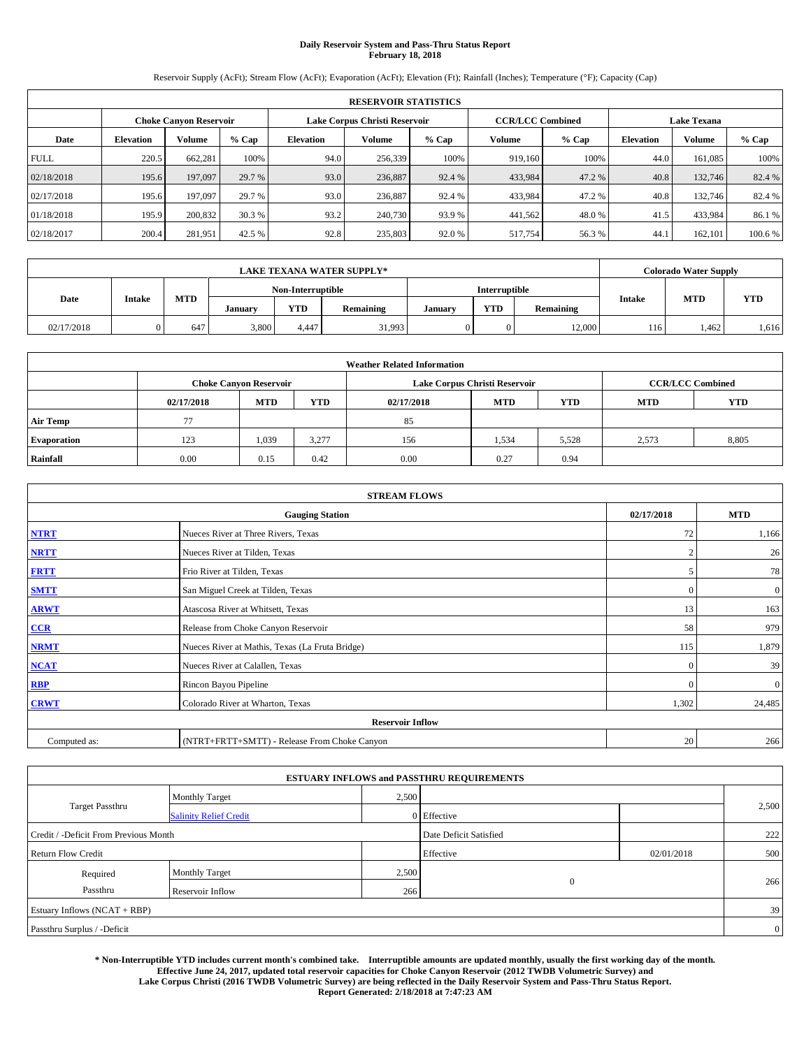## **Daily Reservoir System and Pass-Thru Status Report February 18, 2018**

Reservoir Supply (AcFt); Stream Flow (AcFt); Evaporation (AcFt); Elevation (Ft); Rainfall (Inches); Temperature (°F); Capacity (Cap)

|                                                         | <b>RESERVOIR STATISTICS</b> |         |         |                  |         |         |                         |         |                  |                    |         |
|---------------------------------------------------------|-----------------------------|---------|---------|------------------|---------|---------|-------------------------|---------|------------------|--------------------|---------|
| Lake Corpus Christi Reservoir<br>Choke Canvon Reservoir |                             |         |         |                  |         |         | <b>CCR/LCC Combined</b> |         |                  | <b>Lake Texana</b> |         |
| Date                                                    | <b>Elevation</b>            | Volume  | $%$ Cap | <b>Elevation</b> | Volume  | $%$ Cap | Volume                  | $%$ Cap | <b>Elevation</b> | <b>Volume</b>      | % Cap   |
| <b>FULL</b>                                             | 220.5                       | 662,281 | 100%    | 94.0             | 256,339 | 100%    | 919.160                 | 100%    | 44.0             | 161.085            | 100%    |
| 02/18/2018                                              | 195.6                       | 197,097 | 29.7 %  | 93.0             | 236,887 | 92.4 %  | 433,984                 | 47.2 %  | 40.8             | 132,746            | 82.4 %  |
| 02/17/2018                                              | 195.6                       | 197,097 | 29.7 %  | 93.0             | 236,887 | 92.4 %  | 433,984                 | 47.2%   | 40.8             | 132,746            | 82.4 %  |
| 01/18/2018                                              | 195.9                       | 200,832 | 30.3 %  | 93.2             | 240,730 | 93.9 %  | 441.562                 | 48.0%   | 41.5             | 433,984            | 86.1 %  |
| 02/18/2017                                              | 200.4                       | 281,951 | 42.5 %  | 92.8             | 235,803 | 92.0%   | 517,754                 | 56.3%   | 44.              | 162,101            | 100.6 % |

|            |        |            |         |                                           | <b>LAKE TEXANA WATER SUPPLY*</b> |               |            |           |               | <b>Colorado Water Supply</b> |            |
|------------|--------|------------|---------|-------------------------------------------|----------------------------------|---------------|------------|-----------|---------------|------------------------------|------------|
|            |        |            |         | <b>Interruptible</b><br>Non-Interruptible |                                  |               |            |           |               |                              |            |
| Date       | Intake | <b>MTD</b> | Januarv | <b>YTD</b>                                | Remaining                        | <b>Januar</b> | <b>YTD</b> | Remaining | <b>Intake</b> | <b>MTD</b>                   | <b>YTD</b> |
| 02/17/2018 |        | 647        | 3,800   | 4.447                                     | 31,993                           |               |            | 12,000    | 116           | 1,462                        | .616       |

| <b>Weather Related Information</b> |            |                                                                                  |       |      |                               |       |                         |            |  |  |
|------------------------------------|------------|----------------------------------------------------------------------------------|-------|------|-------------------------------|-------|-------------------------|------------|--|--|
|                                    |            | <b>Choke Canyon Reservoir</b>                                                    |       |      | Lake Corpus Christi Reservoir |       | <b>CCR/LCC Combined</b> |            |  |  |
|                                    | 02/17/2018 | <b>YTD</b><br><b>YTD</b><br><b>MTD</b><br><b>MTD</b><br><b>MTD</b><br>02/17/2018 |       |      |                               |       |                         | <b>YTD</b> |  |  |
| <b>Air Temp</b>                    | 77         |                                                                                  |       | 85   |                               |       |                         |            |  |  |
| <b>Evaporation</b>                 | 123        | 1,039                                                                            | 3,277 | 156  | 1,534                         | 5,528 | 2.573                   | 8,805      |  |  |
| Rainfall                           | 0.00       | 0.15                                                                             | 0.42  | 0.00 | 0.27                          | 0.94  |                         |            |  |  |

|              | <b>STREAM FLOWS</b>                             |                |                  |  |  |  |  |  |  |  |
|--------------|-------------------------------------------------|----------------|------------------|--|--|--|--|--|--|--|
|              | <b>Gauging Station</b>                          | 02/17/2018     | <b>MTD</b>       |  |  |  |  |  |  |  |
| <b>NTRT</b>  | Nueces River at Three Rivers, Texas             | 72             | 1,166            |  |  |  |  |  |  |  |
| <b>NRTT</b>  | Nueces River at Tilden, Texas                   | $\overline{2}$ | 26               |  |  |  |  |  |  |  |
| <b>FRTT</b>  | Frio River at Tilden, Texas                     | 5              | 78               |  |  |  |  |  |  |  |
| <b>SMTT</b>  | San Miguel Creek at Tilden, Texas               | $\mathbf{0}$   | $\boldsymbol{0}$ |  |  |  |  |  |  |  |
| <b>ARWT</b>  | Atascosa River at Whitsett, Texas               | 13             | 163              |  |  |  |  |  |  |  |
| CCR          | Release from Choke Canyon Reservoir             | 58             | 979              |  |  |  |  |  |  |  |
| <b>NRMT</b>  | Nueces River at Mathis, Texas (La Fruta Bridge) | 115            | 1,879            |  |  |  |  |  |  |  |
| <b>NCAT</b>  | Nueces River at Calallen, Texas                 | $\Omega$       | 39               |  |  |  |  |  |  |  |
| RBP          | Rincon Bayou Pipeline                           | $\Omega$       | $\mathbf{0}$     |  |  |  |  |  |  |  |
| <b>CRWT</b>  | Colorado River at Wharton, Texas                | 1,302          | 24,485           |  |  |  |  |  |  |  |
|              | <b>Reservoir Inflow</b>                         |                |                  |  |  |  |  |  |  |  |
| Computed as: | (NTRT+FRTT+SMTT) - Release From Choke Canyon    | 20             | 266              |  |  |  |  |  |  |  |

| <b>ESTUARY INFLOWS and PASSTHRU REQUIREMENTS</b> |                               |       |                        |            |       |  |  |  |  |  |
|--------------------------------------------------|-------------------------------|-------|------------------------|------------|-------|--|--|--|--|--|
|                                                  | <b>Monthly Target</b>         | 2,500 |                        |            |       |  |  |  |  |  |
| <b>Target Passthru</b>                           | <b>Salinity Relief Credit</b> |       | 0 Effective            |            | 2,500 |  |  |  |  |  |
| Credit / -Deficit From Previous Month            |                               |       | Date Deficit Satisfied |            | 222   |  |  |  |  |  |
| <b>Return Flow Credit</b>                        |                               |       | Effective              | 02/01/2018 | 500   |  |  |  |  |  |
| Required                                         | Monthly Target                | 2,500 |                        |            |       |  |  |  |  |  |
| Passthru                                         | Reservoir Inflow              | 266   | $\overline{0}$         |            | 266   |  |  |  |  |  |
| Estuary Inflows (NCAT + RBP)                     |                               |       |                        |            |       |  |  |  |  |  |
| Passthru Surplus / -Deficit                      |                               |       |                        |            |       |  |  |  |  |  |

**\* Non-Interruptible YTD includes current month's combined take. Interruptible amounts are updated monthly, usually the first working day of the month. Effective June 24, 2017, updated total reservoir capacities for Choke Canyon Reservoir (2012 TWDB Volumetric Survey) and Lake Corpus Christi (2016 TWDB Volumetric Survey) are being reflected in the Daily Reservoir System and Pass-Thru Status Report. Report Generated: 2/18/2018 at 7:47:23 AM**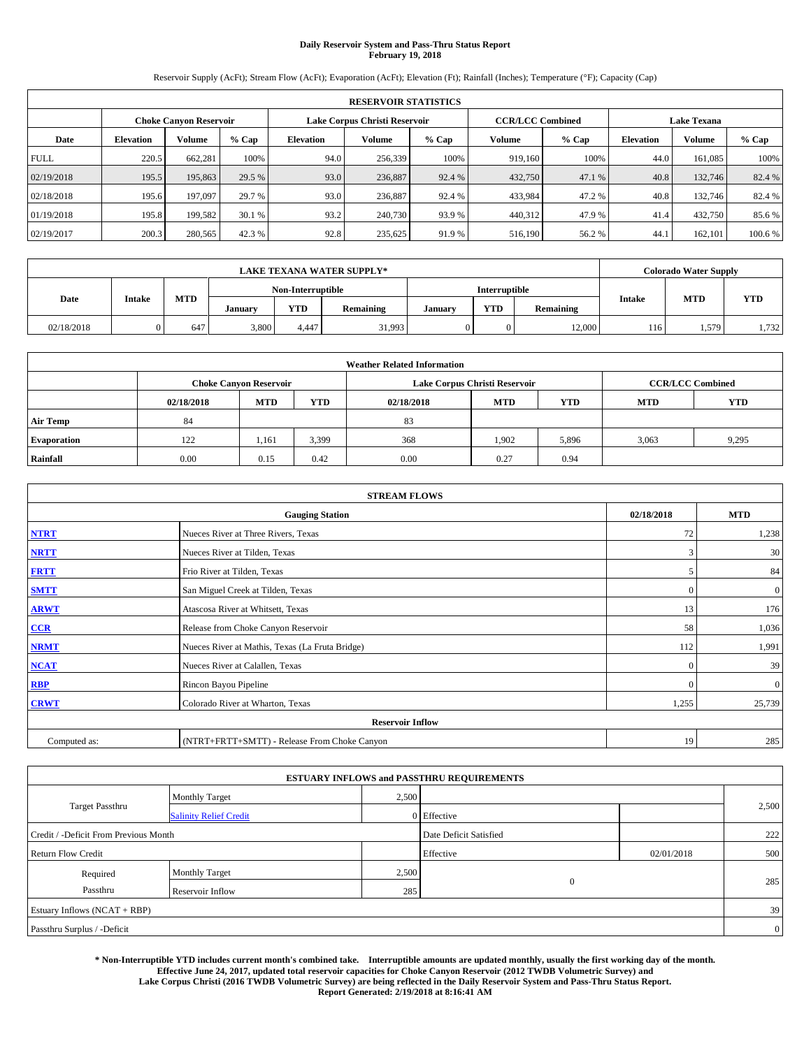## **Daily Reservoir System and Pass-Thru Status Report February 19, 2018**

Reservoir Supply (AcFt); Stream Flow (AcFt); Evaporation (AcFt); Elevation (Ft); Rainfall (Inches); Temperature (°F); Capacity (Cap)

|                                                         | <b>RESERVOIR STATISTICS</b> |         |         |                  |         |         |                         |         |                  |                    |         |
|---------------------------------------------------------|-----------------------------|---------|---------|------------------|---------|---------|-------------------------|---------|------------------|--------------------|---------|
| Lake Corpus Christi Reservoir<br>Choke Canvon Reservoir |                             |         |         |                  |         |         | <b>CCR/LCC Combined</b> |         |                  | <b>Lake Texana</b> |         |
| Date                                                    | <b>Elevation</b>            | Volume  | $%$ Cap | <b>Elevation</b> | Volume  | $%$ Cap | Volume                  | $%$ Cap | <b>Elevation</b> | <b>Volume</b>      | % Cap   |
| <b>FULL</b>                                             | 220.5                       | 662,281 | 100%    | 94.0             | 256,339 | 100%    | 919.160                 | 100%    | 44.0             | 161.085            | 100%    |
| 02/19/2018                                              | 195.5                       | 195,863 | 29.5 %  | 93.0             | 236,887 | 92.4 %  | 432,750                 | 47.1 %  | 40.8             | 132,746            | 82.4 %  |
| 02/18/2018                                              | 195.6                       | 197,097 | 29.7 %  | 93.0             | 236,887 | 92.4 %  | 433,984                 | 47.2%   | 40.8             | 132,746            | 82.4 %  |
| 01/19/2018                                              | 195.8                       | 199.582 | 30.1 %  | 93.2             | 240,730 | 93.9 %  | 440.312                 | 47.9 %  | 41.4             | 432,750            | 85.6 %  |
| 02/19/2017                                              | 200.3                       | 280,565 | 42.3 %  | 92.8             | 235,625 | 91.9%   | 516,190                 | 56.2%   | 44.              | 162,101            | 100.6 % |

|            |               |            |                   |            | <b>LAKE TEXANA WATER SUPPLY*</b> |         |            |           |               | Colorado Water Supply |            |
|------------|---------------|------------|-------------------|------------|----------------------------------|---------|------------|-----------|---------------|-----------------------|------------|
|            |               |            | Non-Interruptible |            | Interruptible                    |         |            |           |               |                       |            |
| Date       | <b>Intake</b> | <b>MTD</b> | January           | <b>YTD</b> | Remaining                        | January | <b>YTD</b> | Remaining | <b>Intake</b> | <b>MTD</b>            | <b>YTD</b> |
| 02/18/2018 |               | 647        | 3,800             | 4.447      | 31,993                           |         | 0          | 12,000    | 116           | 1,579                 | 1,732      |

| <b>Weather Related Information</b> |            |                                                                                  |       |      |                               |       |                         |            |  |  |
|------------------------------------|------------|----------------------------------------------------------------------------------|-------|------|-------------------------------|-------|-------------------------|------------|--|--|
|                                    |            | <b>Choke Canyon Reservoir</b>                                                    |       |      | Lake Corpus Christi Reservoir |       | <b>CCR/LCC Combined</b> |            |  |  |
|                                    | 02/18/2018 | <b>MTD</b><br><b>YTD</b><br><b>YTD</b><br><b>MTD</b><br><b>MTD</b><br>02/18/2018 |       |      |                               |       |                         | <b>YTD</b> |  |  |
| <b>Air Temp</b>                    | 84         |                                                                                  |       | 83   |                               |       |                         |            |  |  |
| <b>Evaporation</b>                 | 122        | 1,161                                                                            | 3,399 | 368  | 1,902                         | 5,896 | 3,063                   | 9,295      |  |  |
| Rainfall                           | 0.00       | 0.15                                                                             | 0.42  | 0.00 | 0.27                          | 0.94  |                         |            |  |  |

|              | <b>STREAM FLOWS</b>                             |              |                  |  |  |  |  |  |  |  |
|--------------|-------------------------------------------------|--------------|------------------|--|--|--|--|--|--|--|
|              | <b>Gauging Station</b>                          | 02/18/2018   | <b>MTD</b>       |  |  |  |  |  |  |  |
| <b>NTRT</b>  | Nueces River at Three Rivers, Texas             | 72           | 1,238            |  |  |  |  |  |  |  |
| <b>NRTT</b>  | Nueces River at Tilden, Texas                   | 3            | 30               |  |  |  |  |  |  |  |
| <b>FRTT</b>  | Frio River at Tilden, Texas                     | 5            | 84               |  |  |  |  |  |  |  |
| <b>SMTT</b>  | San Miguel Creek at Tilden, Texas               | $\mathbf{0}$ | $\boldsymbol{0}$ |  |  |  |  |  |  |  |
| <b>ARWT</b>  | Atascosa River at Whitsett, Texas               | 13           | 176              |  |  |  |  |  |  |  |
| $CCR$        | Release from Choke Canyon Reservoir             | 58           | 1,036            |  |  |  |  |  |  |  |
| <b>NRMT</b>  | Nueces River at Mathis, Texas (La Fruta Bridge) | 112          | 1,991            |  |  |  |  |  |  |  |
| <b>NCAT</b>  | Nueces River at Calallen, Texas                 | $\Omega$     | 39               |  |  |  |  |  |  |  |
| RBP          | Rincon Bayou Pipeline                           | $\Omega$     | $\mathbf{0}$     |  |  |  |  |  |  |  |
| <b>CRWT</b>  | Colorado River at Wharton, Texas                | 1,255        | 25,739           |  |  |  |  |  |  |  |
|              | <b>Reservoir Inflow</b>                         |              |                  |  |  |  |  |  |  |  |
| Computed as: | (NTRT+FRTT+SMTT) - Release From Choke Canyon    | 19           | 285              |  |  |  |  |  |  |  |

| <b>ESTUARY INFLOWS and PASSTHRU REQUIREMENTS</b> |                               |       |                        |            |       |  |  |  |  |  |
|--------------------------------------------------|-------------------------------|-------|------------------------|------------|-------|--|--|--|--|--|
|                                                  | <b>Monthly Target</b>         | 2,500 |                        |            |       |  |  |  |  |  |
| <b>Target Passthru</b>                           | <b>Salinity Relief Credit</b> |       | 0 Effective            |            | 2,500 |  |  |  |  |  |
| Credit / -Deficit From Previous Month            |                               |       | Date Deficit Satisfied |            | 222   |  |  |  |  |  |
| <b>Return Flow Credit</b>                        |                               |       | Effective              | 02/01/2018 | 500   |  |  |  |  |  |
| Required                                         | Monthly Target                | 2,500 |                        |            |       |  |  |  |  |  |
| Passthru                                         | Reservoir Inflow              | 285   | $\overline{0}$         |            | 285   |  |  |  |  |  |
| Estuary Inflows (NCAT + RBP)                     |                               |       |                        |            |       |  |  |  |  |  |
| Passthru Surplus / -Deficit                      |                               |       |                        |            |       |  |  |  |  |  |

**\* Non-Interruptible YTD includes current month's combined take. Interruptible amounts are updated monthly, usually the first working day of the month. Effective June 24, 2017, updated total reservoir capacities for Choke Canyon Reservoir (2012 TWDB Volumetric Survey) and Lake Corpus Christi (2016 TWDB Volumetric Survey) are being reflected in the Daily Reservoir System and Pass-Thru Status Report. Report Generated: 2/19/2018 at 8:16:41 AM**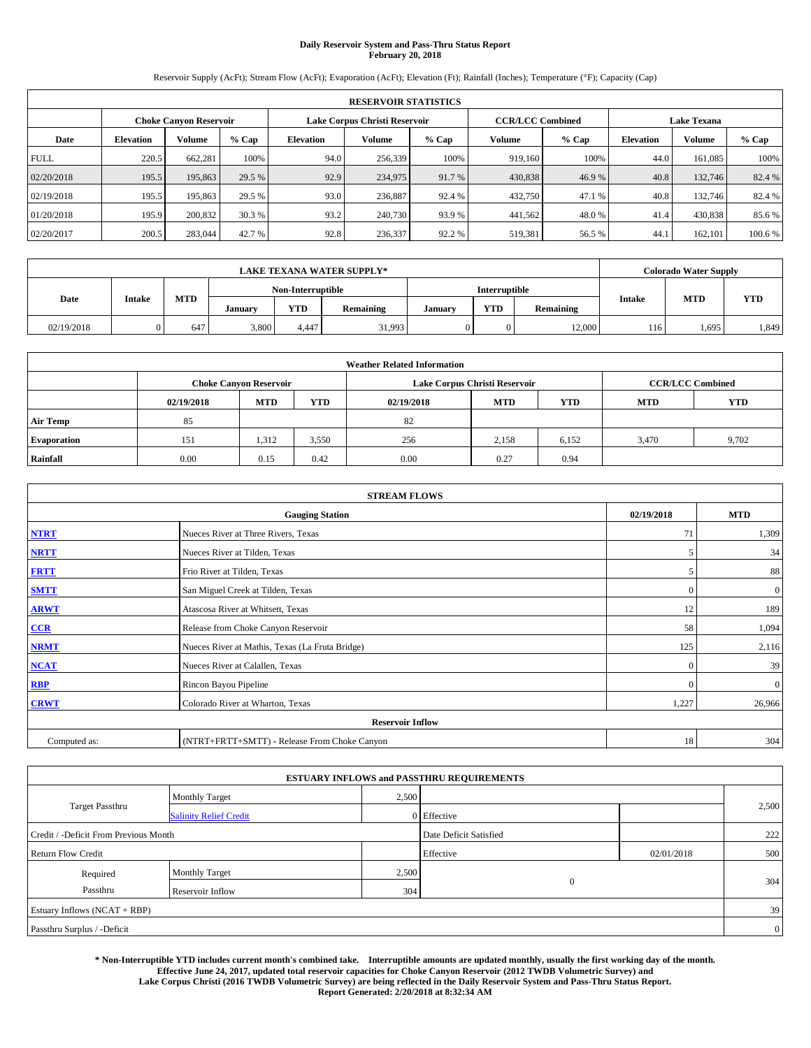## **Daily Reservoir System and Pass-Thru Status Report February 20, 2018**

Reservoir Supply (AcFt); Stream Flow (AcFt); Evaporation (AcFt); Elevation (Ft); Rainfall (Inches); Temperature (°F); Capacity (Cap)

|                                                         | <b>RESERVOIR STATISTICS</b> |         |         |                  |         |         |                         |         |                  |                    |         |
|---------------------------------------------------------|-----------------------------|---------|---------|------------------|---------|---------|-------------------------|---------|------------------|--------------------|---------|
| Lake Corpus Christi Reservoir<br>Choke Canvon Reservoir |                             |         |         |                  |         |         | <b>CCR/LCC Combined</b> |         |                  | <b>Lake Texana</b> |         |
| Date                                                    | <b>Elevation</b>            | Volume  | $%$ Cap | <b>Elevation</b> | Volume  | $%$ Cap | Volume                  | $%$ Cap | <b>Elevation</b> | <b>Volume</b>      | % Cap   |
| <b>FULL</b>                                             | 220.5                       | 662,281 | 100%    | 94.0             | 256,339 | 100%    | 919.160                 | 100%    | 44.0             | 161.085            | 100%    |
| 02/20/2018                                              | 195.5                       | 195,863 | 29.5 %  | 92.9             | 234,975 | 91.7 %  | 430,838                 | 46.9%   | 40.8             | 132,746            | 82.4 %  |
| 02/19/2018                                              | 195.5                       | 195,863 | 29.5 %  | 93.0             | 236,887 | 92.4 %  | 432,750                 | 47.1 %  | 40.8             | 132,746            | 82.4 %  |
| 01/20/2018                                              | 195.9                       | 200,832 | 30.3 %  | 93.2             | 240,730 | 93.9 %  | 441.562                 | 48.0%   | 41.4             | 430,838            | 85.6 %  |
| 02/20/2017                                              | 200.5                       | 283,044 | 42.7 %  | 92.8             | 236,337 | 92.2 %  | 519,381                 | 56.5 %  | 44.              | 162,101            | 100.6 % |

|            | <b>LAKE TEXANA WATER SUPPLY*</b> |            |         |                   |           |                      |            |           |               | <b>Colorado Water Supply</b> |            |
|------------|----------------------------------|------------|---------|-------------------|-----------|----------------------|------------|-----------|---------------|------------------------------|------------|
|            |                                  |            |         | Non-Interruptible |           | <b>Interruptible</b> |            |           |               |                              |            |
| Date       | <b>Intake</b>                    | <b>MTD</b> | January | <b>YTD</b>        | Remaining | January              | <b>YTD</b> | Remaining | <b>Intake</b> | <b>MTD</b>                   | <b>YTD</b> |
| 02/19/2018 |                                  | 647        | 3,800   | 4.447             | 31,993    |                      |            | 12,000    | 116           | .,695                        | 1,849      |

| <b>Weather Related Information</b> |            |                                                                                  |       |      |                               |                         |       |       |  |  |  |
|------------------------------------|------------|----------------------------------------------------------------------------------|-------|------|-------------------------------|-------------------------|-------|-------|--|--|--|
|                                    |            | <b>Choke Canyon Reservoir</b>                                                    |       |      | Lake Corpus Christi Reservoir | <b>CCR/LCC Combined</b> |       |       |  |  |  |
|                                    | 02/19/2018 | <b>YTD</b><br><b>YTD</b><br><b>MTD</b><br><b>MTD</b><br><b>MTD</b><br>02/19/2018 |       |      |                               |                         |       |       |  |  |  |
| <b>Air Temp</b>                    | 85         |                                                                                  |       | 82   |                               |                         |       |       |  |  |  |
| <b>Evaporation</b>                 | 151        | 1,312                                                                            | 3,550 | 256  | 2,158                         | 6,152                   | 3,470 | 9,702 |  |  |  |
| Rainfall                           | 0.00       | 0.15                                                                             | 0.42  | 0.00 | 0.27                          | 0.94                    |       |       |  |  |  |

| <b>STREAM FLOWS</b> |                                                 |              |              |  |  |  |  |  |
|---------------------|-------------------------------------------------|--------------|--------------|--|--|--|--|--|
|                     | <b>Gauging Station</b>                          | 02/19/2018   | <b>MTD</b>   |  |  |  |  |  |
| <b>NTRT</b>         | Nueces River at Three Rivers, Texas             | 71           | 1,309        |  |  |  |  |  |
| <b>NRTT</b>         | Nueces River at Tilden, Texas                   | 5            | 34           |  |  |  |  |  |
| <b>FRTT</b>         | Frio River at Tilden, Texas                     | 5            | 88           |  |  |  |  |  |
| <b>SMTT</b>         | San Miguel Creek at Tilden, Texas               | $\mathbf{0}$ | $\mathbf{0}$ |  |  |  |  |  |
| <b>ARWT</b>         | Atascosa River at Whitsett, Texas               | 12           | 189          |  |  |  |  |  |
| $CCR$               | Release from Choke Canyon Reservoir             | 58           | 1,094        |  |  |  |  |  |
| <b>NRMT</b>         | Nueces River at Mathis, Texas (La Fruta Bridge) | 125          | 2,116        |  |  |  |  |  |
| <b>NCAT</b>         | Nueces River at Calallen, Texas                 | $\Omega$     | 39           |  |  |  |  |  |
| RBP                 | Rincon Bayou Pipeline                           | $\Omega$     | $\mathbf{0}$ |  |  |  |  |  |
| <b>CRWT</b>         | Colorado River at Wharton, Texas                | 1,227        | 26,966       |  |  |  |  |  |
|                     | <b>Reservoir Inflow</b>                         |              |              |  |  |  |  |  |
| Computed as:        | (NTRT+FRTT+SMTT) - Release From Choke Canyon    | 18           | 304          |  |  |  |  |  |

|                                       |                               |       | <b>ESTUARY INFLOWS and PASSTHRU REQUIREMENTS</b> |            |                |
|---------------------------------------|-------------------------------|-------|--------------------------------------------------|------------|----------------|
|                                       | <b>Monthly Target</b>         | 2,500 |                                                  |            |                |
| <b>Target Passthru</b>                | <b>Salinity Relief Credit</b> |       | 0 Effective                                      |            | 2,500          |
| Credit / -Deficit From Previous Month |                               |       | Date Deficit Satisfied                           |            | 222            |
| <b>Return Flow Credit</b>             |                               |       | Effective                                        | 02/01/2018 | 500            |
| Required                              | Monthly Target                | 2,500 |                                                  |            |                |
| Passthru                              | Reservoir Inflow              | 304   | $\overline{0}$                                   |            | 304            |
| Estuary Inflows (NCAT + RBP)          |                               |       |                                                  |            | 39             |
| Passthru Surplus / -Deficit           |                               |       |                                                  |            | $\overline{0}$ |

**\* Non-Interruptible YTD includes current month's combined take. Interruptible amounts are updated monthly, usually the first working day of the month. Effective June 24, 2017, updated total reservoir capacities for Choke Canyon Reservoir (2012 TWDB Volumetric Survey) and Lake Corpus Christi (2016 TWDB Volumetric Survey) are being reflected in the Daily Reservoir System and Pass-Thru Status Report. Report Generated: 2/20/2018 at 8:32:34 AM**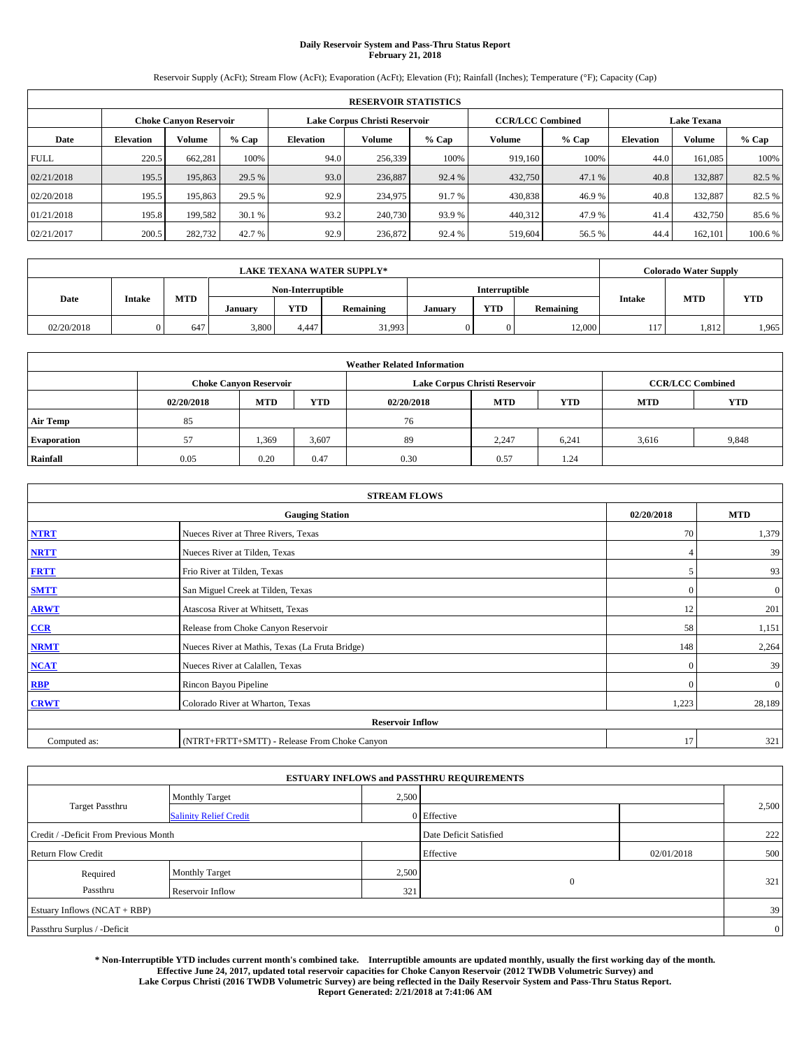## **Daily Reservoir System and Pass-Thru Status Report February 21, 2018**

Reservoir Supply (AcFt); Stream Flow (AcFt); Evaporation (AcFt); Elevation (Ft); Rainfall (Inches); Temperature (°F); Capacity (Cap)

|             | <b>RESERVOIR STATISTICS</b> |                               |         |                  |                               |         |                         |         |                    |               |         |  |  |
|-------------|-----------------------------|-------------------------------|---------|------------------|-------------------------------|---------|-------------------------|---------|--------------------|---------------|---------|--|--|
|             |                             | <b>Choke Canyon Reservoir</b> |         |                  | Lake Corpus Christi Reservoir |         | <b>CCR/LCC Combined</b> |         | <b>Lake Texana</b> |               |         |  |  |
| Date        | <b>Elevation</b>            | Volume                        | $%$ Cap | <b>Elevation</b> | Volume                        | $%$ Cap | Volume                  | $%$ Cap | <b>Elevation</b>   | <b>Volume</b> | % Cap   |  |  |
| <b>FULL</b> | 220.5                       | 662.281                       | 100%    | 94.0             | 256,339                       | 100%    | 919.160                 | 100%    | 44.0               | 161.085       | 100%    |  |  |
| 02/21/2018  | 195.5                       | 195,863                       | 29.5 %  | 93.0             | 236,887                       | 92.4 %  | 432,750                 | 47.1 %  | 40.8               | 132,887       | 82.5 %  |  |  |
| 02/20/2018  | 195.5                       | 195,863                       | 29.5 %  | 92.9             | 234,975                       | 91.7 %  | 430,838                 | 46.9%   | 40.8               | 132,887       | 82.5 %  |  |  |
| 01/21/2018  | 195.8                       | 199.582                       | 30.1 %  | 93.2             | 240,730                       | 93.9 %  | 440,312                 | 47.9 %  | 41.4               | 432,750       | 85.6%   |  |  |
| 02/21/2017  | 200.5                       | 282,732                       | 42.7 %  | 92.9             | 236,872                       | 92.4 %  | 519,604                 | 56.5 %  | 44.4               | 162,101       | 100.6 % |  |  |

|            |               |            |         |                   | <b>LAKE TEXANA WATER SUPPLY*</b> |               |            |           |               | Colorado Water Supply |            |
|------------|---------------|------------|---------|-------------------|----------------------------------|---------------|------------|-----------|---------------|-----------------------|------------|
|            |               |            |         | Non-Interruptible |                                  | Interruptible |            |           |               |                       |            |
| Date       | <b>Intake</b> | <b>MTD</b> | January | <b>YTD</b>        | Remaining                        | January       | <b>YTD</b> | Remaining | <b>Intake</b> | <b>MTD</b>            | <b>YTD</b> |
| 02/20/2018 |               | 647        | 3,800   | 4.447             | 31,993                           |               | 0          | 12,000    | 117           | 1.812                 | 1,965      |

| <b>Weather Related Information</b> |            |                                                                                  |       |      |                               |                         |       |       |  |  |  |
|------------------------------------|------------|----------------------------------------------------------------------------------|-------|------|-------------------------------|-------------------------|-------|-------|--|--|--|
|                                    |            | <b>Choke Canyon Reservoir</b>                                                    |       |      | Lake Corpus Christi Reservoir | <b>CCR/LCC Combined</b> |       |       |  |  |  |
|                                    | 02/20/2018 | <b>YTD</b><br><b>YTD</b><br><b>MTD</b><br><b>MTD</b><br><b>MTD</b><br>02/20/2018 |       |      |                               |                         |       |       |  |  |  |
| <b>Air Temp</b>                    | 85         |                                                                                  |       | 76   |                               |                         |       |       |  |  |  |
| <b>Evaporation</b>                 | 57         | 1,369                                                                            | 3,607 | 89   | 2,247                         | 6,241                   | 3.616 | 9,848 |  |  |  |
| Rainfall                           | 0.05       | 0.20                                                                             | 0.47  | 0.30 | 0.57                          | 1.24                    |       |       |  |  |  |

| <b>STREAM FLOWS</b> |                                                 |              |              |  |  |  |  |  |
|---------------------|-------------------------------------------------|--------------|--------------|--|--|--|--|--|
|                     | <b>Gauging Station</b>                          | 02/20/2018   | <b>MTD</b>   |  |  |  |  |  |
| <b>NTRT</b>         | Nueces River at Three Rivers, Texas             | 70           | 1,379        |  |  |  |  |  |
| <b>NRTT</b>         | Nueces River at Tilden, Texas                   | 4            | 39           |  |  |  |  |  |
| <b>FRTT</b>         | Frio River at Tilden, Texas                     |              | 93           |  |  |  |  |  |
| <b>SMTT</b>         | San Miguel Creek at Tilden, Texas               | $\mathbf{0}$ | $\mathbf{0}$ |  |  |  |  |  |
| <b>ARWT</b>         | Atascosa River at Whitsett, Texas               | 12           | 201          |  |  |  |  |  |
| CCR                 | Release from Choke Canyon Reservoir             | 58           | 1,151        |  |  |  |  |  |
| <b>NRMT</b>         | Nueces River at Mathis, Texas (La Fruta Bridge) | 148          | 2,264        |  |  |  |  |  |
| <b>NCAT</b>         | Nueces River at Calallen, Texas                 | $\Omega$     | 39           |  |  |  |  |  |
| <b>RBP</b>          | Rincon Bayou Pipeline                           | $\Omega$     | $\mathbf{0}$ |  |  |  |  |  |
| <b>CRWT</b>         | Colorado River at Wharton, Texas                | 1,223        | 28,189       |  |  |  |  |  |
|                     | <b>Reservoir Inflow</b>                         |              |              |  |  |  |  |  |
| Computed as:        | (NTRT+FRTT+SMTT) - Release From Choke Canyon    | 17           | 321          |  |  |  |  |  |

|                                       |                               |       | <b>ESTUARY INFLOWS and PASSTHRU REQUIREMENTS</b> |            |                |
|---------------------------------------|-------------------------------|-------|--------------------------------------------------|------------|----------------|
|                                       | <b>Monthly Target</b>         | 2,500 |                                                  |            |                |
| Target Passthru                       | <b>Salinity Relief Credit</b> |       | 0 Effective                                      |            | 2,500          |
| Credit / -Deficit From Previous Month |                               |       | Date Deficit Satisfied                           |            | 222            |
| <b>Return Flow Credit</b>             |                               |       | Effective                                        | 02/01/2018 | 500            |
| Required                              | <b>Monthly Target</b>         | 2,500 |                                                  |            |                |
| Passthru                              | Reservoir Inflow              | 321   | $\theta$                                         |            | 321            |
| Estuary Inflows (NCAT + RBP)          |                               |       |                                                  |            | 39             |
| Passthru Surplus / -Deficit           |                               |       |                                                  |            | $\overline{0}$ |

**\* Non-Interruptible YTD includes current month's combined take. Interruptible amounts are updated monthly, usually the first working day of the month. Effective June 24, 2017, updated total reservoir capacities for Choke Canyon Reservoir (2012 TWDB Volumetric Survey) and Lake Corpus Christi (2016 TWDB Volumetric Survey) are being reflected in the Daily Reservoir System and Pass-Thru Status Report. Report Generated: 2/21/2018 at 7:41:06 AM**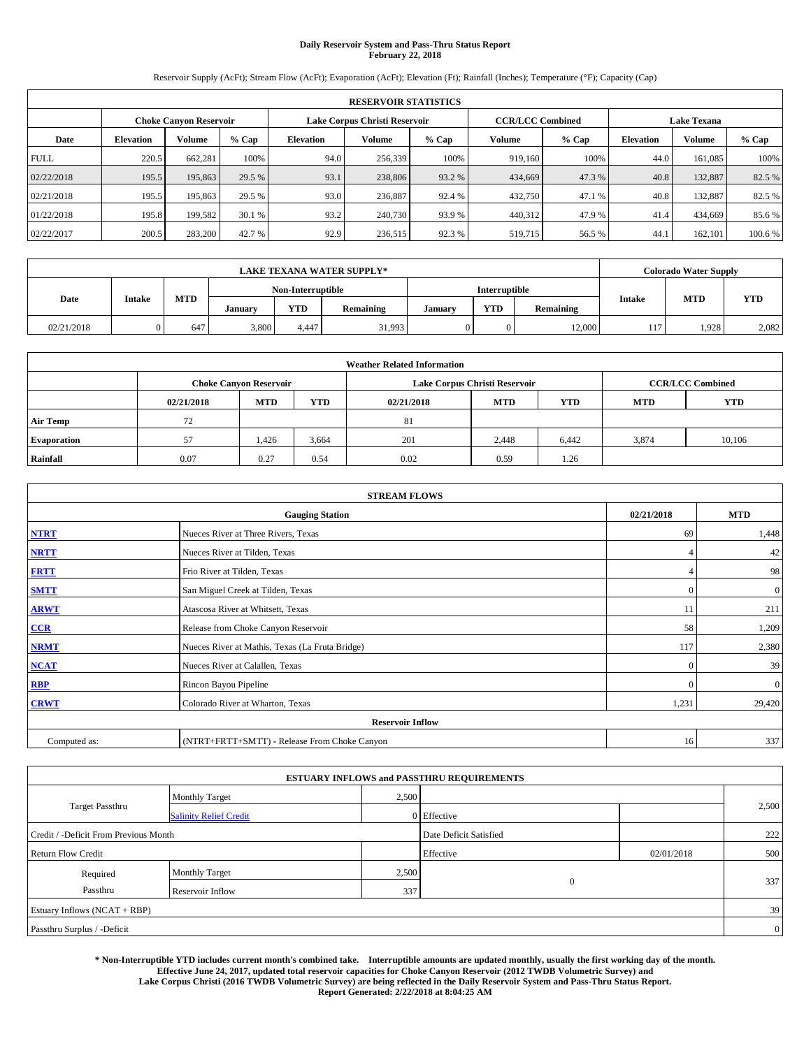## **Daily Reservoir System and Pass-Thru Status Report February 22, 2018**

Reservoir Supply (AcFt); Stream Flow (AcFt); Evaporation (AcFt); Elevation (Ft); Rainfall (Inches); Temperature (°F); Capacity (Cap)

|             | <b>RESERVOIR STATISTICS</b> |                               |         |                  |                               |         |                         |         |                    |               |         |  |  |
|-------------|-----------------------------|-------------------------------|---------|------------------|-------------------------------|---------|-------------------------|---------|--------------------|---------------|---------|--|--|
|             |                             | <b>Choke Canyon Reservoir</b> |         |                  | Lake Corpus Christi Reservoir |         | <b>CCR/LCC Combined</b> |         | <b>Lake Texana</b> |               |         |  |  |
| Date        | <b>Elevation</b>            | Volume                        | $%$ Cap | <b>Elevation</b> | Volume                        | $%$ Cap | Volume                  | $%$ Cap | <b>Elevation</b>   | <b>Volume</b> | % Cap   |  |  |
| <b>FULL</b> | 220.5                       | 662.281                       | 100%    | 94.0             | 256,339                       | 100%    | 919.160                 | 100%    | 44.0               | 161.085       | 100%    |  |  |
| 02/22/2018  | 195.5                       | 195,863                       | 29.5 %  | 93.1             | 238,806                       | 93.2 %  | 434,669                 | 47.3 %  | 40.8               | 132,887       | 82.5 %  |  |  |
| 02/21/2018  | 195.5                       | 195,863                       | 29.5 %  | 93.0             | 236,887                       | 92.4 %  | 432,750                 | 47.1 %  | 40.8               | 132,887       | 82.5 %  |  |  |
| 01/22/2018  | 195.8                       | 199.582                       | 30.1 %  | 93.2             | 240,730                       | 93.9 %  | 440,312                 | 47.9 %  | 41.4               | 434,669       | 85.6%   |  |  |
| 02/22/2017  | 200.5                       | 283,200                       | 42.7 %  | 92.9             | 236,515                       | 92.3 %  | 519,715                 | 56.5 %  | 44.                | 162,101       | 100.6 % |  |  |

|            |               |            |         |                   | <b>LAKE TEXANA WATER SUPPLY*</b> |               |            |           |               | Colorado Water Supply |            |
|------------|---------------|------------|---------|-------------------|----------------------------------|---------------|------------|-----------|---------------|-----------------------|------------|
|            |               |            |         | Non-Interruptible |                                  | Interruptible |            |           |               |                       |            |
| Date       | <b>Intake</b> | <b>MTD</b> | January | <b>YTD</b>        | Remaining                        | January       | <b>YTD</b> | Remaining | <b>Intake</b> | <b>MTD</b>            | <b>YTD</b> |
| 02/21/2018 |               | 647        | 3,800   | 4.447             | 31,993                           |               | 0          | 12,000    | 117           | 1,928                 | 2,082      |

|                    | <b>Weather Related Information</b> |                                                                                  |       |      |                               |                         |       |        |  |  |  |  |
|--------------------|------------------------------------|----------------------------------------------------------------------------------|-------|------|-------------------------------|-------------------------|-------|--------|--|--|--|--|
|                    |                                    | <b>Choke Canyon Reservoir</b>                                                    |       |      | Lake Corpus Christi Reservoir | <b>CCR/LCC Combined</b> |       |        |  |  |  |  |
|                    | 02/21/2018                         | <b>YTD</b><br><b>YTD</b><br><b>MTD</b><br><b>MTD</b><br><b>MTD</b><br>02/21/2018 |       |      |                               |                         |       |        |  |  |  |  |
| <b>Air Temp</b>    | 72                                 |                                                                                  |       | 81   |                               |                         |       |        |  |  |  |  |
| <b>Evaporation</b> | 57                                 | 1,426                                                                            | 3,664 | 201  | 2,448                         | 6,442                   | 3,874 | 10,106 |  |  |  |  |
| Rainfall           | 0.07                               | 0.27                                                                             | 0.54  | 0.02 | 0.59                          | 1.26                    |       |        |  |  |  |  |

| <b>STREAM FLOWS</b> |                                                 |              |              |  |  |  |  |  |
|---------------------|-------------------------------------------------|--------------|--------------|--|--|--|--|--|
|                     | <b>Gauging Station</b>                          |              |              |  |  |  |  |  |
| <b>NTRT</b>         | Nueces River at Three Rivers, Texas             | 69           | 1,448        |  |  |  |  |  |
| <b>NRTT</b>         | Nueces River at Tilden, Texas                   | 4            | 42           |  |  |  |  |  |
| <b>FRTT</b>         | Frio River at Tilden, Texas                     |              | 98           |  |  |  |  |  |
| <b>SMTT</b>         | San Miguel Creek at Tilden, Texas               | $\mathbf{0}$ | $\mathbf{0}$ |  |  |  |  |  |
| <b>ARWT</b>         | Atascosa River at Whitsett, Texas               | 11           | 211          |  |  |  |  |  |
| CCR                 | Release from Choke Canyon Reservoir             | 58           | 1,209        |  |  |  |  |  |
| <b>NRMT</b>         | Nueces River at Mathis, Texas (La Fruta Bridge) | 117          | 2,380        |  |  |  |  |  |
| <b>NCAT</b>         | Nueces River at Calallen, Texas                 | $\Omega$     | 39           |  |  |  |  |  |
| <b>RBP</b>          | Rincon Bayou Pipeline                           | $\Omega$     | $\mathbf{0}$ |  |  |  |  |  |
| <b>CRWT</b>         | Colorado River at Wharton, Texas                | 1,231        | 29,420       |  |  |  |  |  |
|                     | <b>Reservoir Inflow</b>                         |              |              |  |  |  |  |  |
| Computed as:        | (NTRT+FRTT+SMTT) - Release From Choke Canyon    | 16           | 337          |  |  |  |  |  |

|                                       |                               |                        | <b>ESTUARY INFLOWS and PASSTHRU REQUIREMENTS</b> |     |                |  |
|---------------------------------------|-------------------------------|------------------------|--------------------------------------------------|-----|----------------|--|
|                                       | <b>Monthly Target</b>         | 2,500                  |                                                  |     |                |  |
| <b>Target Passthru</b>                | <b>Salinity Relief Credit</b> |                        | 0 Effective                                      |     | 2,500          |  |
| Credit / -Deficit From Previous Month |                               | Date Deficit Satisfied |                                                  | 222 |                |  |
| <b>Return Flow Credit</b>             |                               | Effective              | 02/01/2018                                       | 500 |                |  |
| Required                              | Monthly Target                | 2,500                  |                                                  |     |                |  |
| Passthru                              | Reservoir Inflow              | 337                    | $\overline{0}$                                   |     | 337            |  |
| Estuary Inflows (NCAT + RBP)          |                               |                        |                                                  |     | 39             |  |
| Passthru Surplus / -Deficit           |                               |                        |                                                  |     | $\overline{0}$ |  |

**\* Non-Interruptible YTD includes current month's combined take. Interruptible amounts are updated monthly, usually the first working day of the month. Effective June 24, 2017, updated total reservoir capacities for Choke Canyon Reservoir (2012 TWDB Volumetric Survey) and Lake Corpus Christi (2016 TWDB Volumetric Survey) are being reflected in the Daily Reservoir System and Pass-Thru Status Report. Report Generated: 2/22/2018 at 8:04:25 AM**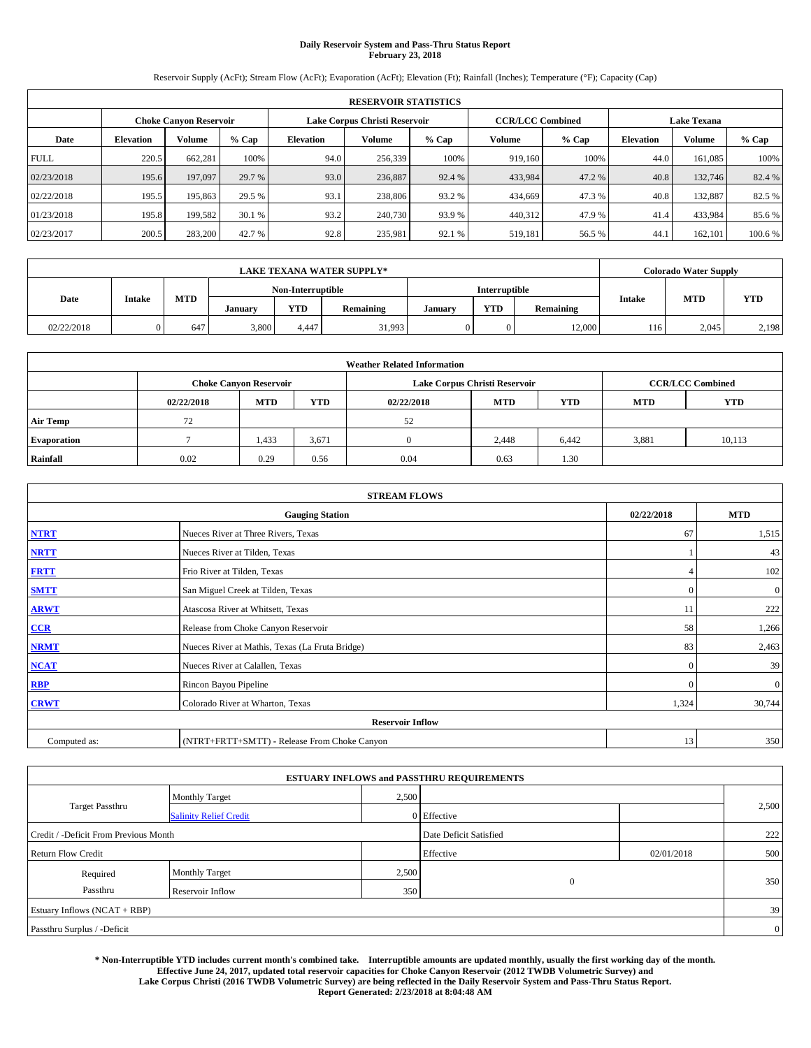## **Daily Reservoir System and Pass-Thru Status Report February 23, 2018**

Reservoir Supply (AcFt); Stream Flow (AcFt); Evaporation (AcFt); Elevation (Ft); Rainfall (Inches); Temperature (°F); Capacity (Cap)

|             | <b>RESERVOIR STATISTICS</b> |                        |         |                  |                               |         |                         |         |                  |                    |         |
|-------------|-----------------------------|------------------------|---------|------------------|-------------------------------|---------|-------------------------|---------|------------------|--------------------|---------|
|             |                             | Choke Canvon Reservoir |         |                  | Lake Corpus Christi Reservoir |         | <b>CCR/LCC Combined</b> |         |                  | <b>Lake Texana</b> |         |
| Date        | <b>Elevation</b>            | Volume                 | $%$ Cap | <b>Elevation</b> | Volume                        | $%$ Cap | Volume                  | $%$ Cap | <b>Elevation</b> | <b>Volume</b>      | % Cap   |
| <b>FULL</b> | 220.5                       | 662,281                | 100%    | 94.0             | 256,339                       | 100%    | 919.160                 | 100%    | 44.0             | 161.085            | 100%    |
| 02/23/2018  | 195.6                       | 197,097                | 29.7 %  | 93.0             | 236,887                       | 92.4 %  | 433,984                 | 47.2 %  | 40.8             | 132,746            | 82.4 %  |
| 02/22/2018  | 195.5                       | 195,863                | 29.5 %  | 93.1             | 238,806                       | 93.2 %  | 434,669                 | 47.3 %  | 40.8             | 132,887            | 82.5 %  |
| 01/23/2018  | 195.8                       | 199.582                | 30.1 %  | 93.2             | 240,730                       | 93.9 %  | 440.312                 | 47.9 %  | 41.4             | 433,984            | 85.6 %  |
| 02/23/2017  | 200.5                       | 283,200                | 42.7 %  | 92.8             | 235,981                       | 92.1 %  | 519,181                 | 56.5 %  | 44.              | 162,101            | 100.6 % |

| <b>LAKE TEXANA WATER SUPPLY*</b> |               |            |                   |            |           |               | <b>Colorado Water Supply</b> |           |               |            |            |
|----------------------------------|---------------|------------|-------------------|------------|-----------|---------------|------------------------------|-----------|---------------|------------|------------|
|                                  |               |            | Non-Interruptible |            |           | Interruptible |                              |           |               |            |            |
| Date                             | <b>Intake</b> | <b>MTD</b> | January           | <b>YTD</b> | Remaining | January       | <b>YTD</b>                   | Remaining | <b>Intake</b> | <b>MTD</b> | <b>YTD</b> |
| 02/22/2018                       |               | 647        | 3,800             | 4.447      | 31,993    |               | 0                            | 12,000    | 116           | 2.045      | 2,198      |

| <b>Weather Related Information</b> |            |                               |            |            |                               |                         |            |            |  |  |
|------------------------------------|------------|-------------------------------|------------|------------|-------------------------------|-------------------------|------------|------------|--|--|
|                                    |            | <b>Choke Canvon Reservoir</b> |            |            | Lake Corpus Christi Reservoir | <b>CCR/LCC Combined</b> |            |            |  |  |
|                                    | 02/22/2018 | <b>MTD</b>                    | <b>YTD</b> | 02/22/2018 | <b>MTD</b>                    | <b>YTD</b>              | <b>MTD</b> | <b>YTD</b> |  |  |
| <b>Air Temp</b>                    | 72         |                               |            | 52         |                               |                         |            |            |  |  |
| <b>Evaporation</b>                 |            | 1,433                         | 3,671      |            | 2,448                         | 6,442                   | 3,881      | 10,113     |  |  |
| Rainfall                           | 0.02       | 0.29                          | 0.56       | 0.04       | 0.63                          | 1.30                    |            |            |  |  |

| <b>STREAM FLOWS</b> |                                                 |              |              |  |  |  |  |  |
|---------------------|-------------------------------------------------|--------------|--------------|--|--|--|--|--|
|                     | <b>Gauging Station</b>                          |              |              |  |  |  |  |  |
| <b>NTRT</b>         | Nueces River at Three Rivers, Texas             | 67           | 1,515        |  |  |  |  |  |
| <b>NRTT</b>         | Nueces River at Tilden, Texas                   |              | 43           |  |  |  |  |  |
| <b>FRTT</b>         | Frio River at Tilden, Texas                     |              | 102          |  |  |  |  |  |
| <b>SMTT</b>         | San Miguel Creek at Tilden, Texas               | $\mathbf{0}$ | $\mathbf{0}$ |  |  |  |  |  |
| <b>ARWT</b>         | Atascosa River at Whitsett, Texas               | 11           | 222          |  |  |  |  |  |
| CCR                 | Release from Choke Canyon Reservoir             | 58           | 1,266        |  |  |  |  |  |
| <b>NRMT</b>         | Nueces River at Mathis, Texas (La Fruta Bridge) | 83           | 2,463        |  |  |  |  |  |
| <b>NCAT</b>         | Nueces River at Calallen, Texas                 | $\Omega$     | 39           |  |  |  |  |  |
| <b>RBP</b>          | Rincon Bayou Pipeline                           | $\Omega$     | $\mathbf{0}$ |  |  |  |  |  |
| <b>CRWT</b>         | Colorado River at Wharton, Texas                | 1,324        | 30,744       |  |  |  |  |  |
|                     | <b>Reservoir Inflow</b>                         |              |              |  |  |  |  |  |
| Computed as:        | (NTRT+FRTT+SMTT) - Release From Choke Canyon    | 13           | 350          |  |  |  |  |  |

|                                       |                               |       | <b>ESTUARY INFLOWS and PASSTHRU REQUIREMENTS</b> |            |                |  |
|---------------------------------------|-------------------------------|-------|--------------------------------------------------|------------|----------------|--|
|                                       | <b>Monthly Target</b>         | 2,500 |                                                  |            |                |  |
| <b>Target Passthru</b>                | <b>Salinity Relief Credit</b> |       | 0 Effective                                      |            | 2,500          |  |
| Credit / -Deficit From Previous Month |                               |       | Date Deficit Satisfied                           |            | 222            |  |
| <b>Return Flow Credit</b>             |                               |       | Effective                                        | 02/01/2018 | 500            |  |
| Required                              | <b>Monthly Target</b>         | 2,500 |                                                  |            |                |  |
| Passthru                              | Reservoir Inflow              | 350   | $\mathbf{0}$                                     |            | 350            |  |
| Estuary Inflows (NCAT + RBP)          |                               |       |                                                  |            | 39             |  |
| Passthru Surplus / -Deficit           |                               |       |                                                  |            | $\overline{0}$ |  |

**\* Non-Interruptible YTD includes current month's combined take. Interruptible amounts are updated monthly, usually the first working day of the month. Effective June 24, 2017, updated total reservoir capacities for Choke Canyon Reservoir (2012 TWDB Volumetric Survey) and Lake Corpus Christi (2016 TWDB Volumetric Survey) are being reflected in the Daily Reservoir System and Pass-Thru Status Report. Report Generated: 2/23/2018 at 8:04:48 AM**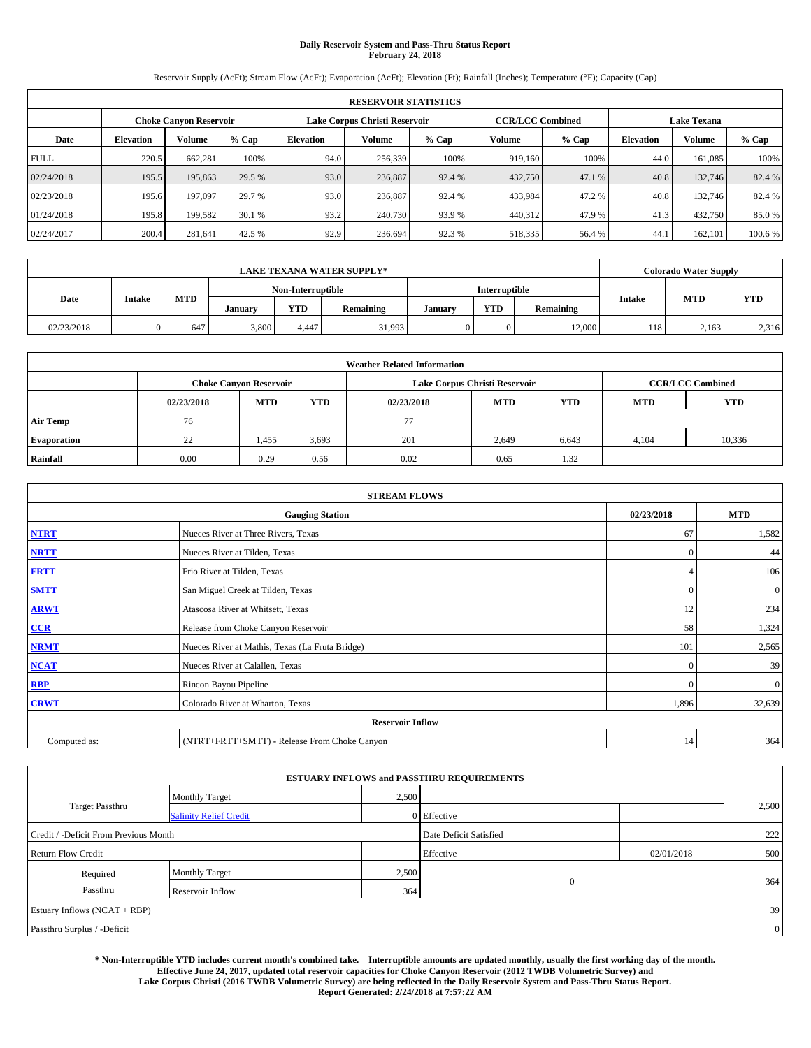## **Daily Reservoir System and Pass-Thru Status Report February 24, 2018**

Reservoir Supply (AcFt); Stream Flow (AcFt); Evaporation (AcFt); Elevation (Ft); Rainfall (Inches); Temperature (°F); Capacity (Cap)

|             | <b>RESERVOIR STATISTICS</b> |                               |         |                  |                               |         |                         |         |                  |                    |         |
|-------------|-----------------------------|-------------------------------|---------|------------------|-------------------------------|---------|-------------------------|---------|------------------|--------------------|---------|
|             |                             | <b>Choke Canyon Reservoir</b> |         |                  | Lake Corpus Christi Reservoir |         | <b>CCR/LCC Combined</b> |         |                  | <b>Lake Texana</b> |         |
| Date        | <b>Elevation</b>            | Volume                        | $%$ Cap | <b>Elevation</b> | Volume                        | $%$ Cap | Volume                  | $%$ Cap | <b>Elevation</b> | <b>Volume</b>      | % Cap   |
| <b>FULL</b> | 220.5                       | 662.281                       | 100%    | 94.0             | 256,339                       | 100%    | 919.160                 | 100%    | 44.0             | 161.085            | 100%    |
| 02/24/2018  | 195.5                       | 195,863                       | 29.5 %  | 93.0             | 236,887                       | 92.4 %  | 432,750                 | 47.1 %  | 40.8             | 132,746            | 82.4 %  |
| 02/23/2018  | 195.6                       | 197,097                       | 29.7 %  | 93.0             | 236,887                       | 92.4 %  | 433,984                 | 47.2%   | 40.8             | 132.746            | 82.4 %  |
| 01/24/2018  | 195.8                       | 199.582                       | 30.1 %  | 93.2             | 240,730                       | 93.9 %  | 440,312                 | 47.9 %  | 41.3             | 432,750            | 85.0%   |
| 02/24/2017  | 200.4                       | 281,641                       | 42.5 %  | 92.9             | 236,694                       | 92.3 %  | 518,335                 | 56.4 %  | 44.              | 162,101            | 100.6 % |

| <b>LAKE TEXANA WATER SUPPLY*</b> |               |            |                   |            |           |               | <b>Colorado Water Supply</b> |           |               |            |            |
|----------------------------------|---------------|------------|-------------------|------------|-----------|---------------|------------------------------|-----------|---------------|------------|------------|
|                                  |               |            | Non-Interruptible |            |           | Interruptible |                              |           |               |            |            |
| Date                             | <b>Intake</b> | <b>MTD</b> | January           | <b>YTD</b> | Remaining | January       | <b>YTD</b>                   | Remaining | <b>Intake</b> | <b>MTD</b> | <b>YTD</b> |
| 02/23/2018                       |               | 647        | 3,800             | 4.447      | 31,993    |               | 0                            | 12,000    | 118           | 2,163      | 2,316      |

| <b>Weather Related Information</b> |            |                               |            |            |                               |                         |            |            |  |  |
|------------------------------------|------------|-------------------------------|------------|------------|-------------------------------|-------------------------|------------|------------|--|--|
|                                    |            | <b>Choke Canyon Reservoir</b> |            |            | Lake Corpus Christi Reservoir | <b>CCR/LCC Combined</b> |            |            |  |  |
|                                    | 02/23/2018 | <b>MTD</b>                    | <b>YTD</b> | 02/23/2018 | <b>MTD</b>                    | <b>YTD</b>              | <b>MTD</b> | <b>YTD</b> |  |  |
| <b>Air Temp</b>                    | 76         |                               |            | 77         |                               |                         |            |            |  |  |
| <b>Evaporation</b>                 | 22         | 1,455                         | 3,693      | 201        | 2,649                         | 6,643                   | 4.104      | 10,336     |  |  |
| Rainfall                           | 0.00       | 0.29                          | 0.56       | 0.02       | 0.65                          | 1.32                    |            |            |  |  |

| <b>STREAM FLOWS</b> |                                                 |              |              |  |  |  |  |  |
|---------------------|-------------------------------------------------|--------------|--------------|--|--|--|--|--|
|                     | <b>Gauging Station</b>                          |              |              |  |  |  |  |  |
| <b>NTRT</b>         | Nueces River at Three Rivers, Texas             | 67           | 1,582        |  |  |  |  |  |
| <b>NRTT</b>         | Nueces River at Tilden, Texas                   | $\Omega$     | 44           |  |  |  |  |  |
| <b>FRTT</b>         | Frio River at Tilden, Texas                     |              | 106          |  |  |  |  |  |
| <b>SMTT</b>         | San Miguel Creek at Tilden, Texas               | $\mathbf{0}$ | $\mathbf{0}$ |  |  |  |  |  |
| <b>ARWT</b>         | Atascosa River at Whitsett, Texas               | 12           | 234          |  |  |  |  |  |
| CCR                 | Release from Choke Canyon Reservoir             | 58           | 1,324        |  |  |  |  |  |
| <b>NRMT</b>         | Nueces River at Mathis, Texas (La Fruta Bridge) | 101          | 2,565        |  |  |  |  |  |
| <b>NCAT</b>         | Nueces River at Calallen, Texas                 | $\Omega$     | 39           |  |  |  |  |  |
| <b>RBP</b>          | Rincon Bayou Pipeline                           | $\Omega$     | $\mathbf{0}$ |  |  |  |  |  |
| <b>CRWT</b>         | Colorado River at Wharton, Texas                | 1,896        | 32,639       |  |  |  |  |  |
|                     | <b>Reservoir Inflow</b>                         |              |              |  |  |  |  |  |
| Computed as:        | (NTRT+FRTT+SMTT) - Release From Choke Canyon    | 14           | 364          |  |  |  |  |  |

|                                       |                               |                        | <b>ESTUARY INFLOWS and PASSTHRU REQUIREMENTS</b> |            |                |  |
|---------------------------------------|-------------------------------|------------------------|--------------------------------------------------|------------|----------------|--|
|                                       | <b>Monthly Target</b>         | 2,500                  |                                                  |            |                |  |
| <b>Target Passthru</b>                | <b>Salinity Relief Credit</b> |                        | 0 Effective                                      |            | 2,500          |  |
| Credit / -Deficit From Previous Month |                               | Date Deficit Satisfied |                                                  | 222        |                |  |
| <b>Return Flow Credit</b>             |                               |                        | Effective                                        | 02/01/2018 | 500            |  |
| Required                              | Monthly Target                | 2,500                  |                                                  |            |                |  |
| Passthru                              | Reservoir Inflow              | 364                    | $\overline{0}$                                   |            | 364            |  |
| Estuary Inflows (NCAT + RBP)          |                               |                        |                                                  |            | 39             |  |
| Passthru Surplus / -Deficit           |                               |                        |                                                  |            | $\overline{0}$ |  |

**\* Non-Interruptible YTD includes current month's combined take. Interruptible amounts are updated monthly, usually the first working day of the month. Effective June 24, 2017, updated total reservoir capacities for Choke Canyon Reservoir (2012 TWDB Volumetric Survey) and Lake Corpus Christi (2016 TWDB Volumetric Survey) are being reflected in the Daily Reservoir System and Pass-Thru Status Report. Report Generated: 2/24/2018 at 7:57:22 AM**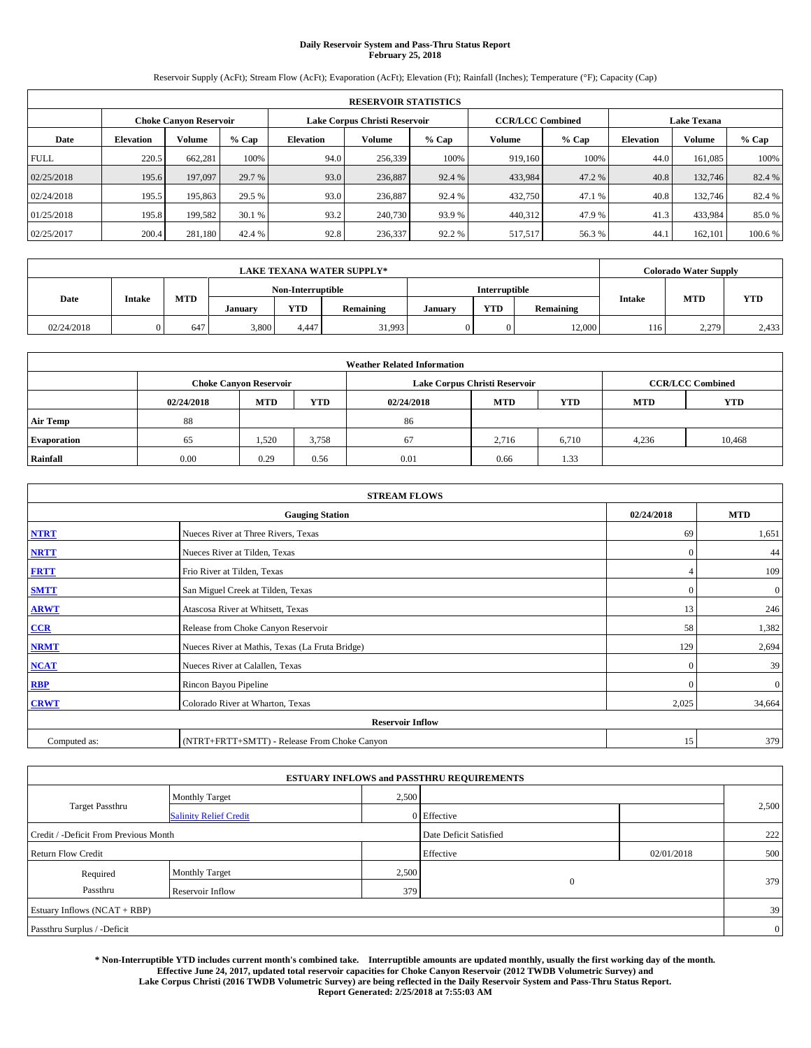## **Daily Reservoir System and Pass-Thru Status Report February 25, 2018**

Reservoir Supply (AcFt); Stream Flow (AcFt); Evaporation (AcFt); Elevation (Ft); Rainfall (Inches); Temperature (°F); Capacity (Cap)

|             | <b>RESERVOIR STATISTICS</b> |         |         |                               |         |         |                         |         |                    |               |         |
|-------------|-----------------------------|---------|---------|-------------------------------|---------|---------|-------------------------|---------|--------------------|---------------|---------|
|             | Choke Canvon Reservoir      |         |         | Lake Corpus Christi Reservoir |         |         | <b>CCR/LCC Combined</b> |         | <b>Lake Texana</b> |               |         |
| Date        | <b>Elevation</b>            | Volume  | $%$ Cap | <b>Elevation</b>              | Volume  | $%$ Cap | Volume                  | $%$ Cap | <b>Elevation</b>   | <b>Volume</b> |         |
| <b>FULL</b> | 220.5                       | 662,281 | 100%    | 94.0                          | 256,339 | 100%    | 919.160                 | 100%    | 44.0               | 161.085       | 100%    |
| 02/25/2018  | 195.6                       | 197,097 | 29.7 %  | 93.0                          | 236,887 | 92.4 %  | 433,984                 | 47.2 %  | 40.8               | 132,746       | 82.4 %  |
| 02/24/2018  | 195.5                       | 195,863 | 29.5 %  | 93.0                          | 236,887 | 92.4 %  | 432,750                 | 47.1 %  | 40.8               | 132,746       | 82.4 %  |
| 01/25/2018  | 195.8                       | 199.582 | 30.1 %  | 93.2                          | 240,730 | 93.9 %  | 440.312                 | 47.9 %  | 41.3               | 433,984       | 85.0 %  |
| 02/25/2017  | 200.4                       | 281,180 | 42.4 %  | 92.8                          | 236,337 | 92.2 %  | 517,517                 | 56.3%   | 44.                | 162,101       | 100.6 % |

|            | <b>LAKE TEXANA WATER SUPPLY*</b> |            |         |                   |           |         |            |               |               | <b>Colorado Water Supply</b> |            |  |
|------------|----------------------------------|------------|---------|-------------------|-----------|---------|------------|---------------|---------------|------------------------------|------------|--|
|            |                                  |            |         | Non-Interruptible |           |         |            | Interruptible |               |                              |            |  |
| Date       | <b>Intake</b>                    | <b>MTD</b> | January | <b>YTD</b>        | Remaining | Januarv | <b>YTD</b> | Remaining     | <b>Intake</b> | <b>MTD</b>                   | <b>YTD</b> |  |
| 02/24/2018 |                                  | 647        | 3,800   | 4.447             | 31,993    |         | 0          | 12,000        | 116           | 2,279                        | 2,433      |  |

| <b>Weather Related Information</b> |            |                                                                                  |       |      |                               |                         |       |            |  |  |
|------------------------------------|------------|----------------------------------------------------------------------------------|-------|------|-------------------------------|-------------------------|-------|------------|--|--|
|                                    |            | <b>Choke Canyon Reservoir</b>                                                    |       |      | Lake Corpus Christi Reservoir | <b>CCR/LCC Combined</b> |       |            |  |  |
|                                    | 02/24/2018 | <b>MTD</b><br><b>YTD</b><br><b>YTD</b><br><b>MTD</b><br><b>MTD</b><br>02/24/2018 |       |      |                               |                         |       | <b>YTD</b> |  |  |
| <b>Air Temp</b>                    | 88         |                                                                                  |       | 86   |                               |                         |       |            |  |  |
| <b>Evaporation</b>                 | 65         | 1,520                                                                            | 3,758 | 67   | 2,716                         | 6,710                   | 4,236 | 10,468     |  |  |
| Rainfall                           | 0.00       | 0.29                                                                             | 0.56  | 0.01 | 0.66                          | 1.33                    |       |            |  |  |

| <b>STREAM FLOWS</b> |                                                 |              |              |  |  |  |  |  |  |
|---------------------|-------------------------------------------------|--------------|--------------|--|--|--|--|--|--|
|                     | <b>Gauging Station</b>                          | 02/24/2018   | <b>MTD</b>   |  |  |  |  |  |  |
| <b>NTRT</b>         | Nueces River at Three Rivers, Texas             | 69           | 1,651        |  |  |  |  |  |  |
| <b>NRTT</b>         | Nueces River at Tilden, Texas                   | $\Omega$     | 44           |  |  |  |  |  |  |
| <b>FRTT</b>         | Frio River at Tilden, Texas                     |              | 109          |  |  |  |  |  |  |
| <b>SMTT</b>         | San Miguel Creek at Tilden, Texas               | $\mathbf{0}$ | $\mathbf{0}$ |  |  |  |  |  |  |
| <b>ARWT</b>         | Atascosa River at Whitsett, Texas               | 13           | 246          |  |  |  |  |  |  |
| CCR                 | Release from Choke Canyon Reservoir             | 58           | 1,382        |  |  |  |  |  |  |
| <b>NRMT</b>         | Nueces River at Mathis, Texas (La Fruta Bridge) | 129          | 2,694        |  |  |  |  |  |  |
| <b>NCAT</b>         | Nueces River at Calallen, Texas                 | $\Omega$     | 39           |  |  |  |  |  |  |
| <b>RBP</b>          | Rincon Bayou Pipeline                           | $\Omega$     | $\mathbf{0}$ |  |  |  |  |  |  |
| <b>CRWT</b>         | Colorado River at Wharton, Texas                | 2,025        | 34,664       |  |  |  |  |  |  |
|                     | <b>Reservoir Inflow</b>                         |              |              |  |  |  |  |  |  |
| Computed as:        | (NTRT+FRTT+SMTT) - Release From Choke Canyon    | 15           | 379          |  |  |  |  |  |  |

|                                       |                               |                        | <b>ESTUARY INFLOWS and PASSTHRU REQUIREMENTS</b> |            |                |
|---------------------------------------|-------------------------------|------------------------|--------------------------------------------------|------------|----------------|
|                                       | <b>Monthly Target</b>         | 2,500                  |                                                  |            |                |
| <b>Target Passthru</b>                | <b>Salinity Relief Credit</b> |                        | 0 Effective                                      |            | 2,500          |
| Credit / -Deficit From Previous Month |                               | Date Deficit Satisfied |                                                  | 222        |                |
| <b>Return Flow Credit</b>             |                               |                        | Effective                                        | 02/01/2018 | 500            |
| Required                              | Monthly Target                | 2,500                  |                                                  |            |                |
| Passthru                              | Reservoir Inflow              | 379                    | $\overline{0}$                                   |            | 379            |
| Estuary Inflows (NCAT + RBP)          |                               |                        |                                                  |            | 39             |
| Passthru Surplus / -Deficit           |                               |                        |                                                  |            | $\overline{0}$ |

**\* Non-Interruptible YTD includes current month's combined take. Interruptible amounts are updated monthly, usually the first working day of the month. Effective June 24, 2017, updated total reservoir capacities for Choke Canyon Reservoir (2012 TWDB Volumetric Survey) and Lake Corpus Christi (2016 TWDB Volumetric Survey) are being reflected in the Daily Reservoir System and Pass-Thru Status Report. Report Generated: 2/25/2018 at 7:55:03 AM**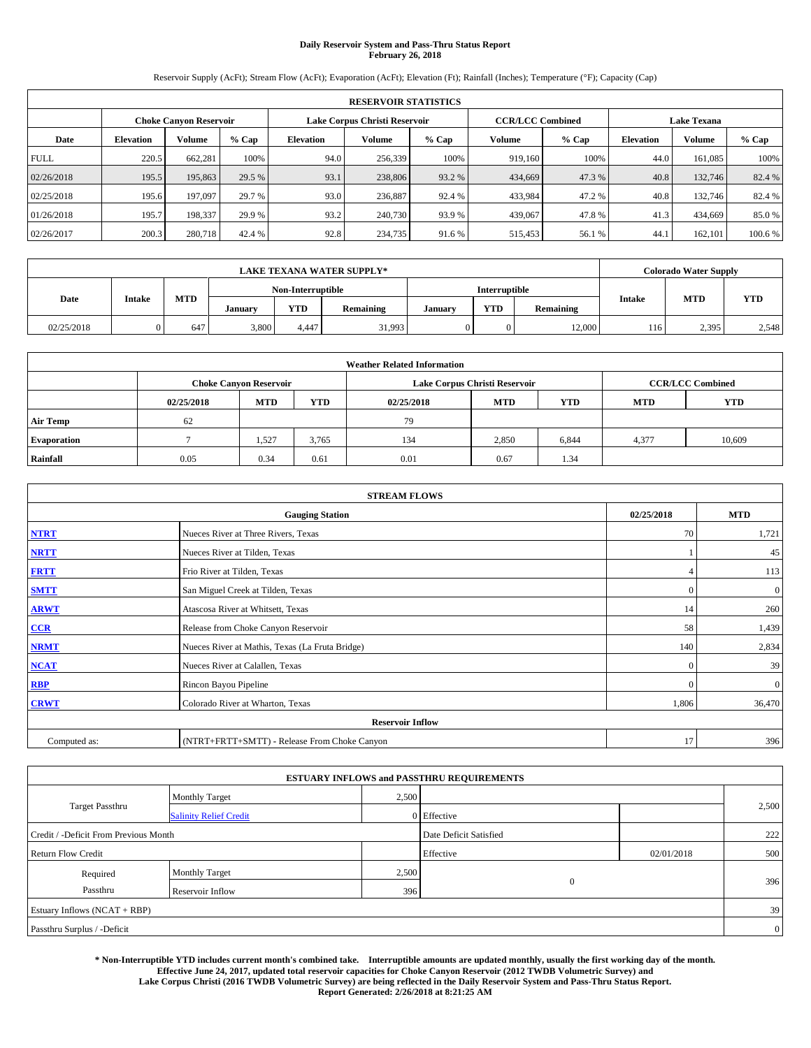## **Daily Reservoir System and Pass-Thru Status Report February 26, 2018**

Reservoir Supply (AcFt); Stream Flow (AcFt); Evaporation (AcFt); Elevation (Ft); Rainfall (Inches); Temperature (°F); Capacity (Cap)

|             | <b>RESERVOIR STATISTICS</b> |         |         |                                                          |         |         |         |         |                    |               |         |
|-------------|-----------------------------|---------|---------|----------------------------------------------------------|---------|---------|---------|---------|--------------------|---------------|---------|
|             | Choke Canvon Reservoir      |         |         | <b>CCR/LCC Combined</b><br>Lake Corpus Christi Reservoir |         |         |         |         | <b>Lake Texana</b> |               |         |
| Date        | <b>Elevation</b>            | Volume  | $%$ Cap | <b>Elevation</b>                                         | Volume  | $%$ Cap | Volume  | $%$ Cap | <b>Elevation</b>   | <b>Volume</b> |         |
| <b>FULL</b> | 220.5                       | 662,281 | 100%    | 94.0                                                     | 256,339 | 100%    | 919.160 | 100%    | 44.0               | 161.085       | 100%    |
| 02/26/2018  | 195.5                       | 195,863 | 29.5 %  | 93.1                                                     | 238,806 | 93.2 %  | 434,669 | 47.3 %  | 40.8               | 132,746       | 82.4 %  |
| 02/25/2018  | 195.6                       | 197,097 | 29.7 %  | 93.0                                                     | 236,887 | 92.4 %  | 433,984 | 47.2%   | 40.8               | 132,746       | 82.4 %  |
| 01/26/2018  | 195.7                       | 198.337 | 29.9 %  | 93.2                                                     | 240,730 | 93.9 %  | 439,067 | 47.8%   | 41.3               | 434,669       | 85.0 %  |
| 02/26/2017  | 200.3                       | 280,718 | 42.4 %  | 92.8                                                     | 234,735 | 91.6 %  | 515,453 | 56.1 %  | 44.                | 162,101       | 100.6 % |

|            | <b>LAKE TEXANA WATER SUPPLY*</b> |            |                   |            |           |         |               |           |               | Colorado Water Supply |            |
|------------|----------------------------------|------------|-------------------|------------|-----------|---------|---------------|-----------|---------------|-----------------------|------------|
|            |                                  |            | Non-Interruptible |            |           |         | Interruptible |           |               |                       |            |
| Date       | <b>Intake</b>                    | <b>MTD</b> | January           | <b>YTD</b> | Remaining | Januarv | <b>YTD</b>    | Remaining | <b>Intake</b> | <b>MTD</b>            | <b>YTD</b> |
| 02/25/2018 |                                  | 647        | 3,800             | 4.447      | 31,993    |         | 0             | 12,000    | 116           | 2,395                 | 2,548      |

| <b>Weather Related Information</b> |            |                                                                                  |       |      |                               |                         |       |            |  |  |
|------------------------------------|------------|----------------------------------------------------------------------------------|-------|------|-------------------------------|-------------------------|-------|------------|--|--|
|                                    |            | <b>Choke Canyon Reservoir</b>                                                    |       |      | Lake Corpus Christi Reservoir | <b>CCR/LCC Combined</b> |       |            |  |  |
|                                    | 02/25/2018 | <b>MTD</b><br><b>YTD</b><br><b>YTD</b><br><b>MTD</b><br><b>MTD</b><br>02/25/2018 |       |      |                               |                         |       | <b>YTD</b> |  |  |
| <b>Air Temp</b>                    | 62         |                                                                                  |       | 79   |                               |                         |       |            |  |  |
| <b>Evaporation</b>                 |            | 1,527                                                                            | 3,765 | 134  | 2,850                         | 6,844                   | 4,377 | 10,609     |  |  |
| Rainfall                           | 0.05       | 0.34                                                                             | 0.61  | 0.01 | 0.67                          | 1.34                    |       |            |  |  |

| <b>STREAM FLOWS</b> |                                                 |              |              |  |  |  |  |  |  |
|---------------------|-------------------------------------------------|--------------|--------------|--|--|--|--|--|--|
|                     | <b>Gauging Station</b>                          | 02/25/2018   | <b>MTD</b>   |  |  |  |  |  |  |
| <b>NTRT</b>         | Nueces River at Three Rivers, Texas             | 70           | 1,721        |  |  |  |  |  |  |
| <b>NRTT</b>         | Nueces River at Tilden, Texas                   |              | 45           |  |  |  |  |  |  |
| <b>FRTT</b>         | Frio River at Tilden, Texas                     |              | 113          |  |  |  |  |  |  |
| <b>SMTT</b>         | San Miguel Creek at Tilden, Texas               | $\mathbf{0}$ | $\mathbf{0}$ |  |  |  |  |  |  |
| <b>ARWT</b>         | Atascosa River at Whitsett, Texas               | 14           | 260          |  |  |  |  |  |  |
| CCR                 | Release from Choke Canyon Reservoir             | 58           | 1,439        |  |  |  |  |  |  |
| <b>NRMT</b>         | Nueces River at Mathis, Texas (La Fruta Bridge) | 140          | 2,834        |  |  |  |  |  |  |
| <b>NCAT</b>         | Nueces River at Calallen, Texas                 | $\Omega$     | 39           |  |  |  |  |  |  |
| <b>RBP</b>          | Rincon Bayou Pipeline                           | $\Omega$     | $\mathbf{0}$ |  |  |  |  |  |  |
| <b>CRWT</b>         | Colorado River at Wharton, Texas                | 1,806        | 36,470       |  |  |  |  |  |  |
|                     | <b>Reservoir Inflow</b>                         |              |              |  |  |  |  |  |  |
| Computed as:        | (NTRT+FRTT+SMTT) - Release From Choke Canyon    |              |              |  |  |  |  |  |  |

|                                       |                               |       | <b>ESTUARY INFLOWS and PASSTHRU REQUIREMENTS</b> |            |                |
|---------------------------------------|-------------------------------|-------|--------------------------------------------------|------------|----------------|
|                                       | <b>Monthly Target</b>         | 2,500 |                                                  |            |                |
| Target Passthru                       | <b>Salinity Relief Credit</b> |       | 0 Effective                                      |            | 2,500          |
| Credit / -Deficit From Previous Month |                               |       | Date Deficit Satisfied                           |            | 222            |
| <b>Return Flow Credit</b>             |                               |       | Effective                                        | 02/01/2018 | 500            |
| Required                              | <b>Monthly Target</b>         | 2,500 |                                                  |            |                |
| Passthru                              | Reservoir Inflow              | 396   | $\theta$                                         |            | 396            |
| Estuary Inflows (NCAT + RBP)          |                               |       |                                                  |            | 39             |
| Passthru Surplus / -Deficit           |                               |       |                                                  |            | $\overline{0}$ |

**\* Non-Interruptible YTD includes current month's combined take. Interruptible amounts are updated monthly, usually the first working day of the month. Effective June 24, 2017, updated total reservoir capacities for Choke Canyon Reservoir (2012 TWDB Volumetric Survey) and Lake Corpus Christi (2016 TWDB Volumetric Survey) are being reflected in the Daily Reservoir System and Pass-Thru Status Report. Report Generated: 2/26/2018 at 8:21:25 AM**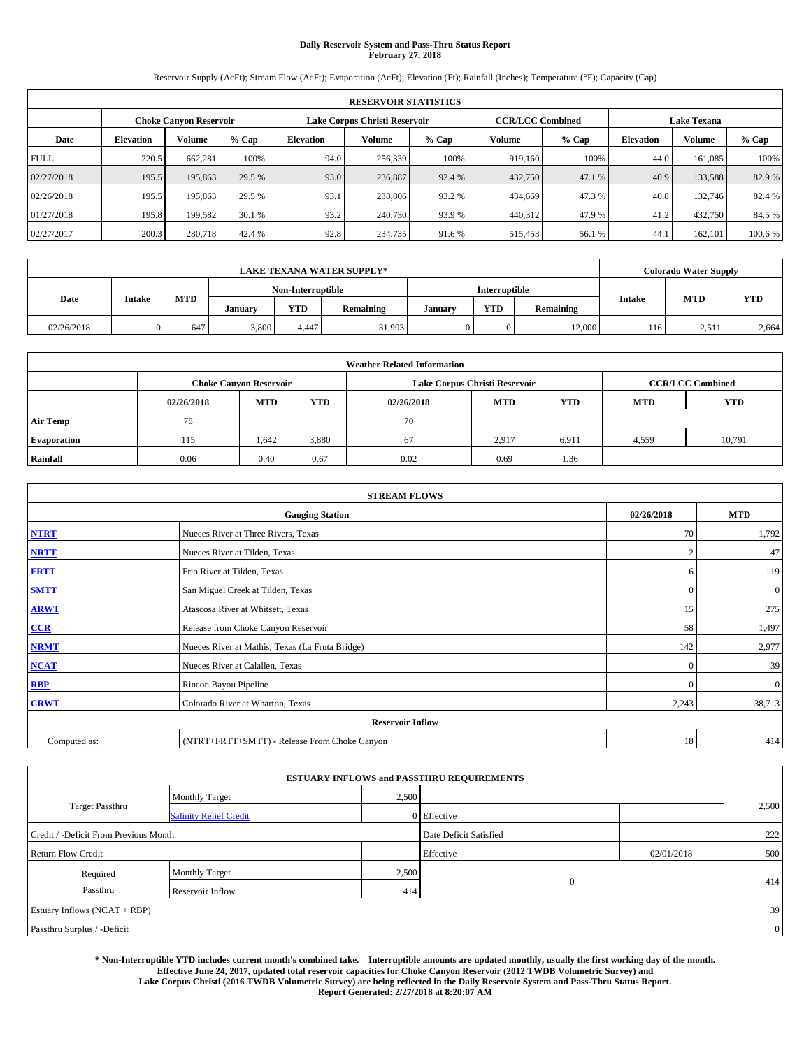## **Daily Reservoir System and Pass-Thru Status Report February 27, 2018**

Reservoir Supply (AcFt); Stream Flow (AcFt); Evaporation (AcFt); Elevation (Ft); Rainfall (Inches); Temperature (°F); Capacity (Cap)

|             | <b>RESERVOIR STATISTICS</b> |         |         |                               |                         |         |         |                    |                                   |         |         |
|-------------|-----------------------------|---------|---------|-------------------------------|-------------------------|---------|---------|--------------------|-----------------------------------|---------|---------|
|             | Choke Canvon Reservoir      |         |         | Lake Corpus Christi Reservoir | <b>CCR/LCC Combined</b> |         |         | <b>Lake Texana</b> |                                   |         |         |
| Date        | <b>Elevation</b>            | Volume  | $%$ Cap | <b>Elevation</b>              | Volume                  | $%$ Cap | Volume  | $%$ Cap            | <b>Volume</b><br><b>Elevation</b> |         | % Cap   |
| <b>FULL</b> | 220.5                       | 662,281 | 100%    | 94.0                          | 256,339                 | 100%    | 919.160 | 100%               | 44.0                              | 161.085 | 100%    |
| 02/27/2018  | 195.5                       | 195,863 | 29.5 %  | 93.0                          | 236,887                 | 92.4 %  | 432,750 | 47.1 %             | 40.9                              | 133,588 | 82.9%   |
| 02/26/2018  | 195.5                       | 195,863 | 29.5 %  | 93.1                          | 238,806                 | 93.2 %  | 434,669 | 47.3%              | 40.8                              | 132,746 | 82.4 %  |
| 01/27/2018  | 195.8                       | 199.582 | 30.1 %  | 93.2                          | 240,730                 | 93.9 %  | 440.312 | 47.9 %             | 41.2                              | 432,750 | 84.5 %  |
| 02/27/2017  | 200.3                       | 280,718 | 42.4 %  | 92.8                          | 234,735                 | 91.6%   | 515,453 | 56.1 %             | 44.                               | 162,101 | 100.6 % |

|            | <b>LAKE TEXANA WATER SUPPLY*</b> |            |         |                   |           |         |               |           |               | Colorado Water Supply |            |
|------------|----------------------------------|------------|---------|-------------------|-----------|---------|---------------|-----------|---------------|-----------------------|------------|
|            |                                  |            |         | Non-Interruptible |           |         | Interruptible |           |               |                       |            |
| Date       | <b>Intake</b>                    | <b>MTD</b> | January | <b>YTD</b>        | Remaining | Januarv | <b>YTD</b>    | Remaining | <b>Intake</b> | <b>MTD</b>            | <b>YTD</b> |
| 02/26/2018 |                                  | 647        | 3,800   | 4.447             | 31,993    |         | 0             | 12,000    | 116           | 2.511                 | 2,664      |

| <b>Weather Related Information</b> |                               |            |            |            |                               |                         |            |            |  |
|------------------------------------|-------------------------------|------------|------------|------------|-------------------------------|-------------------------|------------|------------|--|
|                                    | <b>Choke Canyon Reservoir</b> |            |            |            | Lake Corpus Christi Reservoir | <b>CCR/LCC Combined</b> |            |            |  |
|                                    | 02/26/2018                    | <b>MTD</b> | <b>YTD</b> | 02/26/2018 | <b>MTD</b>                    | <b>YTD</b>              | <b>MTD</b> | <b>YTD</b> |  |
| <b>Air Temp</b>                    | 78                            |            |            | 70         |                               |                         |            |            |  |
| <b>Evaporation</b>                 | 115                           | 1,642      | 3,880      | 67         | 2,917                         | 6,911                   | 4,559      | 10,791     |  |
| Rainfall                           | 0.06                          | 0.40       | 0.67       | 0.02       | 0.69                          | 1.36                    |            |            |  |

| <b>STREAM FLOWS</b> |                                                 |                |              |  |  |  |  |
|---------------------|-------------------------------------------------|----------------|--------------|--|--|--|--|
|                     | 02/26/2018                                      | <b>MTD</b>     |              |  |  |  |  |
| <b>NTRT</b>         | Nueces River at Three Rivers, Texas             | 70             | 1,792        |  |  |  |  |
| <b>NRTT</b>         | Nueces River at Tilden, Texas                   | $\overline{2}$ | 47           |  |  |  |  |
| <b>FRTT</b>         | Frio River at Tilden, Texas                     | 6              | 119          |  |  |  |  |
| <b>SMTT</b>         | San Miguel Creek at Tilden, Texas               | $\mathbf{0}$   | $\mathbf{0}$ |  |  |  |  |
| <b>ARWT</b>         | Atascosa River at Whitsett, Texas               | 15             | 275          |  |  |  |  |
| CCR                 | Release from Choke Canyon Reservoir             | 58             | 1,497        |  |  |  |  |
| <b>NRMT</b>         | Nueces River at Mathis, Texas (La Fruta Bridge) | 142            | 2,977        |  |  |  |  |
| <b>NCAT</b>         | Nueces River at Calallen, Texas                 | $\Omega$       | 39           |  |  |  |  |
| <b>RBP</b>          | Rincon Bayou Pipeline                           | $\Omega$       | $\mathbf{0}$ |  |  |  |  |
| <b>CRWT</b>         | Colorado River at Wharton, Texas                | 2,243          | 38,713       |  |  |  |  |
|                     | <b>Reservoir Inflow</b>                         |                |              |  |  |  |  |
| Computed as:        | (NTRT+FRTT+SMTT) - Release From Choke Canyon    | 18             | 414          |  |  |  |  |

| <b>ESTUARY INFLOWS and PASSTHRU REQUIREMENTS</b> |                               |             |                        |            |                |  |  |  |
|--------------------------------------------------|-------------------------------|-------------|------------------------|------------|----------------|--|--|--|
|                                                  | <b>Monthly Target</b>         | 2,500       |                        |            |                |  |  |  |
| Target Passthru                                  | <b>Salinity Relief Credit</b> | 0 Effective |                        |            | 2,500          |  |  |  |
| Credit / -Deficit From Previous Month            |                               |             | Date Deficit Satisfied |            | 222            |  |  |  |
| <b>Return Flow Credit</b>                        |                               |             | Effective              | 02/01/2018 | 500            |  |  |  |
| Required                                         | <b>Monthly Target</b>         | 2,500       |                        |            |                |  |  |  |
| Passthru                                         | Reservoir Inflow              | 414         | $\theta$               |            | 414            |  |  |  |
| Estuary Inflows (NCAT + RBP)                     |                               |             |                        |            |                |  |  |  |
| Passthru Surplus / -Deficit                      |                               |             |                        |            | $\overline{0}$ |  |  |  |

**\* Non-Interruptible YTD includes current month's combined take. Interruptible amounts are updated monthly, usually the first working day of the month. Effective June 24, 2017, updated total reservoir capacities for Choke Canyon Reservoir (2012 TWDB Volumetric Survey) and Lake Corpus Christi (2016 TWDB Volumetric Survey) are being reflected in the Daily Reservoir System and Pass-Thru Status Report. Report Generated: 2/27/2018 at 8:20:07 AM**